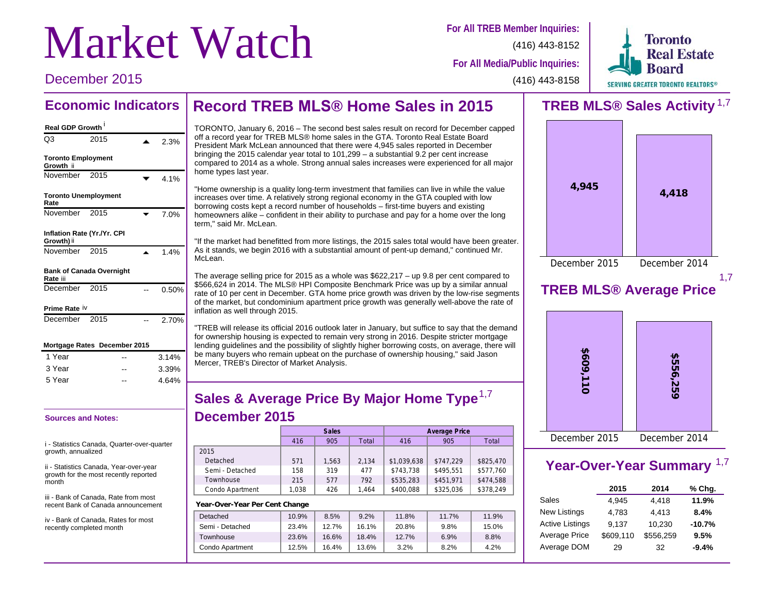# **Market Watch** For All TREB Member Inquiries:

(416) 443-8152



**For All Media/Public Inquiries:**

### December 2015

(416) 443-8158

### **Record TREB MLS® Home Sales in 2015 Economic Indicators**

### **Real GDP Growth** i

| Real GDP Growth                             |      |  |       |
|---------------------------------------------|------|--|-------|
| O <sub>3</sub>                              | 2015 |  | 2.3%  |
| <b>Toronto Employment</b><br>Growth ii      |      |  |       |
| November 2015                               |      |  | 4.1%  |
| <b>Toronto Unemployment</b><br>Rate         |      |  |       |
| November                                    | 2015 |  | 7.0%  |
| Inflation Rate (Yr./Yr. CPI<br>Growth) ii   |      |  |       |
| November 2015                               |      |  | 1.4%  |
| <b>Bank of Canada Overnight</b><br>Rate iii |      |  |       |
| December                                    | 2015 |  | 0.50% |
| Prime Rate iv                               |      |  |       |
| December                                    | 2015 |  | 2.70% |
| Mortgage Rates December 2015                |      |  |       |
| 1 Year                                      |      |  | 3.14% |
| 3 Year                                      |      |  | 3.39% |
| 5 Year                                      |      |  | 4.64% |

### **Sources and Notes:**

i - Statistics Canada, Quarter-over-quarter growth, annualized

ii - Statistics Canada, Year-over-year growth for the most recently reported month

iii - Bank of Canada, Rate from most recent Bank of Canada announcement

iv - Bank of Canada, Rates for most recently completed month

TORONTO, January 6, 2016 – The second best sales result on record for December capped off a record year for TREB MLS® home sales in the GTA. Toronto Real Estate Board President Mark McLean announced that there were 4,945 sales reported in December bringing the 2015 calendar year total to 101,299 – a substantial 9.2 per cent increase compared to 2014 as a whole. Strong annual sales increases were experienced for all major home types last year.

"Home ownership is a quality long-term investment that families can live in while the value increases over time. A relatively strong regional economy in the GTA coupled with low borrowing costs kept a record number of households – first-time buyers and existing homeowners alike – confident in their ability to purchase and pay for a home over the long term," said Mr. McLean.

"If the market had benefitted from more listings, the 2015 sales total would have been greater. As it stands, we begin 2016 with a substantial amount of pent-up demand," continued Mr. McLean.

The average selling price for 2015 as a whole was \$622,217 – up 9.8 per cent compared to \$566,624 in 2014. The MLS® HPI Composite Benchmark Price was up by a similar annual rate of 10 per cent in December. GTA home price growth was driven by the low-rise segments of the market, but condominium apartment price growth was generally well-above the rate of inflation as well through 2015.

"TREB will release its official 2016 outlook later in January, but suffice to say that the demand for ownership housing is expected to remain very strong in 2016. Despite stricter mortgage lending guidelines and the possibility of slightly higher borrowing costs, on average, there will be many buyers who remain upbeat on the purchase of ownership housing," said Jason Mercer, TREB's Director of Market Analysis.

### **Sales & Average Price By Major Home Type** 1,7 **December 2015**

|                 |       | Sales |       |             | <b>Average Price</b> |           |
|-----------------|-------|-------|-------|-------------|----------------------|-----------|
|                 | 416   | 905   | Total | 416         | 905                  | Total     |
| 2015            |       |       |       |             |                      |           |
| Detached        | 571   | 1,563 | 2.134 | \$1,039,638 | \$747.229            | \$825,470 |
| Semi - Detached | 158   | 319   | 477   | \$743,738   | \$495.551            | \$577,760 |
| Townhouse       | 215   | 577   | 792   | \$535,283   | \$451.971            | \$474,588 |
| Condo Apartment | 1.038 | 426   | 1.464 | \$400,088   | \$325,036            | \$378,249 |
|                 |       |       |       |             |                      |           |

### **Year-Over-Year Per Cent Change**

| Detached        | 10.9% | 8.5%  | 9.2%  | 11.8%   | 11.7% | 11.9% |
|-----------------|-------|-------|-------|---------|-------|-------|
| Semi - Detached | 23.4% | 12.7% | 16.1% | 20.8%   | 9.8%  | 15.0% |
| Townhouse       | 23.6% | 16.6% | 18.4% | 12.7%   | 6.9%  | 8.8%  |
| Condo Apartment | 12.5% | 16.4% | 13.6% | $3.2\%$ | 8.2%  | 4.2%  |
|                 |       |       |       |         |       |       |

### **TREB MLS® Sales Activity** 1,7



1,7

### **TREB MLS® Average Price**



### **Year-Over-Year Summary** 1,7

|                        | 2015      | 2014      | % Chg.   |
|------------------------|-----------|-----------|----------|
| Sales                  | 4.945     | 4.418     | 11.9%    |
| <b>New Listings</b>    | 4.783     | 4.413     | 8.4%     |
| <b>Active Listings</b> | 9,137     | 10,230    | $-10.7%$ |
| Average Price          | \$609,110 | \$556,259 | 9.5%     |
| Average DOM            | 29        | 32        | $-9.4%$  |
|                        |           |           |          |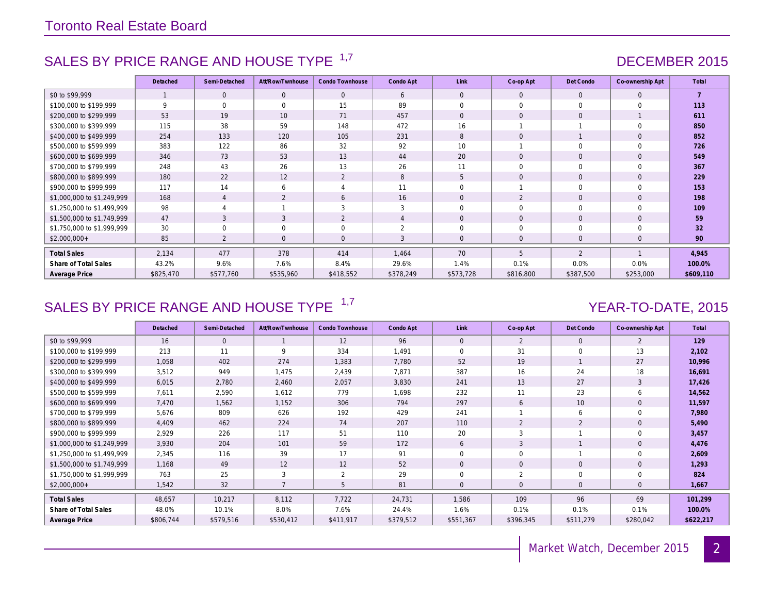### SALES BY PRICE RANGE AND HOUSE TYPE <sup>1,7</sup> And the contract of the contract of the DECEMBER 2015

|                            | Detached  | Semi-Detached  | Att/Row/Twnhouse | Condo Townhouse | Condo Apt | Link           | Co-op Apt           | Det Condo      | Co-ownership Apt | Total          |
|----------------------------|-----------|----------------|------------------|-----------------|-----------|----------------|---------------------|----------------|------------------|----------------|
| \$0 to \$99,999            |           | $\Omega$       | $\Omega$         | $\Omega$        | 6         | $\Omega$       | $\mathbf{0}$        | $\Omega$       | $\mathbf{0}$     | $\overline{7}$ |
| \$100,000 to \$199,999     | 9         | $\Omega$       | $\Omega$         | 15              | 89        | $\Omega$       | $\Omega$            | $\Omega$       | $\Omega$         | 113            |
| \$200,000 to \$299,999     | 53        | 19             | 10               | 71              | 457       | $\Omega$       | $\mathbf{O}$        | $\mathbf{0}$   |                  | 611            |
| \$300,000 to \$399,999     | 115       | 38             | 59               | 148             | 472       | 16             |                     |                | $\Omega$         | 850            |
| \$400,000 to \$499,999     | 254       | 133            | 120              | 105             | 231       | 8              | $\mathbf{O}$        |                | $\mathbf{0}$     | 852            |
| \$500,000 to \$599,999     | 383       | 122            | 86               | 32              | 92        | 10             |                     | $\Omega$       | $\Omega$         | 726            |
| \$600,000 to \$699,999     | 346       | 73             | 53               | 13              | 44        | 20             | $\mathsf{O}\xspace$ | $\mathbf{0}$   | $\mathbf{0}$     | 549            |
| \$700,000 to \$799,999     | 248       | 43             | 26               | 13              | 26        | 11             | 0                   | $\Omega$       | $\Omega$         | 367            |
| \$800,000 to \$899,999     | 180       | 22             | 12               | 2               | 8         | 5              | $\mathbf{0}$        | $\mathbf{0}$   | $\mathbf{0}$     | 229            |
| \$900,000 to \$999,999     | 117       | 14             | 6                | 4               | 11        | $\Omega$       |                     | $\mathbf 0$    | $\Omega$         | 153            |
| \$1,000,000 to \$1,249,999 | 168       | $\overline{4}$ | 2                | 6               | 16        | $\overline{0}$ | 2                   | $\mathbf{0}$   | $\mathbf{0}$     | 198            |
| \$1,250,000 to \$1,499,999 | 98        |                |                  | 3               | 3         | $\Omega$       | $\mathbf 0$         | $\mathbf 0$    | $\Omega$         | 109            |
| \$1,500,000 to \$1,749,999 | 47        | 3              | 3                | 2               |           | $\Omega$       | $\mathbf{O}$        | $\mathbf{0}$   | $\Omega$         | 59             |
| \$1,750,000 to \$1,999,999 | 30        | $\Omega$       | $\mathbf 0$      | $\mathbf 0$     | 2         | $\mathbf 0$    | 0                   | $\mathbf 0$    | $\Omega$         | 32             |
| $$2,000,000+$              | 85        | $\overline{2}$ | $\mathbf 0$      | $\overline{0}$  | 3         | $\mathbf 0$    | $\mathbf 0$         | $\mathbf 0$    | $\mathbf{0}$     | 90             |
| <b>Total Sales</b>         | 2,134     | 477            | 378              | 414             | 1.464     | 70             | 5                   | $\overline{2}$ |                  | 4,945          |
| Share of Total Sales       | 43.2%     | 9.6%           | 7.6%             | 8.4%            | 29.6%     | 1.4%           | 0.1%                | 0.0%           | 0.0%             | 100.0%         |
| Average Price              | \$825,470 | \$577,760      | \$535,960        | \$418,552       | \$378,249 | \$573,728      | \$816,800           | \$387,500      | \$253,000        | \$609,110      |

### SALES BY PRICE RANGE AND HOUSE TYPE <sup>1,7</sup> And the set of the set of the YEAR-TO-DATE, 2015

|                            | Detached  | Semi-Detached | Att/Row/Twnhouse | Condo Townhouse | Condo Apt | Link           | Co-op Apt    | Det Condo      | Co-ownership Apt | Total     |
|----------------------------|-----------|---------------|------------------|-----------------|-----------|----------------|--------------|----------------|------------------|-----------|
| \$0 to \$99,999            | 16        | $\Omega$      | $\mathbf{1}$     | 12              | 96        | $\Omega$       | 2            | $\Omega$       | 2                | 129       |
| \$100,000 to \$199,999     | 213       | 11            | 9                | 334             | 1,491     | $\Omega$       | 31           | $\Omega$       | 13               | 2,102     |
| \$200,000 to \$299,999     | 1,058     | 402           | 274              | 1,383           | 7.780     | 52             | 19           |                | 27               | 10,996    |
| \$300,000 to \$399,999     | 3,512     | 949           | 1,475            | 2,439           | 7,871     | 387            | 16           | 24             | 18               | 16,691    |
| \$400,000 to \$499,999     | 6,015     | 2,780         | 2,460            | 2,057           | 3,830     | 241            | 13           | 27             | 3                | 17,426    |
| \$500,000 to \$599,999     | 7,611     | 2,590         | 1,612            | 779             | 1,698     | 232            | 11           | 23             | 6                | 14,562    |
| \$600,000 to \$699,999     | 7,470     | 1,562         | 1,152            | 306             | 794       | 297            | 6            | 10             | $\mathbf{0}$     | 11,597    |
| \$700,000 to \$799,999     | 5,676     | 809           | 626              | 192             | 429       | 241            |              | 6              | $\Omega$         | 7,980     |
| \$800,000 to \$899,999     | 4.409     | 462           | 224              | 74              | 207       | 110            | 2            | 2              | $\mathbf{0}$     | 5,490     |
| \$900,000 to \$999,999     | 2,929     | 226           | 117              | 51              | 110       | 20             | 3            |                | $\Omega$         | 3,457     |
| \$1,000,000 to \$1,249,999 | 3,930     | 204           | 101              | 59              | 172       | 6              | 3            |                | $\mathbf{0}$     | 4,476     |
| \$1,250,000 to \$1,499,999 | 2,345     | 116           | 39               | 17              | 91        | $\Omega$       | $\mathbf 0$  |                | $\Omega$         | 2,609     |
| \$1,500,000 to \$1,749,999 | 1,168     | 49            | 12               | 12              | 52        | $\mathbf{0}$   | $\mathbf 0$  | $\overline{0}$ | $\mathbf{0}$     | 1,293     |
| \$1,750,000 to \$1,999,999 | 763       | 25            | 3                | $\overline{2}$  | 29        | $\Omega$       | 2            | $\Omega$       | $\Omega$         | 824       |
| $$2,000,000+$              | 1,542     | 32            |                  | 5               | 81        | $\overline{0}$ | $\mathbf{0}$ | $\overline{0}$ | $\mathbf{0}$     | 1,667     |
| <b>Total Sales</b>         | 48,657    | 10,217        | 8,112            | 7,722           | 24,731    | 1,586          | 109          | 96             | 69               | 101,299   |
| Share of Total Sales       | 48.0%     | 10.1%         | 8.0%             | 7.6%            | 24.4%     | 1.6%           | 0.1%         | 0.1%           | 0.1%             | 100.0%    |
| Average Price              | \$806,744 | \$579,516     | \$530,412        | \$411,917       | \$379,512 | \$551,367      | \$396,345    | \$511,279      | \$280,042        | \$622,217 |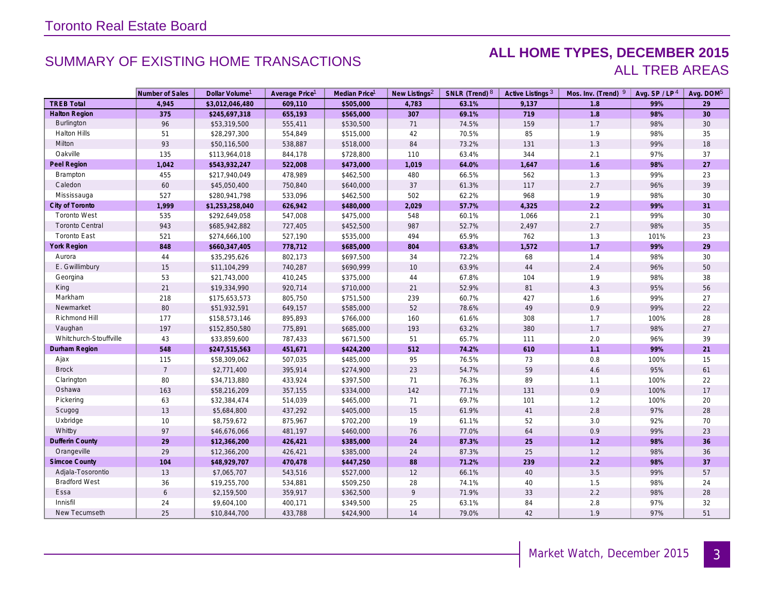### SUMMARY OF EXISTING HOME TRANSACTIONS **ALL HOME TYPES, DECEMBER 2015** ALL TREB AREAS

|                        | Number of Sales | Dollar Volume <sup>1</sup> | Average Price <sup>1</sup> | Median Price <sup>1</sup> | New Listings <sup>2</sup> | SNLR (Trend) 8 | Active Listings <sup>3</sup> | Mos. Inv. (Trend) 9 | Avg. SP/LP <sup>4</sup> | Avg. DOM <sup>5</sup> |
|------------------------|-----------------|----------------------------|----------------------------|---------------------------|---------------------------|----------------|------------------------------|---------------------|-------------------------|-----------------------|
| <b>TREB Total</b>      | 4,945           | \$3,012,046,480            | 609,110                    | \$505,000                 | 4,783                     | 63.1%          | 9,137                        | 1.8                 | 99%                     | 29                    |
| <b>Halton Region</b>   | 375             | \$245,697,318              | 655,193                    | \$565,000                 | 307                       | 69.1%          | 719                          | 1.8                 | 98%                     | 30                    |
| Burlington             | 96              | \$53,319,500               | 555,411                    | \$530,500                 | 71                        | 74.5%          | 159                          | 1.7                 | 98%                     | 30                    |
| <b>Halton Hills</b>    | 51              | \$28,297,300               | 554,849                    | \$515,000                 | 42                        | 70.5%          | 85                           | 1.9                 | 98%                     | 35                    |
| Milton                 | 93              | \$50,116,500               | 538,887                    | \$518,000                 | 84                        | 73.2%          | 131                          | 1.3                 | 99%                     | 18                    |
| Oakville               | 135             | \$113,964,018              | 844,178                    | \$728,800                 | 110                       | 63.4%          | 344                          | 2.1                 | 97%                     | 37                    |
| Peel Region            | 1,042           | \$543,932,247              | 522,008                    | \$473,000                 | 1,019                     | 64.0%          | 1,647                        | 1.6                 | 98%                     | 27                    |
| Brampton               | 455             | \$217,940,049              | 478,989                    | \$462,500                 | 480                       | 66.5%          | 562                          | 1.3                 | 99%                     | 23                    |
| Caledon                | 60              | \$45,050,400               | 750,840                    | \$640,000                 | 37                        | 61.3%          | 117                          | 2.7                 | 96%                     | 39                    |
| Mississauga            | 527             | \$280,941,798              | 533,096                    | \$462,500                 | 502                       | 62.2%          | 968                          | 1.9                 | 98%                     | 30                    |
| City of Toronto        | 1,999           | \$1,253,258,040            | 626,942                    | \$480,000                 | 2,029                     | 57.7%          | 4,325                        | $2.2\,$             | 99%                     | 31                    |
| <b>Toronto West</b>    | 535             | \$292,649,058              | 547,008                    | \$475,000                 | 548                       | 60.1%          | 1,066                        | 2.1                 | 99%                     | 30                    |
| <b>Toronto Central</b> | 943             | \$685,942,882              | 727,405                    | \$452,500                 | 987                       | 52.7%          | 2,497                        | 2.7                 | 98%                     | 35                    |
| <b>Toronto East</b>    | 521             | \$274,666,100              | 527,190                    | \$535,000                 | 494                       | 65.9%          | 762                          | 1.3                 | 101%                    | 23                    |
| <b>York Region</b>     | 848             | \$660,347,405              | 778,712                    | \$685,000                 | 804                       | 63.8%          | 1,572                        | 1.7                 | 99%                     | 29                    |
| Aurora                 | 44              | \$35,295,626               | 802,173                    | \$697,500                 | 34                        | 72.2%          | 68                           | 1.4                 | 98%                     | 30                    |
| E. Gwillimbury         | 15              | \$11,104,299               | 740,287                    | \$690,999                 | 10                        | 63.9%          | 44                           | 2.4                 | 96%                     | 50                    |
| Georgina               | 53              | \$21,743,000               | 410,245                    | \$375,000                 | 44                        | 67.8%          | 104                          | 1.9                 | 98%                     | 38                    |
| King                   | 21              | \$19,334,990               | 920,714                    | \$710,000                 | 21                        | 52.9%          | 81                           | 4.3                 | 95%                     | 56                    |
| Markham                | 218             | \$175,653,573              | 805,750                    | \$751,500                 | 239                       | 60.7%          | 427                          | 1.6                 | 99%                     | 27                    |
| Newmarket              | 80              | \$51,932,591               | 649,157                    | \$585,000                 | 52                        | 78.6%          | 49                           | 0.9                 | 99%                     | 22                    |
| Richmond Hill          | 177             | \$158,573,146              | 895,893                    | \$766,000                 | 160                       | 61.6%          | 308                          | 1.7                 | 100%                    | 28                    |
| Vaughan                | 197             | \$152,850,580              | 775,891                    | \$685,000                 | 193                       | 63.2%          | 380                          | 1.7                 | 98%                     | $27\,$                |
| Whitchurch-Stouffville | 43              | \$33,859,600               | 787,433                    | \$671,500                 | 51                        | 65.7%          | 111                          | 2.0                 | 96%                     | 39                    |
| Durham Region          | 548             | \$247,515,563              | 451,671                    | \$424,200                 | 512                       | 74.2%          | 610                          | 1.1                 | 99%                     | 21                    |
| Ajax                   | 115             | \$58,309,062               | 507,035                    | \$485,000                 | 95                        | 76.5%          | 73                           | 0.8                 | 100%                    | 15                    |
| <b>Brock</b>           | $\overline{7}$  | \$2,771,400                | 395,914                    | \$274,900                 | 23                        | 54.7%          | 59                           | 4.6                 | 95%                     | 61                    |
| Clarington             | 80              | \$34,713,880               | 433,924                    | \$397,500                 | 71                        | 76.3%          | 89                           | 1.1                 | 100%                    | 22                    |
| Oshawa                 | 163             | \$58,216,209               | 357,155                    | \$334,000                 | 142                       | 77.1%          | 131                          | 0.9                 | 100%                    | $17$                  |
| Pickering              | 63              | \$32,384,474               | 514,039                    | \$465,000                 | 71                        | 69.7%          | 101                          | 1.2                 | 100%                    | 20                    |
| Scugog                 | 13              | \$5,684,800                | 437,292                    | \$405,000                 | 15                        | 61.9%          | 41                           | $2.8\,$             | 97%                     | 28                    |
| Uxbridge               | 10              | \$8,759,672                | 875,967                    | \$702,200                 | 19                        | 61.1%          | 52                           | 3.0                 | 92%                     | 70                    |
| Whitby                 | 97              | \$46,676,066               | 481,197                    | \$460,000                 | 76                        | 77.0%          | 64                           | 0.9                 | 99%                     | 23                    |
| Dufferin County        | 29              | \$12,366,200               | 426,421                    | \$385,000                 | 24                        | 87.3%          | 25                           | 1.2                 | 98%                     | 36                    |
| Orangeville            | 29              | \$12,366,200               | 426,421                    | \$385,000                 | 24                        | 87.3%          | 25                           | 1.2                 | 98%                     | 36                    |
| <b>Simcoe County</b>   | 104             | \$48,929,707               | 470,478                    | \$447,250                 | 88                        | 71.2%          | 239                          | $2.2\,$             | 98%                     | 37                    |
| Adjala-Tosorontio      | 13              | \$7,065,707                | 543,516                    | \$527,000                 | 12                        | 66.1%          | 40                           | 3.5                 | 99%                     | 57                    |
| <b>Bradford West</b>   | 36              | \$19,255,700               | 534,881                    | \$509,250                 | 28                        | 74.1%          | 40                           | 1.5                 | 98%                     | 24                    |
| Essa                   | 6               | \$2,159,500                | 359,917                    | \$362,500                 | 9                         | 71.9%          | 33                           | 2.2                 | 98%                     | 28                    |
| Innisfil               | 24              | \$9,604,100                | 400,171                    | \$349,500                 | 25                        | 63.1%          | 84                           | 2.8                 | 97%                     | 32                    |
| New Tecumseth          | 25              | \$10,844,700               | 433,788                    | \$424,900                 | 14                        | 79.0%          | 42                           | 1.9                 | 97%                     | 51                    |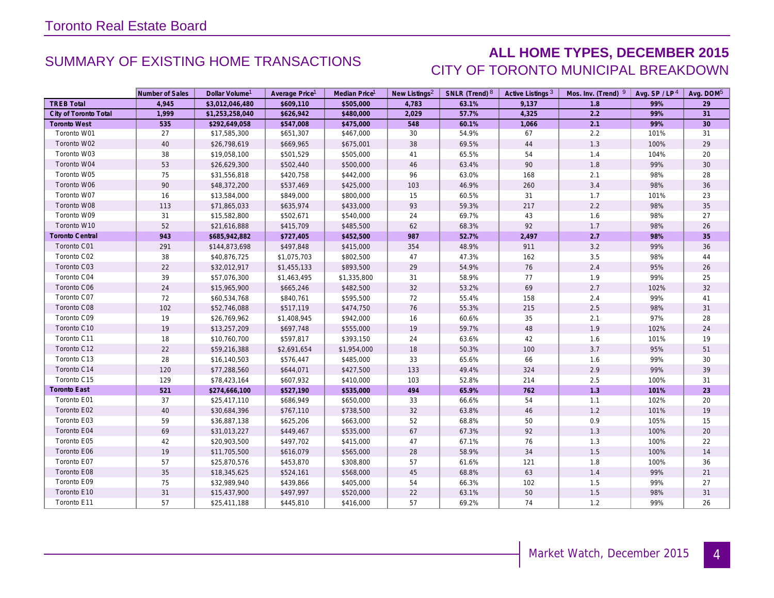### SUMMARY OF EXISTING HOME TRANSACTIONS **ALL HOME TYPES, DECEMBER 2015** CITY OF TORONTO MUNICIPAL BREAKDOWN

|                        | Number of Sales | Dollar Volume <sup>1</sup> | Average Price <sup>1</sup> | Median Price <sup>1</sup> | New Listings <sup>2</sup> | SNLR (Trend) 8 | Active Listings <sup>3</sup> | Mos. Inv. (Trend) 9 | Avg. $SP / LP4$ | Avg. DOM <sup>5</sup> |
|------------------------|-----------------|----------------------------|----------------------------|---------------------------|---------------------------|----------------|------------------------------|---------------------|-----------------|-----------------------|
| <b>TREB Total</b>      | 4,945           | \$3,012,046,480            | \$609,110                  | \$505,000                 | 4,783                     | 63.1%          | 9,137                        | 1.8                 | 99%             | 29                    |
| City of Toronto Total  | 1,999           | \$1,253,258,040            | \$626,942                  | \$480,000                 | 2,029                     | 57.7%          | 4,325                        | 2.2                 | 99%             | 31                    |
| <b>Toronto West</b>    | 535             | \$292,649,058              | \$547,008                  | \$475,000                 | 548                       | 60.1%          | 1,066                        | 2.1                 | 99%             | 30 <sup>°</sup>       |
| Toronto W01            | 27              | \$17,585,300               | \$651,307                  | \$467,000                 | 30                        | 54.9%          | 67                           | 2.2                 | 101%            | 31                    |
| Toronto W02            | 40              | \$26,798,619               | \$669,965                  | \$675,001                 | 38                        | 69.5%          | 44                           | 1.3                 | 100%            | 29                    |
| Toronto W03            | 38              | \$19,058,100               | \$501,529                  | \$505,000                 | 41                        | 65.5%          | 54                           | $1.4$               | 104%            | 20                    |
| Toronto W04            | 53              | \$26,629,300               | \$502,440                  | \$500,000                 | 46                        | 63.4%          | 90                           | 1.8                 | 99%             | 30 <sup>°</sup>       |
| Toronto W05            | 75              | \$31,556,818               | \$420,758                  | \$442,000                 | 96                        | 63.0%          | 168                          | 2.1                 | 98%             | 28                    |
| Toronto W06            | 90              | \$48,372,200               | \$537,469                  | \$425,000                 | 103                       | 46.9%          | 260                          | 3.4                 | 98%             | 36                    |
| Toronto W07            | 16              | \$13,584,000               | \$849,000                  | \$800,000                 | 15                        | 60.5%          | 31                           | 1.7                 | 101%            | 23                    |
| Toronto W08            | 113             | \$71,865,033               | \$635,974                  | \$433,000                 | 93                        | 59.3%          | 217                          | 2.2                 | 98%             | 35                    |
| Toronto W09            | 31              | \$15,582,800               | \$502,671                  | \$540,000                 | 24                        | 69.7%          | 43                           | 1.6                 | 98%             | 27                    |
| Toronto W10            | 52              | \$21,616,888               | \$415,709                  | \$485,500                 | 62                        | 68.3%          | 92                           | 1.7                 | 98%             | $26\,$                |
| <b>Toronto Central</b> | 943             | \$685,942,882              | \$727,405                  | \$452,500                 | 987                       | 52.7%          | 2,497                        | 2.7                 | 98%             | 35                    |
| Toronto C01            | 291             | \$144,873,698              | \$497,848                  | \$415,000                 | 354                       | 48.9%          | 911                          | 3.2                 | 99%             | 36                    |
| Toronto C02            | 38              | \$40,876,725               | \$1,075,703                | \$802,500                 | 47                        | 47.3%          | 162                          | 3.5                 | 98%             | 44                    |
| Toronto C03            | 22              | \$32,012,917               | \$1,455,133                | \$893,500                 | 29                        | 54.9%          | 76                           | 2.4                 | 95%             | 26                    |
| Toronto C04            | 39              | \$57,076,300               | \$1,463,495                | \$1,335,800               | 31                        | 58.9%          | 77                           | 1.9                 | 99%             | 25                    |
| Toronto C06            | 24              | \$15,965,900               | \$665,246                  | \$482,500                 | 32                        | 53.2%          | 69                           | 2.7                 | 102%            | 32                    |
| Toronto C07            | 72              | \$60,534,768               | \$840,761                  | \$595,500                 | 72                        | 55.4%          | 158                          | 2.4                 | 99%             | 41                    |
| Toronto C08            | 102             | \$52,746,088               | \$517,119                  | \$474,750                 | 76                        | 55.3%          | 215                          | 2.5                 | 98%             | 31                    |
| Toronto C09            | 19              | \$26,769,962               | \$1,408,945                | \$942,000                 | 16                        | 60.6%          | 35                           | 2.1                 | 97%             | 28                    |
| Toronto C10            | 19              | \$13,257,209               | \$697,748                  | \$555,000                 | 19                        | 59.7%          | 48                           | 1.9                 | 102%            | 24                    |
| Toronto C11            | 18              | \$10,760,700               | \$597,817                  | \$393,150                 | 24                        | 63.6%          | 42                           | 1.6                 | 101%            | 19                    |
| Toronto C12            | 22              | \$59,216,388               | \$2,691,654                | \$1,954,000               | $18$                      | 50.3%          | 100                          | 3.7                 | 95%             | 51                    |
| Toronto C13            | 28              | \$16,140,503               | \$576,447                  | \$485,000                 | 33                        | 65.6%          | 66                           | 1.6                 | 99%             | 30                    |
| Toronto C14            | 120             | \$77,288,560               | \$644,071                  | \$427,500                 | 133                       | 49.4%          | 324                          | 2.9                 | 99%             | 39                    |
| Toronto C15            | 129             | \$78,423,164               | \$607,932                  | \$410,000                 | 103                       | 52.8%          | 214                          | 2.5                 | 100%            | 31                    |
| <b>Toronto East</b>    | 521             | \$274,666,100              | \$527,190                  | \$535,000                 | 494                       | 65.9%          | 762                          | 1.3                 | 101%            | 23                    |
| Toronto E01            | 37              | \$25,417,110               | \$686,949                  | \$650,000                 | 33                        | 66.6%          | 54                           | 1.1                 | 102%            | 20                    |
| Toronto E02            | 40              | \$30,684,396               | \$767,110                  | \$738,500                 | 32                        | 63.8%          | 46                           | 1.2                 | 101%            | 19                    |
| Toronto E03            | 59              | \$36,887,138               | \$625,206                  | \$663,000                 | 52                        | 68.8%          | 50                           | 0.9                 | 105%            | 15                    |
| Toronto E04            | 69              | \$31,013,227               | \$449,467                  | \$535,000                 | 67                        | 67.3%          | 92                           | 1.3                 | 100%            | 20                    |
| Toronto E05            | 42              | \$20,903,500               | \$497,702                  | \$415,000                 | 47                        | 67.1%          | 76                           | $1.3$               | 100%            | 22                    |
| Toronto E06            | 19              | \$11,705,500               | \$616,079                  | \$565,000                 | 28                        | 58.9%          | 34                           | 1.5                 | 100%            | 14                    |
| Toronto E07            | 57              | \$25,870,576               | \$453,870                  | \$308,800                 | 57                        | 61.6%          | 121                          | 1.8                 | 100%            | 36                    |
| Toronto E08            | 35              | \$18,345,625               | \$524,161                  | \$568,000                 | 45                        | 68.8%          | 63                           | 1.4                 | 99%             | 21                    |
| Toronto E09            | 75              | \$32,989,940               | \$439,866                  | \$405,000                 | 54                        | 66.3%          | 102                          | 1.5                 | 99%             | 27                    |
| Toronto E10            | 31              | \$15,437,900               | \$497,997                  | \$520,000                 | 22                        | 63.1%          | 50                           | 1.5                 | 98%             | 31                    |
| Toronto E11            | 57              | \$25,411,188               | \$445,810                  | \$416,000                 | 57                        | 69.2%          | 74                           | 1.2                 | 99%             | 26                    |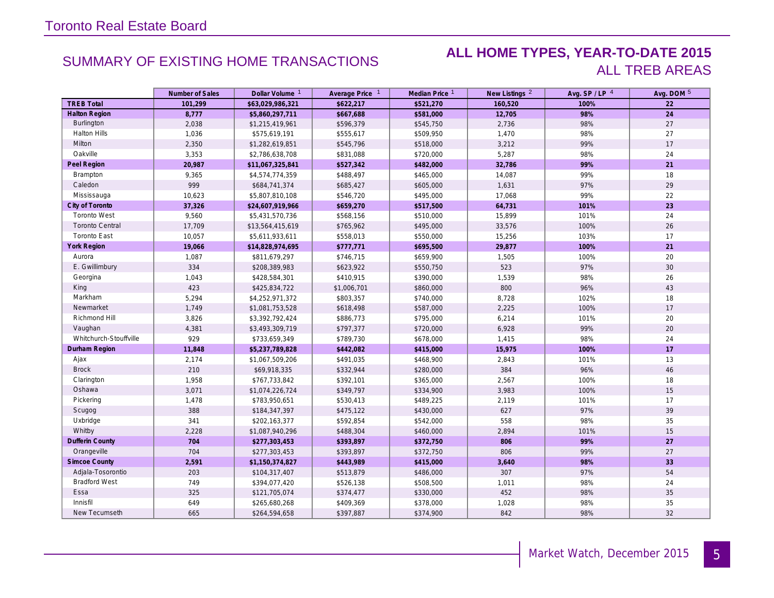### SUMMARY OF EXISTING HOME TRANSACTIONS **ALL HOME TYPES, YEAR-TO-DATE 2015** ALL TREB AREAS

|                        | Number of Sales | Dollar Volume <sup>1</sup> | Average Price 1 | Median Price 1 | New Listings <sup>2</sup> | Avg. SP / LP 4 | Avg. DOM 5 |
|------------------------|-----------------|----------------------------|-----------------|----------------|---------------------------|----------------|------------|
| <b>TREB Total</b>      | 101.299         | \$63,029,986,321           | \$622.217       | \$521,270      | 160,520                   | 100%           | 22         |
| <b>Halton Region</b>   | 8,777           | \$5,860,297,711            | \$667,688       | \$581,000      | 12,705                    | 98%            | 24         |
| Burlington             | 2,038           | \$1,215,419,961            | \$596,379       | \$545,750      | 2,736                     | 98%            | 27         |
| <b>Halton Hills</b>    | 1,036           | \$575,619,191              | \$555,617       | \$509,950      | 1,470                     | 98%            | 27         |
| Milton                 | 2,350           | \$1,282,619,851            | \$545,796       | \$518,000      | 3,212                     | 99%            | 17         |
| Oakville               | 3,353           | \$2,786,638,708            | \$831,088       | \$720,000      | 5,287                     | 98%            | 24         |
| Peel Region            | 20,987          | \$11,067,325,841           | \$527,342       | \$482,000      | 32,786                    | 99%            | 21         |
| Brampton               | 9,365           | \$4,574,774,359            | \$488,497       | \$465,000      | 14,087                    | 99%            | 18         |
| Caledon                | 999             | \$684,741,374              | \$685,427       | \$605,000      | 1,631                     | 97%            | 29         |
| Mississauga            | 10,623          | \$5,807,810,108            | \$546,720       | \$495,000      | 17,068                    | 99%            | 22         |
| City of Toronto        | 37,326          | \$24,607,919,966           | \$659,270       | \$517,500      | 64,731                    | 101%           | 23         |
| <b>Toronto West</b>    | 9,560           | \$5,431,570,736            | \$568,156       | \$510,000      | 15,899                    | 101%           | 24         |
| <b>Toronto Central</b> | 17,709          | \$13,564,415,619           | \$765,962       | \$495,000      | 33,576                    | 100%           | 26         |
| <b>Toronto East</b>    | 10,057          | \$5,611,933,611            | \$558,013       | \$550,000      | 15,256                    | 103%           | 17         |
| <b>York Region</b>     | 19,066          | \$14,828,974,695           | \$777,771       | \$695,500      | 29,877                    | 100%           | 21         |
| Aurora                 | 1,087           | \$811,679,297              | \$746,715       | \$659,900      | 1,505                     | 100%           | 20         |
| E. Gwillimbury         | 334             | \$208,389,983              | \$623,922       | \$550,750      | 523                       | 97%            | 30         |
| Georgina               | 1,043           | \$428,584,301              | \$410,915       | \$390,000      | 1,539                     | 98%            | 26         |
| King                   | 423             | \$425,834,722              | \$1,006,701     | \$860,000      | 800                       | 96%            | 43         |
| Markham                | 5,294           | \$4,252,971,372            | \$803,357       | \$740,000      | 8,728                     | 102%           | 18         |
| Newmarket              | 1,749           | \$1,081,753,528            | \$618,498       | \$587,000      | 2,225                     | 100%           | 17         |
| Richmond Hill          | 3,826           | \$3,392,792,424            | \$886,773       | \$795,000      | 6,214                     | 101%           | 20         |
| Vaughan                | 4,381           | \$3,493,309,719            | \$797,377       | \$720,000      | 6,928                     | 99%            | 20         |
| Whitchurch-Stouffville | 929             | \$733,659,349              | \$789,730       | \$678,000      | 1,415                     | 98%            | 24         |
| Durham Region          | 11,848          | \$5,237,789,828            | \$442,082       | \$415,000      | 15,975                    | 100%           | 17         |
| Ajax                   | 2,174           | \$1,067,509,206            | \$491,035       | \$468,900      | 2,843                     | 101%           | 13         |
| <b>Brock</b>           | 210             | \$69,918,335               | \$332,944       | \$280,000      | 384                       | 96%            | 46         |
| Clarington             | 1,958           | \$767,733,842              | \$392,101       | \$365,000      | 2,567                     | 100%           | 18         |
| Oshawa                 | 3,071           | \$1,074,226,724            | \$349,797       | \$334,900      | 3,983                     | 100%           | 15         |
| Pickering              | 1,478           | \$783,950,651              | \$530,413       | \$489,225      | 2,119                     | 101%           | 17         |
| Scugog                 | 388             | \$184,347,397              | \$475,122       | \$430,000      | 627                       | 97%            | 39         |
| Uxbridge               | 341             | \$202,163,377              | \$592,854       | \$542,000      | 558                       | 98%            | 35         |
| Whitby                 | 2,228           | \$1,087,940,296            | \$488,304       | \$460,000      | 2,894                     | 101%           | 15         |
| Dufferin County        | 704             | \$277,303,453              | \$393,897       | \$372,750      | 806                       | 99%            | 27         |
| Orangeville            | 704             | \$277,303,453              | \$393,897       | \$372,750      | 806                       | 99%            | 27         |
| <b>Simcoe County</b>   | 2,591           | \$1,150,374,827            | \$443,989       | \$415,000      | 3,640                     | 98%            | 33         |
| Adjala-Tosorontio      | 203             | \$104,317,407              | \$513,879       | \$486,000      | 307                       | 97%            | 54         |
| <b>Bradford West</b>   | 749             | \$394,077,420              | \$526,138       | \$508,500      | 1,011                     | 98%            | 24         |
| Essa                   | 325             | \$121,705,074              | \$374,477       | \$330,000      | 452                       | 98%            | 35         |
| Innisfil               | 649             | \$265,680,268              | \$409,369       | \$378,000      | 1,028                     | 98%            | 35         |
| New Tecumseth          | 665             | \$264,594,658              | \$397,887       | \$374,900      | 842                       | 98%            | 32         |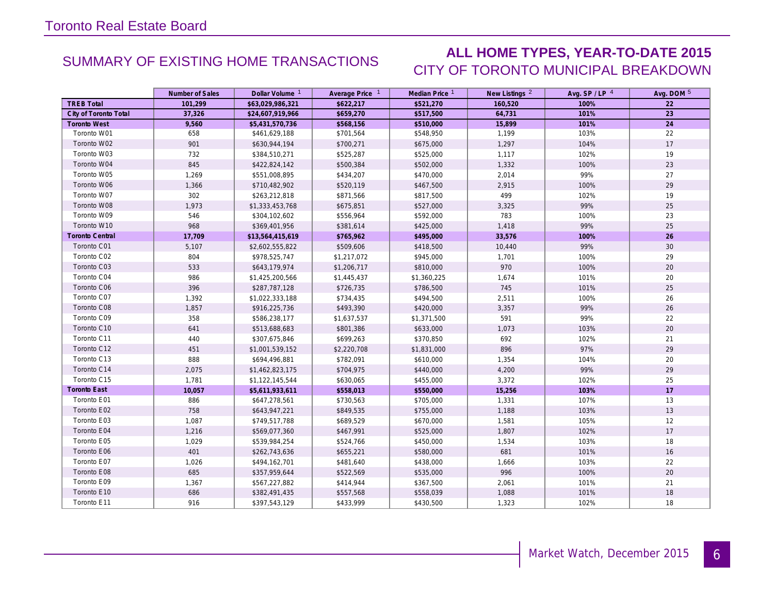### SUMMARY OF EXISTING HOME TRANSACTIONS **ALL HOME TYPES, YEAR-TO-DATE 2015** CITY OF TORONTO MUNICIPAL BREAKDOWN

|                        | Number of Sales | Dollar Volume <sup>1</sup> | Average Price 1 | Median Price 1 | New Listings <sup>2</sup> | Avg. SP/LP 4 | Avg. DOM 5 |
|------------------------|-----------------|----------------------------|-----------------|----------------|---------------------------|--------------|------------|
| <b>TREB Total</b>      | 101.299         | \$63,029,986,321           | \$622,217       | \$521,270      | 160,520                   | 100%         | 22         |
| City of Toronto Total  | 37,326          | \$24,607,919,966           | \$659,270       | \$517,500      | 64,731                    | 101%         | 23         |
| <b>Toronto West</b>    | 9,560           | \$5,431,570,736            | \$568,156       | \$510,000      | 15,899                    | 101%         | 24         |
| Toronto W01            | 658             | \$461,629,188              | \$701,564       | \$548,950      | 1,199                     | 103%         | 22         |
| Toronto W02            | 901             | \$630,944,194              | \$700,271       | \$675,000      | 1,297                     | 104%         | 17         |
| Toronto W03            | 732             | \$384,510,271              | \$525,287       | \$525,000      | 1,117                     | 102%         | 19         |
| Toronto W04            | 845             | \$422,824,142              | \$500,384       | \$502,000      | 1,332                     | 100%         | 23         |
| Toronto W05            | 1,269           | \$551,008,895              | \$434,207       | \$470,000      | 2,014                     | 99%          | 27         |
| Toronto W06            | 1,366           | \$710,482,902              | \$520,119       | \$467,500      | 2,915                     | 100%         | 29         |
| Toronto W07            | 302             | \$263,212,818              | \$871,566       | \$817,500      | 499                       | 102%         | 19         |
| Toronto W08            | 1,973           | \$1,333,453,768            | \$675,851       | \$527,000      | 3,325                     | 99%          | 25         |
| Toronto W09            | 546             | \$304,102,602              | \$556,964       | \$592,000      | 783                       | 100%         | 23         |
| Toronto W10            | 968             | \$369,401,956              | \$381,614       | \$425,000      | 1,418                     | 99%          | 25         |
| <b>Toronto Central</b> | 17,709          | \$13,564,415,619           | \$765,962       | \$495,000      | 33,576                    | 100%         | 26         |
| Toronto C01            | 5,107           | \$2,602,555,822            | \$509,606       | \$418,500      | 10,440                    | 99%          | 30         |
| Toronto C02            | 804             | \$978,525,747              | \$1,217,072     | \$945,000      | 1,701                     | 100%         | 29         |
| Toronto C03            | 533             | \$643,179,974              | \$1,206,717     | \$810,000      | 970                       | 100%         | 20         |
| Toronto C04            | 986             | \$1,425,200,566            | \$1,445,437     | \$1,360,225    | 1,674                     | 101%         | 20         |
| Toronto C06            | 396             | \$287,787,128              | \$726,735       | \$786,500      | 745                       | 101%         | 25         |
| Toronto C07            | 1,392           | \$1,022,333,188            | \$734,435       | \$494,500      | 2,511                     | 100%         | 26         |
| Toronto C08            | 1,857           | \$916,225,736              | \$493,390       | \$420,000      | 3,357                     | 99%          | 26         |
| Toronto C09            | 358             | \$586,238,177              | \$1,637,537     | \$1,371,500    | 591                       | 99%          | 22         |
| Toronto C10            | 641             | \$513,688,683              | \$801,386       | \$633,000      | 1,073                     | 103%         | 20         |
| Toronto C11            | 440             | \$307,675,846              | \$699,263       | \$370,850      | 692                       | 102%         | 21         |
| Toronto C12            | 451             | \$1,001,539,152            | \$2,220,708     | \$1,831,000    | 896                       | 97%          | 29         |
| Toronto C13            | 888             | \$694,496,881              | \$782,091       | \$610,000      | 1,354                     | 104%         | 20         |
| Toronto C14            | 2,075           | \$1,462,823,175            | \$704,975       | \$440,000      | 4,200                     | 99%          | 29         |
| Toronto C15            | 1,781           | \$1,122,145,544            | \$630,065       | \$455,000      | 3,372                     | 102%         | 25         |
| <b>Toronto East</b>    | 10,057          | \$5,611,933,611            | \$558,013       | \$550,000      | 15,256                    | 103%         | 17         |
| Toronto E01            | 886             | \$647,278,561              | \$730,563       | \$705,000      | 1,331                     | 107%         | 13         |
| Toronto E02            | 758             | \$643,947,221              | \$849,535       | \$755,000      | 1,188                     | 103%         | 13         |
| Toronto E03            | 1,087           | \$749,517,788              | \$689,529       | \$670,000      | 1,581                     | 105%         | 12         |
| Toronto E04            | 1,216           | \$569,077,360              | \$467,991       | \$525,000      | 1,807                     | 102%         | 17         |
| Toronto E05            | 1,029           | \$539,984,254              | \$524,766       | \$450,000      | 1,534                     | 103%         | 18         |
| Toronto E06            | 401             | \$262,743,636              | \$655,221       | \$580,000      | 681                       | 101%         | 16         |
| Toronto E07            | 1,026           | \$494,162,701              | \$481,640       | \$438,000      | 1,666                     | 103%         | 22         |
| Toronto E08            | 685             | \$357,959,644              | \$522,569       | \$535,000      | 996                       | 100%         | $20\,$     |
| Toronto E09            | 1,367           | \$567,227,882              | \$414,944       | \$367,500      | 2,061                     | 101%         | 21         |
| Toronto E10            | 686             | \$382,491,435              | \$557,568       | \$558,039      | 1,088                     | 101%         | 18         |
| Toronto E11            | 916             | \$397,543,129              | \$433,999       | \$430,500      | 1,323                     | 102%         | 18         |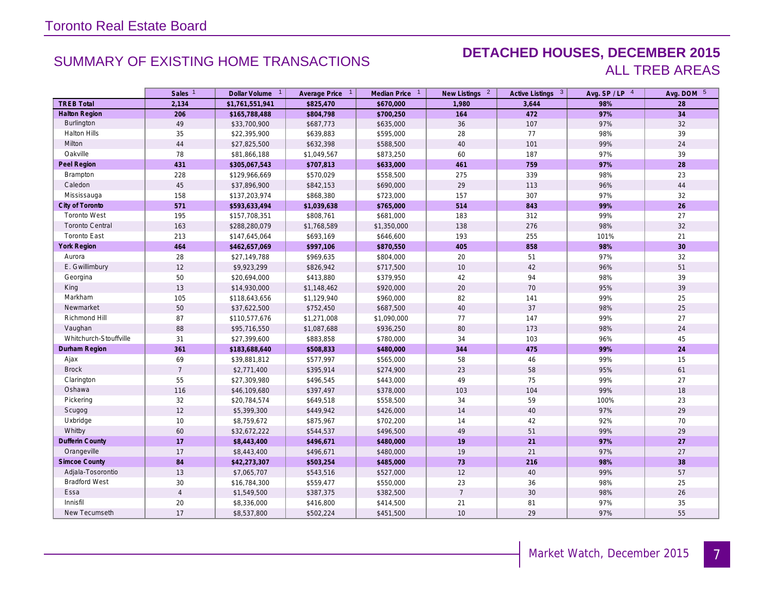### SUMMARY OF EXISTING HOME TRANSACTIONS **DETACHED HOUSES, DECEMBER 2015** ALL TREB AREAS

|                        | Sales <sup>1</sup> | Dollar Volume 1 | Average Price 1 | Median Price 1 | New Listings <sup>2</sup> | Active Listings 3 | Avg. SP/LP 4 | Avg. DOM 5 |
|------------------------|--------------------|-----------------|-----------------|----------------|---------------------------|-------------------|--------------|------------|
| <b>TREB Total</b>      | 2,134              | \$1,761,551,941 | \$825,470       | \$670,000      | 1,980                     | 3,644             | 98%          | 28         |
| <b>Halton Region</b>   | 206                | \$165,788,488   | \$804,798       | \$700,250      | 164                       | 472               | 97%          | 34         |
| Burlington             | 49                 | \$33,700,900    | \$687,773       | \$635,000      | 36                        | 107               | 97%          | 32         |
| <b>Halton Hills</b>    | 35                 | \$22,395,900    | \$639,883       | \$595,000      | 28                        | 77                | 98%          | 39         |
| Milton                 | $44\,$             | \$27,825,500    | \$632,398       | \$588,500      | 40                        | 101               | 99%          | 24         |
| Oakville               | 78                 | \$81,866,188    | \$1,049,567     | \$873,250      | 60                        | 187               | 97%          | 39         |
| Peel Region            | 431                | \$305,067,543   | \$707,813       | \$633,000      | 461                       | 759               | 97%          | 28         |
| Brampton               | 228                | \$129,966,669   | \$570,029       | \$558,500      | 275                       | 339               | 98%          | 23         |
| Caledon                | 45                 | \$37,896,900    | \$842,153       | \$690,000      | 29                        | 113               | 96%          | 44         |
| Mississauga            | 158                | \$137,203,974   | \$868,380       | \$723,000      | 157                       | 307               | 97%          | 32         |
| City of Toronto        | 571                | \$593,633,494   | \$1,039,638     | \$765,000      | 514                       | 843               | 99%          | 26         |
| <b>Toronto West</b>    | 195                | \$157,708,351   | \$808,761       | \$681,000      | 183                       | 312               | 99%          | 27         |
| <b>Toronto Central</b> | 163                | \$288,280,079   | \$1,768,589     | \$1,350,000    | 138                       | 276               | 98%          | 32         |
| <b>Toronto East</b>    | 213                | \$147,645,064   | \$693,169       | \$646,600      | 193                       | 255               | 101%         | 21         |
| York Region            | 464                | \$462,657,069   | \$997,106       | \$870,550      | 405                       | 858               | 98%          | 30         |
| Aurora                 | 28                 | \$27,149,788    | \$969,635       | \$804,000      | 20                        | 51                | 97%          | 32         |
| E. Gwillimbury         | $12$               | \$9,923,299     | \$826,942       | \$717,500      | 10                        | 42                | 96%          | 51         |
| Georgina               | 50                 | \$20,694,000    | \$413,880       | \$379,950      | 42                        | 94                | 98%          | 39         |
| King                   | 13                 | \$14,930,000    | \$1,148,462     | \$920,000      | 20                        | 70                | 95%          | 39         |
| Markham                | 105                | \$118,643,656   | \$1,129,940     | \$960,000      | 82                        | 141               | 99%          | 25         |
| Newmarket              | 50                 | \$37,622,500    | \$752,450       | \$687,500      | $40\,$                    | 37                | 98%          | 25         |
| Richmond Hill          | 87                 | \$110,577,676   | \$1,271,008     | \$1,090,000    | 77                        | 147               | 99%          | 27         |
| Vaughan                | 88                 | \$95,716,550    | \$1,087,688     | \$936,250      | 80                        | 173               | 98%          | 24         |
| Whitchurch-Stouffville | 31                 | \$27,399,600    | \$883,858       | \$780,000      | 34                        | 103               | 96%          | 45         |
| Durham Region          | 361                | \$183,688,640   | \$508,833       | \$480,000      | 344                       | 475               | 99%          | 24         |
| Ajax                   | 69                 | \$39,881,812    | \$577,997       | \$565,000      | 58                        | 46                | 99%          | 15         |
| <b>Brock</b>           | $\overline{7}$     | \$2,771,400     | \$395,914       | \$274,900      | 23                        | 58                | 95%          | 61         |
| Clarington             | 55                 | \$27,309,980    | \$496,545       | \$443,000      | 49                        | 75                | 99%          | 27         |
| Oshawa                 | 116                | \$46,109,680    | \$397,497       | \$378,000      | 103                       | 104               | 99%          | 18         |
| Pickering              | 32                 | \$20,784,574    | \$649,518       | \$558,500      | 34                        | 59                | 100%         | 23         |
| Scugog                 | 12                 | \$5,399,300     | \$449,942       | \$426,000      | $14$                      | 40                | 97%          | 29         |
| Uxbridge               | 10                 | \$8,759,672     | \$875,967       | \$702,200      | 14                        | 42                | 92%          | 70         |
| Whitby                 | 60                 | \$32,672,222    | \$544,537       | \$496,500      | 49                        | 51                | 99%          | 29         |
| Dufferin County        | 17                 | \$8,443,400     | \$496,671       | \$480,000      | 19                        | 21                | 97%          | 27         |
| Orangeville            | $17$               | \$8,443,400     | \$496,671       | \$480,000      | 19                        | 21                | 97%          | 27         |
| <b>Simcoe County</b>   | 84                 | \$42,273,307    | \$503,254       | \$485,000      | 73                        | 216               | 98%          | 38         |
| Adjala-Tosorontio      | 13                 | \$7,065,707     | \$543,516       | \$527,000      | 12                        | 40                | 99%          | 57         |
| <b>Bradford West</b>   | 30                 | \$16,784,300    | \$559,477       | \$550,000      | 23                        | 36                | 98%          | 25         |
| Essa                   | $\overline{4}$     | \$1,549,500     | \$387,375       | \$382,500      | $\overline{7}$            | 30                | 98%          | 26         |
| Innisfil               | 20                 | \$8,336,000     | \$416,800       | \$414,500      | 21                        | 81                | 97%          | 35         |
| New Tecumseth          | 17                 | \$8,537,800     | \$502,224       | \$451,500      | 10                        | 29                | 97%          | 55         |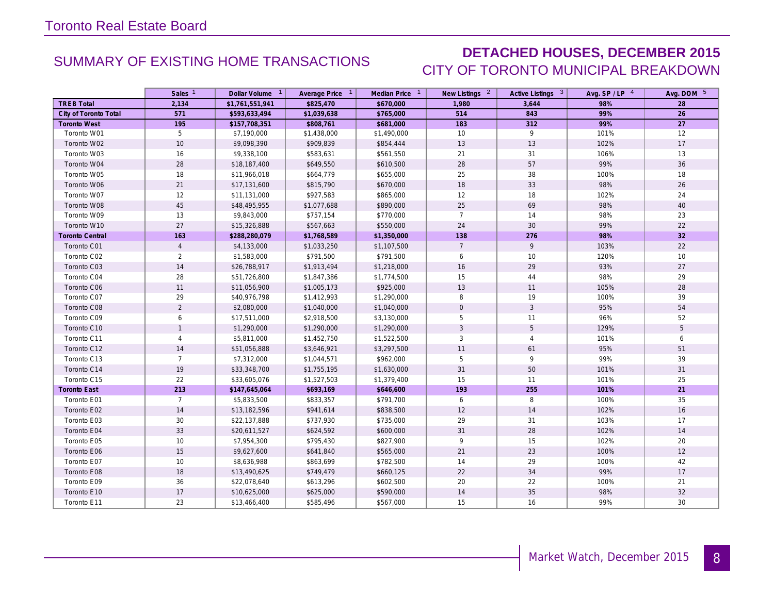### SUMMARY OF EXISTING HOME TRANSACTIONS **DETACHED HOUSES, DECEMBER 2015** CITY OF TORONTO MUNICIPAL BREAKDOWN

|                        | Sales <sup>1</sup> | Dollar Volume <sup>1</sup> | Average Price 1 | Median Price 1 | New Listings 2  | Active Listings 3 | Avg. $SP / LP$ <sup>4</sup> | Avg. DOM 5 |
|------------------------|--------------------|----------------------------|-----------------|----------------|-----------------|-------------------|-----------------------------|------------|
| <b>TREB Total</b>      | 2,134              | \$1,761,551,941            | \$825,470       | \$670,000      | 1,980           | 3,644             | 98%                         | 28         |
| City of Toronto Total  | 571                | \$593,633,494              | \$1,039,638     | \$765,000      | 514             | 843               | 99%                         | 26         |
| <b>Toronto West</b>    | 195                | \$157,708,351              | \$808,761       | \$681,000      | 183             | 312               | 99%                         | 27         |
| Toronto W01            | 5                  | \$7,190,000                | \$1,438,000     | \$1,490,000    | 10              | 9                 | 101%                        | 12         |
| Toronto W02            | 10                 | \$9,098,390                | \$909,839       | \$854,444      | 13              | 13                | 102%                        | 17         |
| Toronto W03            | 16                 | \$9,338,100                | \$583,631       | \$561,550      | 21              | 31                | 106%                        | 13         |
| Toronto W04            | 28                 | \$18,187,400               | \$649,550       | \$610,500      | 28              | 57                | 99%                         | 36         |
| Toronto W05            | 18                 | \$11,966,018               | \$664,779       | \$655,000      | 25              | 38                | 100%                        | 18         |
| Toronto W06            | 21                 | \$17,131,600               | \$815,790       | \$670,000      | 18              | 33                | 98%                         | 26         |
| Toronto W07            | 12                 | \$11,131,000               | \$927,583       | \$865,000      | 12              | 18                | 102%                        | 24         |
| Toronto W08            | 45                 | \$48,495,955               | \$1,077,688     | \$890,000      | 25              | 69                | 98%                         | 40         |
| Toronto W09            | 13                 | \$9,843,000                | \$757,154       | \$770,000      | $\overline{7}$  | 14                | 98%                         | 23         |
| Toronto W10            | $27\,$             | \$15,326,888               | \$567,663       | \$550,000      | 24              | 30                | 99%                         | 22         |
| <b>Toronto Central</b> | 163                | \$288,280,079              | \$1,768,589     | \$1,350,000    | 138             | 276               | 98%                         | 32         |
| Toronto C01            | $\overline{4}$     | \$4,133,000                | \$1,033,250     | \$1,107,500    | $7\overline{ }$ | 9                 | 103%                        | 22         |
| Toronto C02            | $\overline{2}$     | \$1,583,000                | \$791,500       | \$791,500      | 6               | 10                | 120%                        | 10         |
| Toronto C03            | 14                 | \$26,788,917               | \$1,913,494     | \$1,218,000    | 16              | 29                | 93%                         | 27         |
| Toronto C04            | 28                 | \$51,726,800               | \$1,847,386     | \$1,774,500    | 15              | 44                | 98%                         | 29         |
| Toronto C06            | 11                 | \$11,056,900               | \$1,005,173     | \$925,000      | 13              | 11                | 105%                        | 28         |
| Toronto C07            | 29                 | \$40,976,798               | \$1,412,993     | \$1,290,000    | 8               | 19                | 100%                        | 39         |
| Toronto C08            | $\overline{2}$     | \$2,080,000                | \$1,040,000     | \$1,040,000    | $\mathbf 0$     | $\mathfrak{Z}$    | 95%                         | 54         |
| Toronto C09            | 6                  | \$17,511,000               | \$2,918,500     | \$3,130,000    | 5               | 11                | 96%                         | 52         |
| Toronto C10            | $\mathbf{1}$       | \$1,290,000                | \$1,290,000     | \$1,290,000    | $\mathbf{3}$    | 5                 | 129%                        | 5          |
| Toronto C11            | $\overline{4}$     | \$5,811,000                | \$1,452,750     | \$1,522,500    | 3               | $\overline{4}$    | 101%                        | 6          |
| Toronto C12            | 14                 | \$51,056,888               | \$3,646,921     | \$3,297,500    | 11              | 61                | 95%                         | 51         |
| Toronto C13            | $\overline{7}$     | \$7,312,000                | \$1,044,571     | \$962,000      | 5               | 9                 | 99%                         | 39         |
| Toronto C14            | 19                 | \$33,348,700               | \$1,755,195     | \$1,630,000    | 31              | 50                | 101%                        | 31         |
| Toronto C15            | 22                 | \$33,605,076               | \$1,527,503     | \$1,379,400    | 15              | 11                | 101%                        | 25         |
| Toronto East           | 213                | \$147,645,064              | \$693,169       | \$646,600      | 193             | 255               | 101%                        | 21         |
| Toronto E01            | $\overline{7}$     | \$5,833,500                | \$833,357       | \$791,700      | 6               | 8                 | 100%                        | 35         |
| Toronto E02            | 14                 | \$13,182,596               | \$941,614       | \$838,500      | 12              | 14                | 102%                        | 16         |
| Toronto E03            | 30                 | \$22,137,888               | \$737,930       | \$735,000      | 29              | 31                | 103%                        | 17         |
| Toronto E04            | 33                 | \$20,611,527               | \$624,592       | \$600,000      | 31              | 28                | 102%                        | 14         |
| Toronto E05            | 10                 | \$7,954,300                | \$795,430       | \$827,900      | 9               | 15                | 102%                        | 20         |
| Toronto E06            | 15                 | \$9,627,600                | \$641,840       | \$565,000      | 21              | 23                | 100%                        | 12         |
| Toronto E07            | 10                 | \$8,636,988                | \$863,699       | \$782,500      | 14              | 29                | 100%                        | 42         |
| Toronto E08            | 18                 | \$13,490,625               | \$749,479       | \$660,125      | 22              | 34                | 99%                         | 17         |
| Toronto E09            | 36                 | \$22,078,640               | \$613,296       | \$602,500      | 20              | 22                | 100%                        | 21         |
| Toronto E10            | 17                 | \$10,625,000               | \$625,000       | \$590,000      | 14              | 35                | 98%                         | 32         |
| Toronto E11            | 23                 | \$13,466,400               | \$585,496       | \$567,000      | 15              | 16                | 99%                         | 30         |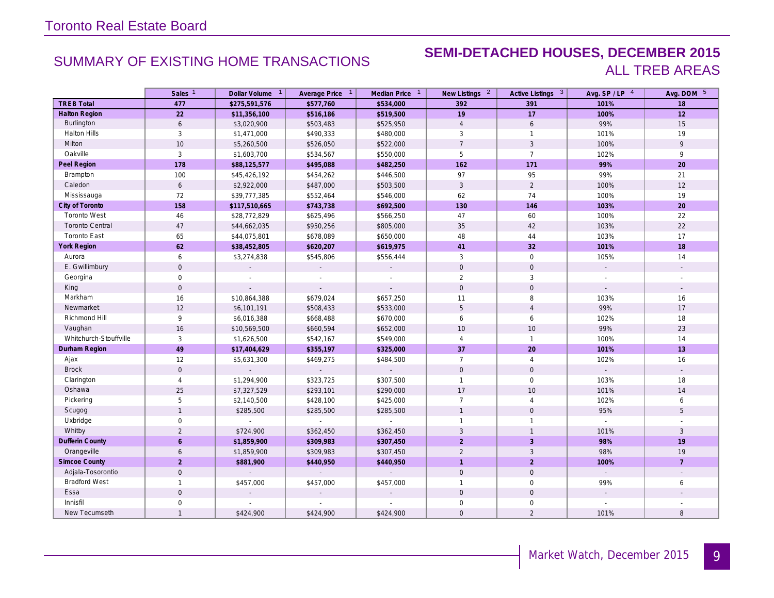### SUMMARY OF EXISTING HOME TRANSACTIONS **SEMI-DETACHED HOUSES, DECEMBER 2015** ALL TREB AREAS

|                        | Sales <sup>1</sup>  | Dollar Volume 1 | Average Price 1 | Median Price 1              | New Listings <sup>2</sup> | Active Listings 3   | Avg. SP/LP 4             | Avg. DOM 5               |
|------------------------|---------------------|-----------------|-----------------|-----------------------------|---------------------------|---------------------|--------------------------|--------------------------|
| <b>TREB Total</b>      | 477                 | \$275,591,576   | \$577,760       | \$534,000                   | 392                       | 391                 | 101%                     | 18                       |
| <b>Halton Region</b>   | 22                  | \$11,356,100    | \$516,186       | \$519,500                   | 19                        | 17                  | 100%                     | 12                       |
| <b>Burlington</b>      | 6                   | \$3,020,900     | \$503,483       | \$525,950                   | $\overline{4}$            | 6                   | 99%                      | 15                       |
| <b>Halton Hills</b>    | 3                   | \$1,471,000     | \$490,333       | \$480,000                   | 3                         | $\mathbf{1}$        | 101%                     | 19                       |
| Milton                 | 10                  | \$5,260,500     | \$526,050       | \$522,000                   | $7\overline{ }$           | $\overline{3}$      | 100%                     | 9                        |
| Oakville               | $\mathbf{3}$        | \$1,603,700     | \$534,567       | \$550,000                   | 5                         | $\overline{7}$      | 102%                     | 9                        |
| Peel Region            | 178                 | \$88,125,577    | \$495,088       | \$482,250                   | 162                       | 171                 | 99%                      | 20                       |
| Brampton               | 100                 | \$45,426,192    | \$454,262       | \$446,500                   | 97                        | 95                  | 99%                      | 21                       |
| Caledon                | 6                   | \$2,922,000     | \$487,000       | \$503,500                   | $\mathbf{3}$              | $\overline{2}$      | 100%                     | 12                       |
| Mississauga            | 72                  | \$39,777,385    | \$552,464       | \$546,000                   | 62                        | 74                  | 100%                     | 19                       |
| City of Toronto        | 158                 | \$117,510,665   | \$743,738       | \$692,500                   | 130                       | 146                 | 103%                     | 20                       |
| <b>Toronto West</b>    | 46                  | \$28,772,829    | \$625,496       | \$566,250                   | 47                        | 60                  | 100%                     | 22                       |
| <b>Toronto Central</b> | $47\,$              | \$44,662,035    | \$950,256       | \$805,000                   | 35                        | 42                  | 103%                     | 22                       |
| <b>Toronto East</b>    | 65                  | \$44,075,801    | \$678,089       | \$650,000                   | 48                        | 44                  | 103%                     | 17                       |
| <b>York Region</b>     | 62                  | \$38,452,805    | \$620,207       | \$619,975                   | 41                        | 32                  | 101%                     | 18                       |
| Aurora                 | 6                   | \$3,274,838     | \$545,806       | \$556,444                   | $\mathbf{3}$              | $\mathbf 0$         | 105%                     | 14                       |
| E. Gwillimbury         | $\mathbf 0$         |                 |                 |                             | $\mathbf 0$               | $\mathbf 0$         |                          | $\overline{\phantom{a}}$ |
| Georgina               | $\mathsf{O}\xspace$ |                 |                 |                             | $\overline{2}$            | $\mathbf{3}$        |                          |                          |
| King                   | $\mathsf{O}$        |                 |                 |                             | $\mathbf{0}$              | $\mathbf 0$         | $\overline{a}$           |                          |
| Markham                | 16                  | \$10,864,388    | \$679,024       | \$657,250                   | 11                        | 8                   | 103%                     | 16                       |
| Newmarket              | 12                  | \$6,101,191     | \$508,433       | \$533,000                   | 5                         | $\overline{4}$      | 99%                      | 17                       |
| Richmond Hill          | 9                   | \$6,016,388     | \$668,488       | \$670,000                   | 6                         | 6                   | 102%                     | 18                       |
| Vaughan                | 16                  | \$10,569,500    | \$660,594       | \$652,000                   | 10                        | 10                  | 99%                      | 23                       |
| Whitchurch-Stouffville | 3                   | \$1,626,500     | \$542,167       | \$549,000                   | $\overline{4}$            | $\mathbf{1}$        | 100%                     | 14                       |
| Durham Region          | 49                  | \$17,404,629    | \$355,197       | \$325,000                   | 37                        | 20                  | 101%                     | 13                       |
| Ajax                   | 12                  | \$5,631,300     | \$469,275       | \$484,500                   | $\overline{7}$            | $\overline{4}$      | 102%                     | 16                       |
| <b>Brock</b>           | $\mathbf 0$         | $\sim$          | $\mathbb{Z}^2$  | $\mathbb{Z}^2$              | $\mathbf 0$               | $\mathsf{O}\xspace$ |                          | $\sim$                   |
| Clarington             | $\overline{4}$      | \$1,294,900     | \$323,725       | \$307,500                   | $\mathbf{1}$              | $\mathbf 0$         | 103%                     | 18                       |
| Oshawa                 | 25                  | \$7,327,529     | \$293,101       | \$290,000                   | 17                        | 10                  | 101%                     | 14                       |
| Pickering              | $\overline{5}$      | \$2,140,500     | \$428,100       | \$425,000                   | $\overline{7}$            | $\overline{4}$      | 102%                     | 6                        |
| Scugog                 | $\mathbf{1}$        | \$285,500       | \$285,500       | \$285,500                   | $\mathbf{1}$              | $\mathbf 0$         | 95%                      | 5                        |
| Uxbridge               | $\mathbf 0$         |                 |                 | $\sim$                      | $\mathbf{1}$              | $\mathbf{1}$        |                          |                          |
| Whitby                 | $\overline{2}$      | \$724,900       | \$362,450       | \$362,450                   | 3                         | $\overline{1}$      | 101%                     | 3                        |
| <b>Dufferin County</b> | $\mathbf{6}$        | \$1,859,900     | \$309,983       | \$307,450                   | $\overline{2}$            | $\overline{3}$      | 98%                      | 19                       |
| Orangeville            | 6                   | \$1,859,900     | \$309,983       | \$307,450                   | $\overline{2}$            | $\mathbf{3}$        | 98%                      | 19                       |
| <b>Simcoe County</b>   | $\overline{2}$      | \$881,900       | \$440,950       | \$440,950                   | $\mathbf{1}$              | $\overline{2}$      | 100%                     | $\overline{7}$           |
| Adjala-Tosorontio      | $\mathbf 0$         | $\mathbf{r}$    |                 | $\mathcal{L}^{\mathcal{A}}$ | $\mathbf 0$               | $\mathbf 0$         | $\overline{\phantom{a}}$ |                          |
| <b>Bradford West</b>   | $\mathbf{1}$        | \$457,000       | \$457,000       | \$457,000                   | $\mathbf{1}$              | $\mathbf 0$         | 99%                      | 6                        |
| Essa                   | $\mathbf 0$         |                 |                 |                             | $\mathbf{0}$              | $\mathbf 0$         |                          |                          |
| Innisfil               | $\mathbf 0$         |                 |                 |                             | $\mathbf 0$               | $\mathbf 0$         |                          |                          |
| New Tecumseth          | $\mathbf{1}$        | \$424,900       | \$424,900       | \$424,900                   | $\mathbf{0}$              | $\overline{2}$      | 101%                     | 8                        |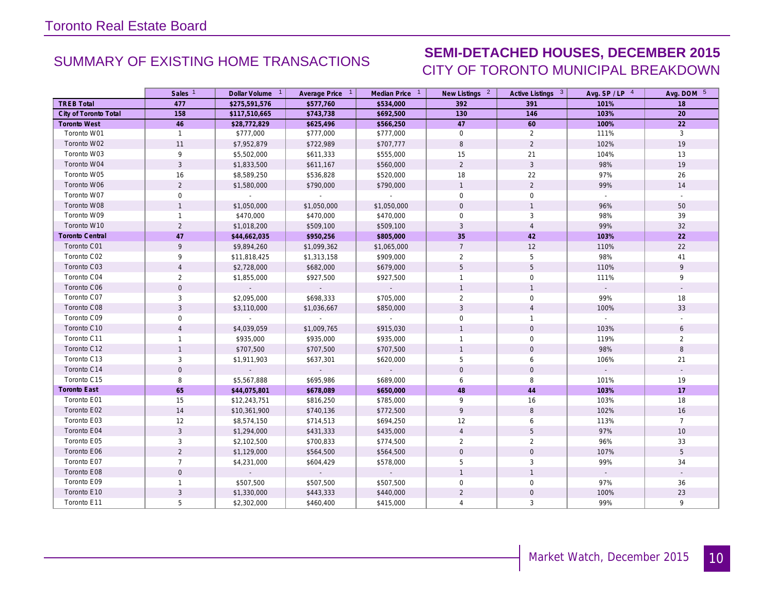## SUMMARY OF EXISTING HOME TRANSACTIONS **SEMI-DETACHED HOUSES, DECEMBER 2015** CITY OF TORONTO MUNICIPAL BREAKDOWN

|                        | Sales <sup>1</sup> | Dollar Volume 1 | Average Price 1 | Median Price 1      | New Listings 2      | Active Listings 3 | Avg. $SP / LP$ <sup>4</sup> | Avg. DOM 5     |
|------------------------|--------------------|-----------------|-----------------|---------------------|---------------------|-------------------|-----------------------------|----------------|
| <b>TREB Total</b>      | 477                | \$275,591,576   | \$577,760       | \$534,000           | 392                 | 391               | 101%                        | 18             |
| City of Toronto Total  | 158                | \$117,510,665   | \$743,738       | \$692,500           | 130                 | 146               | 103%                        | 20             |
| <b>Toronto West</b>    | 46                 | \$28,772,829    | \$625,496       | \$566,250           | 47                  | 60                | 100%                        | 22             |
| Toronto W01            | $\mathbf{1}$       | \$777,000       | \$777,000       | \$777,000           | $\overline{0}$      | $\overline{2}$    | 111%                        | $\overline{3}$ |
| Toronto W02            | 11                 | \$7,952,879     | \$722,989       | \$707,777           | 8                   | $\overline{2}$    | 102%                        | 19             |
| Toronto W03            | 9                  | \$5,502,000     | \$611,333       | \$555,000           | 15                  | 21                | 104%                        | 13             |
| Toronto W04            | 3                  | \$1,833,500     | \$611,167       | \$560,000           | $\overline{2}$      | $\mathbf{3}$      | 98%                         | 19             |
| Toronto W05            | 16                 | \$8,589,250     | \$536,828       | \$520,000           | 18                  | 22                | 97%                         | 26             |
| Toronto W06            | $\overline{2}$     | \$1,580,000     | \$790,000       | \$790,000           | $\mathbf{1}$        | 2                 | 99%                         | 14             |
| Toronto W07            | $\mathbf 0$        | $\sim$          |                 | $\sim$              | $\mathbf 0$         | $\mathbf 0$       |                             | $\sim$         |
| Toronto W08            | $\mathbf{1}$       | \$1,050,000     | \$1,050,000     | \$1,050,000         | $\mathsf{O}\xspace$ | $\overline{1}$    | 96%                         | 50             |
| Toronto W09            | $\mathbf{1}$       | \$470,000       | \$470,000       | \$470,000           | $\mathbf 0$         | $\mathbf{3}$      | 98%                         | 39             |
| Toronto W10            | $\overline{2}$     | \$1,018,200     | \$509,100       | \$509,100           | $\mathbf{3}$        | $\overline{4}$    | 99%                         | 32             |
| <b>Toronto Central</b> | 47                 | \$44,662,035    | \$950,256       | \$805,000           | 35                  | 42                | 103%                        | 22             |
| Toronto C01            | 9                  | \$9,894,260     | \$1,099,362     | \$1,065,000         | $7\overline{ }$     | 12                | 110%                        | 22             |
| Toronto C02            | 9                  | \$11,818,425    | \$1,313,158     | \$909,000           | $\overline{2}$      | 5                 | 98%                         | 41             |
| Toronto C03            | $\Delta$           | \$2,728,000     | \$682,000       | \$679,000           | 5                   | 5                 | 110%                        | 9              |
| Toronto C04            | $\overline{2}$     | \$1,855,000     | \$927,500       | \$927,500           | $\mathbf{1}$        | $\mathbf 0$       | 111%                        | 9              |
| Toronto C06            | $\mathbf{O}$       | $\mathbb{Z}^2$  | $\sim$          | $\omega_{\rm{eff}}$ | $\mathbf{1}$        | $\overline{1}$    | $\sim$                      |                |
| Toronto C07            | 3                  | \$2,095,000     | \$698,333       | \$705,000           | $\overline{2}$      | $\mathbf 0$       | 99%                         | 18             |
| Toronto C08            | 3                  | \$3,110,000     | \$1,036,667     | \$850,000           | 3                   | $\overline{4}$    | 100%                        | 33             |
| Toronto C09            | 0                  | $\sim$          | $\sim$          | $\sim$              | 0                   | $\overline{1}$    | $\mathbb{Z}^{\times}$       |                |
| Toronto C10            | $\overline{4}$     | \$4,039,059     | \$1,009,765     | \$915,030           | $\mathbf{1}$        | $\mathbf 0$       | 103%                        | 6              |
| Toronto C11            | $\mathbf{1}$       | \$935,000       | \$935,000       | \$935,000           | $\mathbf{1}$        | $\mathsf{O}$      | 119%                        | $\overline{2}$ |
| Toronto C12            | $\mathbf{1}$       | \$707,500       | \$707,500       | \$707,500           | $\mathbf{1}$        | $\mathbf{0}$      | 98%                         | 8              |
| Toronto C13            | 3                  | \$1,911,903     | \$637,301       | \$620,000           | 5                   | 6                 | 106%                        | 21             |
| Toronto C14            | $\mathbf 0$        |                 |                 | $\omega_{\rm c}$    | $\mathbf 0$         | $\mathbf 0$       |                             |                |
| Toronto C15            | 8                  | \$5,567,888     | \$695,986       | \$689,000           | 6                   | 8                 | 101%                        | 19             |
| <b>Toronto East</b>    | 65                 | \$44,075,801    | \$678,089       | \$650,000           | 48                  | 44                | 103%                        | 17             |
| Toronto E01            | 15                 | \$12,243,751    | \$816,250       | \$785,000           | 9                   | 16                | 103%                        | 18             |
| Toronto E02            | 14                 | \$10,361,900    | \$740,136       | \$772,500           | 9                   | 8                 | 102%                        | 16             |
| Toronto E03            | 12                 | \$8,574,150     | \$714,513       | \$694,250           | 12                  | 6                 | 113%                        | $\overline{7}$ |
| Toronto E04            | $\overline{3}$     | \$1,294,000     | \$431,333       | \$435,000           | $\overline{4}$      | 5                 | 97%                         | 10             |
| Toronto E05            | 3                  | \$2,102,500     | \$700,833       | \$774,500           | $\overline{2}$      | 2                 | 96%                         | 33             |
| Toronto E06            | $\overline{2}$     | \$1,129,000     | \$564,500       | \$564,500           | $\mathsf{O}\xspace$ | $\mathbf 0$       | 107%                        | 5              |
| Toronto E07            | $\overline{7}$     | \$4,231,000     | \$604,429       | \$578,000           | 5                   | $\mathbf{3}$      | 99%                         | 34             |
| Toronto E08            | $\overline{0}$     |                 |                 |                     | $\mathbf{1}$        | $\overline{1}$    | $\sim$                      | $\sim$         |
| Toronto E09            | $\mathbf{1}$       | \$507,500       | \$507,500       | \$507,500           | $\mathbf 0$         | $\mathbf 0$       | 97%                         | 36             |
| Toronto E10            | 3                  | \$1,330,000     | \$443,333       | \$440,000           | $\overline{2}$      | $\mathbf 0$       | 100%                        | 23             |
| Toronto E11            | 5                  | \$2,302,000     | \$460,400       | \$415,000           | $\overline{4}$      | 3                 | 99%                         | 9              |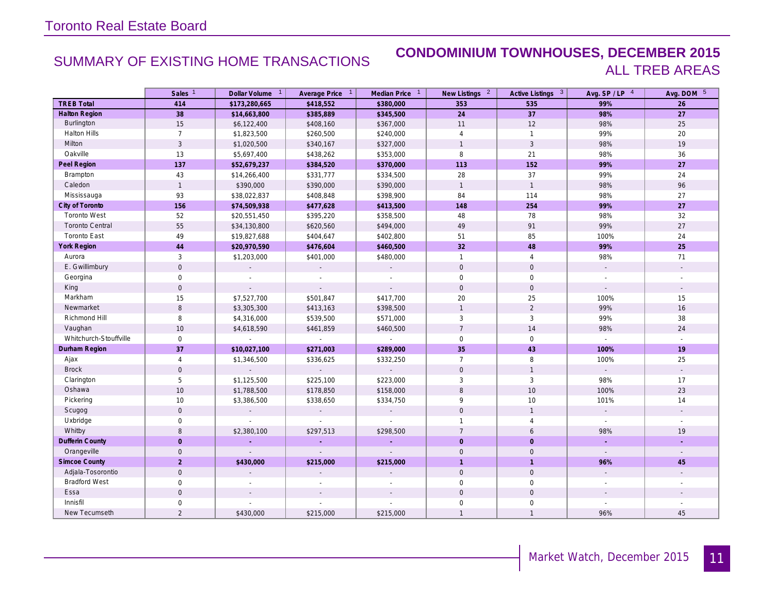### SUMMARY OF EXISTING HOME TRANSACTIONS **CONDOMINIUM TOWNHOUSES, DECEMBER 2015** ALL TREB AREAS

|                        | Sales <sup>1</sup>  | Dollar Volume <sup>1</sup>  | Average Price 1 | Median Price 1              | New Listings <sup>2</sup> | Active Listings 3   | Avg. SP/LP 4                | Avg. DOM 5               |
|------------------------|---------------------|-----------------------------|-----------------|-----------------------------|---------------------------|---------------------|-----------------------------|--------------------------|
| <b>TREB Total</b>      | 414                 | \$173,280,665               | \$418,552       | \$380,000                   | 353                       | 535                 | 99%                         | 26                       |
| <b>Halton Region</b>   | 38                  | \$14,663,800                | \$385,889       | \$345,500                   | 24                        | 37                  | 98%                         | $\overline{27}$          |
| Burlington             | 15                  | \$6,122,400                 | \$408,160       | \$367,000                   | 11                        | 12                  | 98%                         | 25                       |
| <b>Halton Hills</b>    | $\overline{7}$      | \$1,823,500                 | \$260,500       | \$240,000                   | $\overline{4}$            | $\mathbf{1}$        | 99%                         | 20                       |
| Milton                 | $\overline{3}$      | \$1,020,500                 | \$340,167       | \$327,000                   | $\mathbf{1}$              | 3                   | 98%                         | 19                       |
| Oakville               | 13                  | \$5,697,400                 | \$438,262       | \$353,000                   | 8                         | 21                  | 98%                         | 36                       |
| Peel Region            | 137                 | \$52,679,237                | \$384,520       | \$370,000                   | 113                       | 152                 | 99%                         | 27                       |
| Brampton               | 43                  | \$14,266,400                | \$331,777       | \$334,500                   | 28                        | 37                  | 99%                         | 24                       |
| Caledon                | $\mathbf{1}$        | \$390,000                   | \$390,000       | \$390,000                   | $\overline{1}$            | $\overline{1}$      | 98%                         | 96                       |
| Mississauga            | 93                  | \$38,022,837                | \$408,848       | \$398,900                   | 84                        | 114                 | 98%                         | 27                       |
| City of Toronto        | 156                 | \$74,509,938                | \$477,628       | \$413,500                   | 148                       | 254                 | 99%                         | 27                       |
| <b>Toronto West</b>    | 52                  | \$20,551,450                | \$395,220       | \$358,500                   | 48                        | 78                  | 98%                         | 32                       |
| <b>Toronto Central</b> | 55                  | \$34,130,800                | \$620,560       | \$494,000                   | 49                        | 91                  | 99%                         | 27                       |
| <b>Toronto East</b>    | 49                  | \$19,827,688                | \$404,647       | \$402,800                   | 51                        | 85                  | 100%                        | 24                       |
| York Region            | 44                  | \$20,970,590                | \$476,604       | \$460,500                   | 32                        | 48                  | 99%                         | 25                       |
| Aurora                 | 3                   | \$1,203,000                 | \$401,000       | \$480,000                   | $\mathbf{1}$              | $\overline{4}$      | 98%                         | 71                       |
| E. Gwillimbury         | $\mathbf 0$         | $\mathbf{r}$                |                 | $\sim$                      | $\mathbf 0$               | $\mathsf{O}\xspace$ |                             | $\mathcal{L}$            |
| Georgina               | $\mathbf 0$         |                             |                 |                             | $\mathbf 0$               | $\mathbf 0$         |                             |                          |
| King                   | $\mathsf{O}\xspace$ |                             | $\mathbf{r}$    | $\overline{a}$              | $\mathsf{O}\xspace$       | $\mathbf 0$         | $\sim$                      | $\mathbf{r}$             |
| Markham                | 15                  | \$7,527,700                 | \$501,847       | \$417,700                   | 20                        | 25                  | 100%                        | 15                       |
| Newmarket              | 8                   | \$3,305,300                 | \$413,163       | \$398,500                   | $\mathbf{1}$              | $\sqrt{2}$          | 99%                         | 16                       |
| Richmond Hill          | 8                   | \$4,316,000                 | \$539,500       | \$571,000                   | 3                         | $\mathbf{3}$        | 99%                         | 38                       |
| Vaughan                | 10                  | \$4,618,590                 | \$461,859       | \$460,500                   | $\overline{7}$            | 14                  | 98%                         | 24                       |
| Whitchurch-Stouffville | $\mathsf{O}$        |                             |                 | $\mathcal{L}_{\mathcal{A}}$ | $\mathsf{O}$              | $\mathbf 0$         | $\mathbb{Z}^{\mathbb{Z}}$   |                          |
| Durham Region          | 37                  | \$10,027,100                | \$271,003       | \$289,000                   | 35                        | 43                  | 100%                        | 19                       |
| Ajax                   | $\overline{4}$      | \$1,346,500                 | \$336,625       | \$332,250                   | $\overline{7}$            | 8                   | 100%                        | 25                       |
| <b>Brock</b>           | $\mathbf 0$         | $\sim$                      | $\mathbb{Z}^2$  | $\sim$                      | $\mathbf{0}$              | $\overline{1}$      | $\sim$                      | $\sim$                   |
| Clarington             | 5                   | \$1,125,500                 | \$225,100       | \$223,000                   | 3                         | $\mathbf{3}$        | 98%                         | 17                       |
| Oshawa                 | 10                  | \$1,788,500                 | \$178,850       | \$158,000                   | 8                         | 10                  | 100%                        | 23                       |
| Pickering              | 10                  | \$3,386,500                 | \$338,650       | \$334,750                   | 9                         | 10                  | 101%                        | 14                       |
| Scugog                 | $\mathbf 0$         | $\overline{a}$              | $\sim$          | $\mathbb{Z}^{\times}$       | $\mathbf{0}$              | $\overline{1}$      | $\mathcal{L}^{\mathcal{A}}$ | $\overline{\phantom{a}}$ |
| Uxbridge               | $\mathsf{O}\xspace$ | $\mathcal{L}_{\mathcal{A}}$ |                 | $\sim$                      | $\mathbf{1}$              | $\overline{4}$      | $\sim$                      |                          |
| Whitby                 | 8                   | \$2,380,100                 | \$297,513       | \$298,500                   | 7                         | 6                   | 98%                         | 19                       |
| <b>Dufferin County</b> | $\overline{0}$      | ÷.                          | ÷.              | ÷.                          | $\overline{0}$            | $\overline{0}$      | ÷.                          | ÷                        |
| Orangeville            | $\mathbf 0$         | $\mathcal{L}$               | $\mathbb{L}$    | $\mathcal{L}$               | $\mathbf 0$               | $\mathbf 0$         | $\sim$                      | $\mathcal{L}$            |
| <b>Simcoe County</b>   | $\overline{2}$      | \$430,000                   | \$215,000       | \$215,000                   | $\overline{1}$            | $\overline{1}$      | 96%                         | 45                       |
| Adjala-Tosorontio      | $\mathbf 0$         |                             |                 |                             | $\mathbf 0$               | $\mathbf 0$         |                             |                          |
| <b>Bradford West</b>   | $\mathbf 0$         |                             |                 |                             | $\mathbf 0$               | $\mathsf{O}\xspace$ |                             |                          |
| Essa                   | $\mathsf{O}\xspace$ |                             |                 |                             | $\mathbf{0}$              | $\mathbf 0$         |                             |                          |
| Innisfil               | $\mathsf{O}$        |                             |                 |                             | $\mathbf 0$               | $\mathsf{O}\xspace$ |                             |                          |
| New Tecumseth          | $\overline{2}$      | \$430,000                   | \$215,000       | \$215,000                   | $\mathbf{1}$              | $\mathbf{1}$        | 96%                         | 45                       |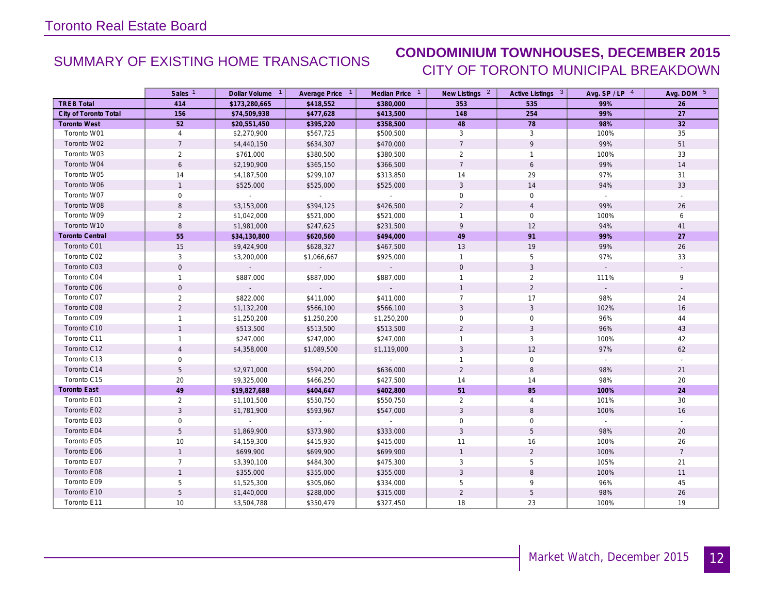## SUMMARY OF EXISTING HOME TRANSACTIONS **CONDOMINIUM TOWNHOUSES, DECEMBER 2015** CITY OF TORONTO MUNICIPAL BREAKDOWN

|                        | Sales <sup>1</sup> | Dollar Volume 1     | Average Price 1 | Median Price 1      | New Listings 2      | Active Listings 3 | Avg. $SP / LP$ <sup>4</sup> | Avg. DOM 5     |
|------------------------|--------------------|---------------------|-----------------|---------------------|---------------------|-------------------|-----------------------------|----------------|
| <b>TREB Total</b>      | 414                | \$173,280,665       | \$418,552       | \$380,000           | 353                 | 535               | 99%                         | 26             |
| City of Toronto Total  | 156                | \$74,509,938        | \$477,628       | \$413,500           | 148                 | 254               | 99%                         | 27             |
| <b>Toronto West</b>    | 52                 | \$20,551,450        | \$395,220       | \$358,500           | 48                  | 78                | 98%                         | 32             |
| Toronto W01            | $\overline{4}$     | \$2,270,900         | \$567,725       | \$500,500           | 3                   | 3                 | 100%                        | 35             |
| Toronto W02            | $\overline{7}$     | \$4,440,150         | \$634,307       | \$470,000           | $\overline{7}$      | 9                 | 99%                         | 51             |
| Toronto W03            | $\overline{2}$     | \$761,000           | \$380,500       | \$380,500           | $\overline{2}$      | $\overline{1}$    | 100%                        | 33             |
| Toronto W04            | 6                  | \$2,190,900         | \$365,150       | \$366,500           | $\overline{7}$      | 6                 | 99%                         | 14             |
| Toronto W05            | 14                 | \$4,187,500         | \$299,107       | \$313,850           | 14                  | 29                | 97%                         | 31             |
| Toronto W06            | $\mathbf{1}$       | \$525,000           | \$525,000       | \$525,000           | 3                   | 14                | 94%                         | 33             |
| Toronto W07            | $\mathbf 0$        | $\sim$              | $\sim 10^{-11}$ | $\sim$              | $\mathsf{O}\xspace$ | $\mathbf 0$       | $\sim$                      | $\sim$         |
| Toronto W08            | 8                  | \$3,153,000         | \$394,125       | \$426,500           | $\overline{2}$      | $\overline{4}$    | 99%                         | 26             |
| Toronto W09            | $\overline{2}$     | \$1,042,000         | \$521,000       | \$521,000           | $\mathbf{1}$        | $\mathbf 0$       | 100%                        | 6              |
| Toronto W10            | $\,8\,$            | \$1,981,000         | \$247,625       | \$231,500           | 9                   | 12                | 94%                         | 41             |
| <b>Toronto Central</b> | 55                 | \$34,130,800        | \$620,560       | \$494,000           | 49                  | 91                | 99%                         | 27             |
| Toronto C01            | 15                 | \$9,424,900         | \$628,327       | \$467,500           | 13                  | 19                | 99%                         | 26             |
| Toronto C02            | 3                  | \$3,200,000         | \$1,066,667     | \$925,000           | $\mathbf{1}$        | 5                 | 97%                         | 33             |
| Toronto C03            | $\mathbf 0$        | $\omega_{\rm{eff}}$ | $\sim$          | $\omega_{\rm{eff}}$ | $\mathbf 0$         | $\mathbf{3}$      |                             |                |
| Toronto C04            | $\mathbf{1}$       | \$887,000           | \$887,000       | \$887,000           | $\mathbf{1}$        | 2                 | 111%                        | 9              |
| Toronto C06            | $\mathbf 0$        | ◆                   | $\sim$          |                     | $\mathbf{1}$        | $\overline{2}$    | $\sim$                      |                |
| Toronto C07            | $\overline{2}$     | \$822,000           | \$411,000       | \$411,000           | $\overline{7}$      | 17                | 98%                         | 24             |
| Toronto C08            | $\overline{2}$     | \$1,132,200         | \$566,100       | \$566,100           | 3                   | $\mathbf{3}$      | 102%                        | 16             |
| Toronto C09            | $\mathbf{1}$       | \$1,250,200         | \$1,250,200     | \$1,250,200         | $\mathbf 0$         | $\mathbf 0$       | 96%                         | 44             |
| Toronto C10            | $\mathbf{1}$       | \$513,500           | \$513,500       | \$513,500           | $\overline{2}$      | $\mathbf{3}$      | 96%                         | 43             |
| Toronto C11            | $\mathbf{1}$       | \$247,000           | \$247,000       | \$247,000           | $\mathbf{1}$        | $\mathbf{3}$      | 100%                        | 42             |
| Toronto C12            | $\overline{4}$     | \$4,358,000         | \$1,089,500     | \$1,119,000         | 3                   | 12                | 97%                         | 62             |
| Toronto C13            | 0                  | $\sim$              | $\sim$          | $\sim$              | $\mathbf{1}$        | $\mathbf 0$       | $\sim$                      | $\sim$         |
| Toronto C14            | 5                  | \$2,971,000         | \$594,200       | \$636,000           | $\overline{2}$      | $\, 8$            | 98%                         | 21             |
| Toronto C15            | 20                 | \$9,325,000         | \$466,250       | \$427,500           | 14                  | 14                | 98%                         | 20             |
| <b>Toronto East</b>    | 49                 | \$19,827,688        | \$404,647       | \$402,800           | 51                  | 85                | 100%                        | 24             |
| Toronto E01            | $\overline{2}$     | \$1,101,500         | \$550,750       | \$550,750           | $\overline{2}$      | $\overline{4}$    | 101%                        | 30             |
| Toronto E02            | $\overline{3}$     | \$1,781,900         | \$593,967       | \$547,000           | $\mathfrak{Z}$      | 8                 | 100%                        | 16             |
| Toronto E03            | 0                  | $\mathcal{L}^{\pm}$ | $\sim$          | $\sim$              | $\mathbf 0$         | $\mathbf 0$       | $\sim$                      | $\sim$         |
| Toronto E04            | 5                  | \$1,869,900         | \$373,980       | \$333,000           | 3                   | 5                 | 98%                         | 20             |
| Toronto E05            | 10                 | \$4,159,300         | \$415,930       | \$415,000           | 11                  | 16                | 100%                        | 26             |
| Toronto E06            | $\mathbf{1}$       | \$699,900           | \$699,900       | \$699,900           | $\mathbf{1}$        | $\overline{2}$    | 100%                        | $\overline{7}$ |
| Toronto E07            | $\overline{7}$     | \$3,390,100         | \$484,300       | \$475,300           | 3                   | 5                 | 105%                        | 21             |
| Toronto E08            | $\mathbf{1}$       | \$355,000           | \$355,000       | \$355,000           | $\sqrt{3}$          | $\, 8$            | 100%                        | 11             |
| Toronto E09            | 5                  | \$1,525,300         | \$305,060       | \$334,000           | 5                   | 9                 | 96%                         | 45             |
| Toronto E10            | 5                  | \$1,440,000         | \$288,000       | \$315,000           | $\overline{2}$      | 5                 | 98%                         | 26             |
| Toronto E11            | 10                 | \$3,504,788         | \$350,479       | \$327,450           | 18                  | 23                | 100%                        | 19             |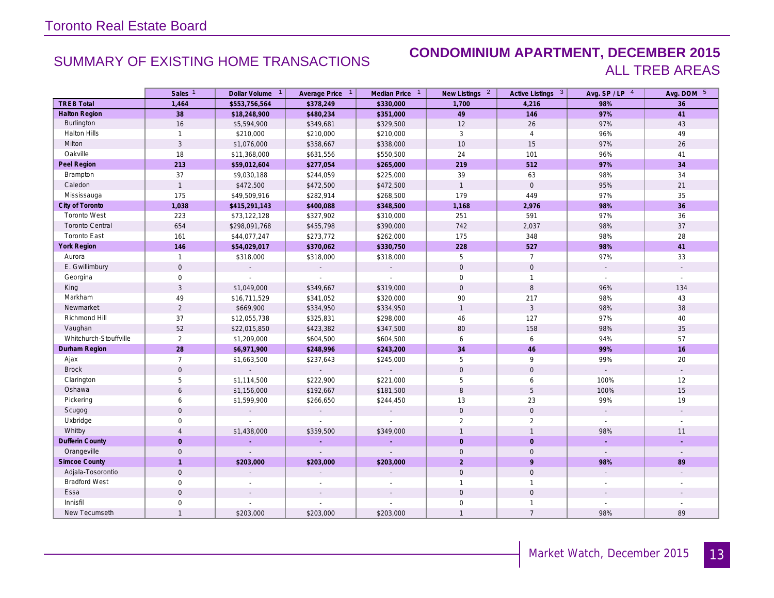### SUMMARY OF EXISTING HOME TRANSACTIONS **CONDOMINIUM APARTMENT, DECEMBER 2015** ALL TREB AREAS

|                        | Sales <sup>1</sup>  | Dollar Volume 1             | Average Price 1       | Median Price <sup>1</sup> | New Listings <sup>2</sup> | Active Listings 3   | Avg. SP/LP 4        | Avg. DOM 5               |
|------------------------|---------------------|-----------------------------|-----------------------|---------------------------|---------------------------|---------------------|---------------------|--------------------------|
| <b>TREB Total</b>      | 1,464               | \$553,756,564               | \$378,249             | \$330,000                 | 1,700                     | 4,216               | 98%                 | 36                       |
| <b>Halton Region</b>   | 38                  | \$18,248,900                | \$480,234             | \$351,000                 | 49                        | 146                 | 97%                 | 41                       |
| Burlington             | 16                  | \$5,594,900                 | \$349,681             | \$329,500                 | 12                        | 26                  | 97%                 | 43                       |
| <b>Halton Hills</b>    | $\mathbf{1}$        | \$210,000                   | \$210,000             | \$210,000                 | 3                         | $\overline{4}$      | 96%                 | 49                       |
| Milton                 | $\overline{3}$      | \$1,076,000                 | \$358,667             | \$338,000                 | 10                        | 15                  | 97%                 | 26                       |
| Oakville               | 18                  | \$11,368,000                | \$631,556             | \$550,500                 | 24                        | 101                 | 96%                 | 41                       |
| Peel Region            | 213                 | \$59,012,604                | \$277,054             | \$265,000                 | 219                       | 512                 | 97%                 | 34                       |
| Brampton               | 37                  | \$9,030,188                 | \$244,059             | \$225,000                 | 39                        | 63                  | 98%                 | 34                       |
| Caledon                | $\overline{1}$      | \$472,500                   | \$472,500             | \$472,500                 | $\overline{1}$            | $\mathbf{0}$        | 95%                 | $21$                     |
| Mississauga            | 175                 | \$49,509,916                | \$282,914             | \$268,500                 | 179                       | 449                 | 97%                 | 35                       |
| City of Toronto        | 1,038               | \$415,291,143               | \$400,088             | \$348,500                 | 1,168                     | 2,976               | 98%                 | 36                       |
| <b>Toronto West</b>    | 223                 | \$73,122,128                | \$327,902             | \$310,000                 | 251                       | 591                 | 97%                 | 36                       |
| <b>Toronto Central</b> | 654                 | \$298,091,768               | \$455,798             | \$390,000                 | 742                       | 2,037               | 98%                 | 37                       |
| <b>Toronto East</b>    | 161                 | \$44,077,247                | \$273,772             | \$262,000                 | 175                       | 348                 | 98%                 | 28                       |
| York Region            | 146                 | \$54,029,017                | \$370,062             | \$330,750                 | 228                       | 527                 | 98%                 | 41                       |
| Aurora                 | $\mathbf{1}$        | \$318,000                   | \$318,000             | \$318,000                 | 5                         | $\overline{7}$      | 97%                 | 33                       |
| E. Gwillimbury         | $\mathbf 0$         | $\mathcal{L}$               | $\mathbb{Z}^{\times}$ | $\sim$                    | $\mathbf 0$               | $\mathsf{O}\xspace$ |                     | $\mathcal{L}$            |
| Georgina               | $\mathbf 0$         | $\sim$                      |                       | $\sim$                    | $\mathbf 0$               | $\mathbf{1}$        |                     |                          |
| King                   | $\mathbf{3}$        | \$1,049,000                 | \$349,667             | \$319,000                 | $\mathbf 0$               | $\, 8$              | 96%                 | 134                      |
| Markham                | 49                  | \$16,711,529                | \$341,052             | \$320,000                 | 90                        | 217                 | 98%                 | 43                       |
| Newmarket              | $\overline{2}$      | \$669,900                   | \$334,950             | \$334,950                 | $\mathbf{1}$              | $\mathfrak{Z}$      | 98%                 | 38                       |
| Richmond Hill          | 37                  | \$12,055,738                | \$325,831             | \$298,000                 | 46                        | 127                 | 97%                 | 40                       |
| Vaughan                | 52                  | \$22,015,850                | \$423,382             | \$347,500                 | 80                        | 158                 | 98%                 | 35                       |
| Whitchurch-Stouffville | $\overline{2}$      | \$1,209,000                 | \$604,500             | \$604,500                 | 6                         | 6                   | 94%                 | 57                       |
| Durham Region          | 28                  | \$6,971,900                 | \$248,996             | \$243,200                 | 34                        | 46                  | 99%                 | 16                       |
| Ajax                   | $\overline{7}$      | \$1,663,500                 | \$237,643             | \$245,000                 | 5                         | 9                   | 99%                 | 20                       |
| <b>Brock</b>           | $\mathbf{0}$        | $\sim$                      | $\sim$                | $\sim$                    | $\mathbf 0$               | $\mathsf{O}$        | $\mathcal{L}^{\pm}$ | $\sim$                   |
| Clarington             | 5                   | \$1,114,500                 | \$222,900             | \$221,000                 | 5                         | 6                   | 100%                | 12                       |
| Oshawa                 | 6                   | \$1,156,000                 | \$192,667             | \$181,500                 | 8                         | 5                   | 100%                | 15                       |
| Pickering              | 6                   | \$1,599,900                 | \$266,650             | \$244,450                 | 13                        | 23                  | 99%                 | 19                       |
| Scugog                 | $\mathbf{0}$        | $\mathbf{r}$                |                       | $\mathbb{Z}^{\times}$     | $\mathbf 0$               | $\mathbf 0$         |                     | $\overline{\phantom{a}}$ |
| Uxbridge               | $\mathsf{O}\xspace$ | $\mathcal{L}_{\mathcal{A}}$ |                       | $\sim$                    | $\overline{2}$            | $\overline{2}$      | $\sim$              |                          |
| Whitby                 | $\overline{4}$      | \$1,438,000                 | \$359,500             | \$349,000                 | $\mathbf{1}$              | $\overline{1}$      | 98%                 | 11                       |
| <b>Dufferin County</b> | $\overline{0}$      | ÷.                          | ÷.                    | ÷.                        | $\overline{0}$            | $\overline{0}$      | ÷.                  | ÷                        |
| Orangeville            | $\mathbf 0$         | $\mathbb{Z}$                | $\mathbb{L}$          | $\mathbb{Z}^2$            | $\mathbf 0$               | $\mathbf 0$         | $\sim$              | $\mathcal{L}$            |
| <b>Simcoe County</b>   | $\mathbf{1}$        | \$203,000                   | \$203,000             | \$203,000                 | $\overline{2}$            | 9                   | 98%                 | 89                       |
| Adjala-Tosorontio      | $\mathbf 0$         |                             |                       |                           | $\mathbf 0$               | $\mathbf 0$         |                     |                          |
| <b>Bradford West</b>   | $\mathbf 0$         |                             |                       |                           | $\mathbf{1}$              | $\mathbf{1}$        |                     |                          |
| Essa                   | $\mathsf{O}\xspace$ |                             |                       |                           | $\mathbf{0}$              | $\mathbf 0$         |                     |                          |
| Innisfil               | $\mathsf{O}\xspace$ |                             |                       |                           | $\mathbf 0$               | $\mathbf{1}$        |                     |                          |
| New Tecumseth          | $\mathbf{1}$        | \$203,000                   | \$203,000             | \$203,000                 | $\mathbf{1}$              | $\overline{7}$      | 98%                 | 89                       |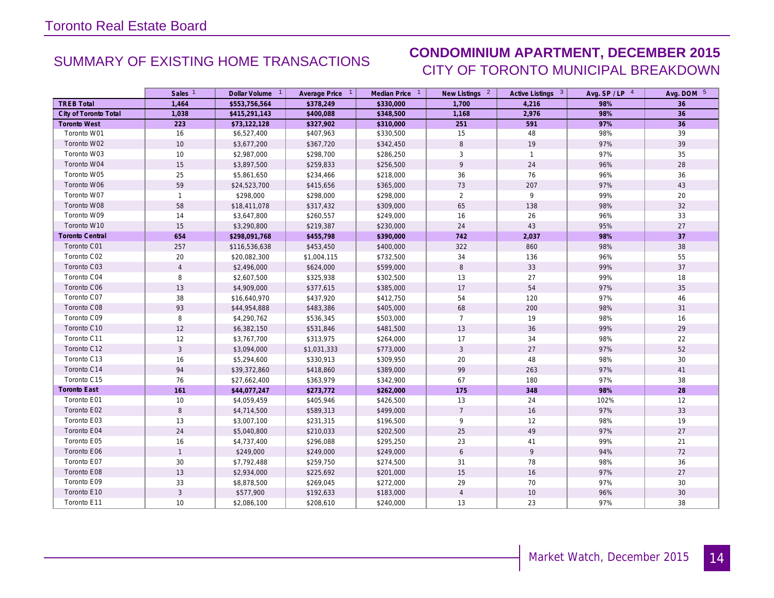# SUMMARY OF EXISTING HOME TRANSACTIONS **CONDOMINIUM APARTMENT, DECEMBER 2015** CITY OF TORONTO MUNICIPAL BREAKDOWN

|                        | Sales <sup>1</sup> | Dollar Volume 1 | Average Price 1 | Median Price 1 | New Listings 2   | Active Listings 3 | Avg. $SP / LP$ <sup>4</sup> | Avg. DOM 5      |
|------------------------|--------------------|-----------------|-----------------|----------------|------------------|-------------------|-----------------------------|-----------------|
| <b>TREB Total</b>      | 1,464              | \$553,756,564   | \$378,249       | \$330,000      | 1,700            | 4,216             | 98%                         | 36              |
| City of Toronto Total  | 1,038              | \$415,291,143   | \$400,088       | \$348,500      | 1,168            | 2,976             | 98%                         | 36              |
| <b>Toronto West</b>    | 223                | \$73,122,128    | \$327,902       | \$310,000      | 251              | 591               | 97%                         | 36              |
| Toronto W01            | 16                 | \$6,527,400     | \$407,963       | \$330,500      | 15               | 48                | 98%                         | 39              |
| Toronto W02            | 10                 | \$3,677,200     | \$367,720       | \$342,450      | $\,8\,$          | 19                | 97%                         | 39              |
| Toronto W03            | 10                 | \$2,987,000     | \$298,700       | \$286,250      | 3                | $\mathbf{1}$      | 97%                         | 35              |
| Toronto W04            | 15                 | \$3,897,500     | \$259,833       | \$256,500      | 9                | 24                | 96%                         | 28              |
| Toronto W05            | 25                 | \$5,861,650     | \$234,466       | \$218,000      | 36               | 76                | 96%                         | 36              |
| Toronto W06            | 59                 | \$24,523,700    | \$415,656       | \$365,000      | 73               | 207               | 97%                         | 43              |
| Toronto W07            | $\mathbf{1}$       | \$298,000       | \$298,000       | \$298,000      | $\overline{2}$   | 9                 | 99%                         | 20              |
| Toronto W08            | 58                 | \$18,411,078    | \$317,432       | \$309,000      | 65               | 138               | 98%                         | 32              |
| Toronto W09            | 14                 | \$3,647,800     | \$260,557       | \$249,000      | 16               | 26                | 96%                         | 33              |
| Toronto W10            | 15                 | \$3,290,800     | \$219,387       | \$230,000      | 24               | 43                | 95%                         | 27              |
| <b>Toronto Central</b> | 654                | \$298,091,768   | \$455,798       | \$390,000      | 742              | 2,037             | 98%                         | 37              |
| Toronto C01            | 257                | \$116,536,638   | \$453,450       | \$400,000      | 322              | 860               | 98%                         | 38              |
| Toronto C02            | 20                 | \$20,082,300    | \$1,004,115     | \$732,500      | 34               | 136               | 96%                         | 55              |
| Toronto C03            | $\overline{4}$     | \$2,496,000     | \$624,000       | \$599,000      | $\,8\,$          | 33                | 99%                         | 37              |
| Toronto C04            | 8                  | \$2,607,500     | \$325,938       | \$302,500      | 13               | 27                | 99%                         | 18              |
| Toronto C06            | 13                 | \$4,909,000     | \$377,615       | \$385,000      | 17               | 54                | 97%                         | 35              |
| Toronto C07            | 38                 | \$16,640,970    | \$437,920       | \$412,750      | 54               | 120               | 97%                         | 46              |
| Toronto C08            | 93                 | \$44,954,888    | \$483,386       | \$405,000      | 68               | 200               | 98%                         | 31              |
| Toronto C09            | 8                  | \$4,290,762     | \$536,345       | \$503,000      | $7\overline{ }$  | 19                | 98%                         | 16              |
| Toronto C10            | 12                 | \$6,382,150     | \$531,846       | \$481,500      | 13               | 36                | 99%                         | 29              |
| Toronto C11            | 12                 | \$3,767,700     | \$313,975       | \$264,000      | 17               | 34                | 98%                         | 22              |
| Toronto C12            | $\overline{3}$     | \$3,094,000     | \$1,031,333     | \$773,000      | $\mathbf{3}$     | 27                | 97%                         | 52              |
| Toronto C13            | 16                 | \$5,294,600     | \$330,913       | \$309,950      | 20               | 48                | 98%                         | 30              |
| Toronto C14            | 94                 | \$39,372,860    | \$418,860       | \$389,000      | 99               | 263               | 97%                         | 41              |
| Toronto C15            | 76                 | \$27,662,400    | \$363,979       | \$342,900      | 67               | 180               | 97%                         | 38              |
| <b>Toronto East</b>    | 161                | \$44,077,247    | \$273,772       | \$262,000      | 175              | 348               | 98%                         | 28              |
| Toronto E01            | 10                 | \$4,059,459     | \$405,946       | \$426,500      | 13               | 24                | 102%                        | 12              |
| Toronto E02            | 8                  | \$4,714,500     | \$589,313       | \$499,000      | $7\overline{ }$  | 16                | 97%                         | 33              |
| Toronto E03            | 13                 | \$3,007,100     | \$231,315       | \$196,500      | 9                | 12                | 98%                         | 19              |
| Toronto E04            | 24                 | \$5,040,800     | \$210,033       | \$202,500      | 25               | 49                | 97%                         | 27              |
| Toronto E05            | 16                 | \$4,737,400     | \$296,088       | \$295,250      | 23               | 41                | 99%                         | 21              |
| Toronto E06            | $\mathbf{1}$       | \$249,000       | \$249,000       | \$249,000      | $\boldsymbol{6}$ | $\overline{9}$    | 94%                         | 72              |
| Toronto E07            | 30                 | \$7,792,488     | \$259,750       | \$274,500      | 31               | 78                | 98%                         | 36              |
| Toronto E08            | 13                 | \$2,934,000     | \$225,692       | \$201,000      | 15               | 16                | 97%                         | 27              |
| Toronto E09            | 33                 | \$8,878,500     | \$269,045       | \$272,000      | 29               | 70                | 97%                         | 30              |
| Toronto E10            | $\overline{3}$     | \$577,900       | \$192,633       | \$183,000      | $\overline{4}$   | $10$              | 96%                         | 30 <sup>°</sup> |
| Toronto E11            | 10                 | \$2,086,100     | \$208,610       | \$240,000      | 13               | 23                | 97%                         | 38              |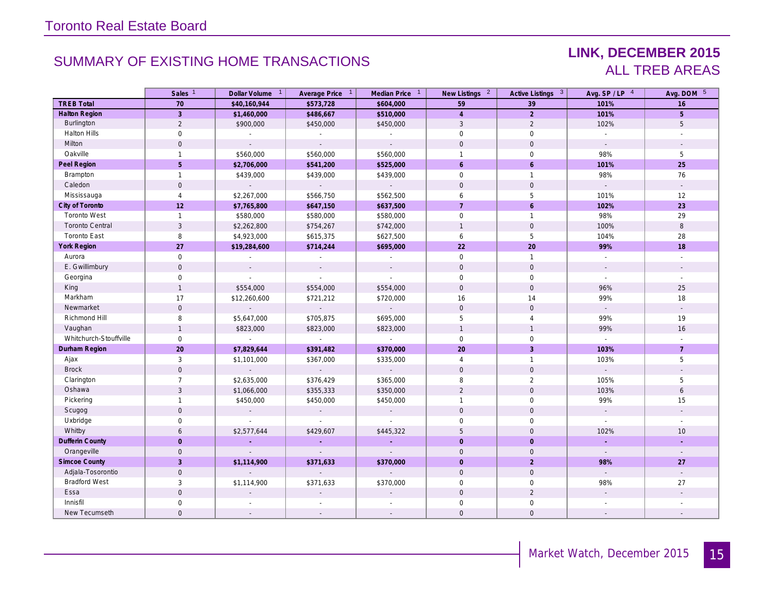# SUMMARY OF EXISTING HOME TRANSACTIONS **LINK, DECEMBER 2015**

# ALL TREB AREAS

|                        | Sales <sup>1</sup>  | Dollar Volume 1          | Average Price 1             | Median Price 1              | New Listings <sup>2</sup> | Active Listings 3   | Avg. SP / LP 4              | Avg. DOM 5               |
|------------------------|---------------------|--------------------------|-----------------------------|-----------------------------|---------------------------|---------------------|-----------------------------|--------------------------|
| <b>TREB Total</b>      | 70                  | \$40,160,944             | \$573,728                   | \$604,000                   | 59                        | 39                  | 101%                        | 16                       |
| <b>Halton Region</b>   | 3 <sup>1</sup>      | \$1,460,000              | \$486,667                   | \$510,000                   | $\overline{4}$            | $\overline{2}$      | 101%                        | 5 <sup>5</sup>           |
| Burlington             | $\overline{2}$      | \$900,000                | \$450,000                   | \$450,000                   | $\mathbf{3}$              | 2                   | 102%                        | 5                        |
| <b>Halton Hills</b>    | $\mathbf 0$         | $\sim$                   |                             | $\mathcal{L}_{\mathcal{A}}$ | $\mathbf 0$               | $\mathsf{O}\xspace$ | $\mathcal{L}$               |                          |
| Milton                 | $\mathbf{O}$        | $\sim$                   | $\sim$                      | $\mathcal{L}^{\mathcal{A}}$ | $\Omega$                  | $\mathbf{0}$        | $\sim$                      |                          |
| Oakville               | $\mathbf{1}$        | \$560,000                | \$560,000                   | \$560,000                   | $\mathbf{1}$              | $\mathbf 0$         | 98%                         | 5                        |
| Peel Region            | 5                   | \$2,706,000              | \$541,200                   | \$525,000                   | 6                         | 6                   | 101%                        | 25                       |
| Brampton               | $\mathbf{1}$        | \$439,000                | \$439,000                   | \$439,000                   | $\mathbf 0$               | $\mathbf{1}$        | 98%                         | 76                       |
| Caledon                | $\overline{0}$      | $\sim$                   | $\sim$ $^{-1}$              | $\sim$                      | $\mathbf{0}$              | $\mathbf 0$         | $\sim$                      | $\sim$                   |
| Mississauga            | $\overline{4}$      | \$2,267,000              | \$566,750                   | \$562,500                   | 6                         | 5                   | 101%                        | 12                       |
| City of Toronto        | 12                  | \$7,765,800              | \$647,150                   | \$637,500                   | $7\overline{ }$           | 6                   | 102%                        | 23                       |
| <b>Toronto West</b>    | $\mathbf{1}$        | \$580,000                | \$580,000                   | \$580,000                   | $\mathbf 0$               | $\mathbf{1}$        | 98%                         | 29                       |
| <b>Toronto Central</b> | $\mathbf{3}$        | \$2,262,800              | \$754,267                   | \$742,000                   | $\mathbf{1}$              | $\mathbf 0$         | 100%                        | 8                        |
| <b>Toronto East</b>    | 8                   | \$4,923,000              | \$615,375                   | \$627,500                   | 6                         | 5                   | 104%                        | 28                       |
| <b>York Region</b>     | 27                  | \$19,284,600             | \$714,244                   | \$695,000                   | 22                        | 20                  | 99%                         | 18                       |
| Aurora                 | $\mathsf{O}\xspace$ | $\sim$                   | $\mathcal{L}_{\mathcal{A}}$ | $\mathbb{Z}^{\times}$       | $\mathbf 0$               | $\mathbf{1}$        | $\mathbb{Z}^2$              | $\mathbb{Z}^2$           |
| E. Gwillimbury         | $\mathbf 0$         | $\sim$                   | $\sim$                      | $\mathcal{L}$               | $\mathbf{0}$              | $\mathbf 0$         | $\mathcal{L}$               | $\mathcal{L}$            |
| Georgina               | $\mathsf{O}\xspace$ | $\sim$                   | $\sim$                      | $\mathcal{L}^{\mathcal{A}}$ | $\mathsf{O}\xspace$       | $\mathsf{O}\xspace$ | $\sim$                      | $\overline{\phantom{a}}$ |
| King                   | $\mathbf{1}$        | \$554,000                | \$554,000                   | \$554,000                   | $\mathbf{0}$              | $\mathbf 0$         | 96%                         | 25                       |
| Markham                | 17                  | \$12,260,600             | \$721,212                   | \$720,000                   | 16                        | 14                  | 99%                         | 18                       |
| Newmarket              | $\mathbf 0$         | $\overline{\phantom{a}}$ | $\mathbb{Z}^+$              | $\omega_{\rm c}$            | $\mathbf{0}$              | $\mathbf 0$         | $\mathbb{Z}^{\mathbb{Z}}$   |                          |
| Richmond Hill          | $\,8\,$             | \$5,647,000              | \$705,875                   | \$695,000                   | 5                         | $\overline{4}$      | 99%                         | 19                       |
| Vaughan                | $\mathbf{1}$        | \$823,000                | \$823,000                   | \$823,000                   | $\mathbf{1}$              | $\overline{1}$      | 99%                         | 16                       |
| Whitchurch-Stouffville | $\mathsf{O}\xspace$ | $\overline{\phantom{a}}$ | $\mathbb{Z}^2$              | $\mathbb{Z}^2$              | $\mathbf 0$               | $\mathsf{O}$        | $\mathcal{L}^{\mathcal{L}}$ |                          |
| Durham Region          | 20                  | \$7,829,644              | \$391,482                   | \$370,000                   | 20                        | $\overline{3}$      | 103%                        | $\overline{7}$           |
| Ajax                   | 3                   | \$1,101,000              | \$367,000                   | \$335,000                   | $\overline{4}$            | $\overline{1}$      | 103%                        | 5                        |
| <b>Brock</b>           | $\mathbf 0$         | $\sim$                   | $\sim 10^{-11}$             | ◆                           | $\mathsf{O}\xspace$       | $\mathbf 0$         | $\mathcal{L}^{\pm}$         |                          |
| Clarington             | $\overline{7}$      | \$2,635,000              | \$376,429                   | \$365,000                   | 8                         | 2                   | 105%                        | 5                        |
| Oshawa                 | $\mathbf{3}$        | \$1,066,000              | \$355,333                   | \$350,000                   | $\overline{2}$            | $\mathbf 0$         | 103%                        | $\epsilon$               |
| Pickering              | $\mathbf{1}$        | \$450,000                | \$450,000                   | \$450,000                   | $\mathbf{1}$              | $\mathbf 0$         | 99%                         | 15                       |
| Scugog                 | $\mathbf 0$         | $\sim$                   | $\sim$                      | $\sim$                      | $\mathsf{O}\xspace$       | $\mathbf 0$         | $\mathcal{L}^{\mathcal{A}}$ | $\overline{\phantom{a}}$ |
| Uxbridge               | 0                   | $\sim$                   | $\sim$                      | ÷.                          | $\Omega$                  | $\mathbf 0$         | $\sim$                      |                          |
| Whitby                 | 6                   | \$2,577,644              | \$429,607                   | \$445,322                   | 5                         | $\mathbf{0}$        | 102%                        | 10                       |
| <b>Dufferin County</b> | $\overline{O}$      | ч.                       | $\sim$                      | $\sim$                      | $\Omega$                  | $\overline{0}$      | a.                          | ÷                        |
| Orangeville            | $\mathbf 0$         | $\sim$                   | $\mathcal{L}$               | $\mathbb{Z}^+$              | $\mathbf{0}$              | $\mathbf 0$         | $\sim$                      | $\sim$                   |
| <b>Simcoe County</b>   | $\overline{3}$      | \$1,114,900              | \$371,633                   | \$370,000                   | $\mathbf{0}$              | $\overline{2}$      | 98%                         | 27                       |
| Adjala-Tosorontio      | $\mathbf 0$         | $\overline{a}$           | $\mathbb{Z}^+$              | ÷.                          | $\mathbf 0$               | $\mathbf 0$         | $\mathbb{Z}^2$              |                          |
| <b>Bradford West</b>   | 3                   | \$1,114,900              | \$371,633                   | \$370,000                   | $\mathbf 0$               | $\mathbf 0$         | 98%                         | 27                       |
| Essa                   | $\mathbf 0$         |                          |                             |                             | $\mathbf{0}$              | 2                   |                             |                          |
| Innisfil               | 0                   |                          |                             |                             | $\mathbf 0$               | $\mathbf 0$         |                             |                          |
| New Tecumseth          | $\mathbf 0$         | $\sim$                   |                             |                             | $\mathbf{O}$              | $\mathbf 0$         |                             |                          |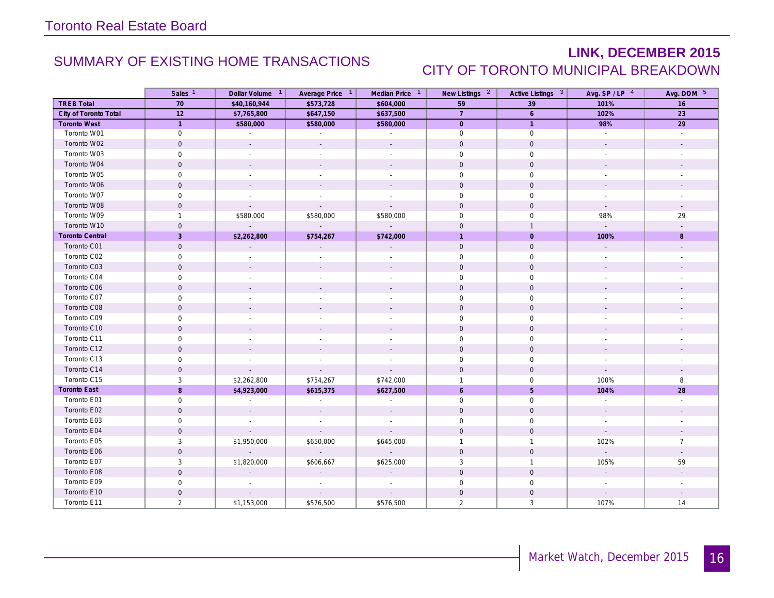# SUMMARY OF EXISTING HOME TRANSACTIONS **LINK, DECEMBER 2015** CITY OF TORONTO MUNICIPAL BREAKDOWN

|                        | Sales <sup>1</sup>  | Dollar Volume <sup>1</sup> | Average Price 1           | Median Price 1           | New Listings <sup>2</sup> | Active Listings 3   | Avg. $SP / LP$ <sup>4</sup> | Avg. DOM 5               |
|------------------------|---------------------|----------------------------|---------------------------|--------------------------|---------------------------|---------------------|-----------------------------|--------------------------|
| <b>TREB Total</b>      | 70                  | \$40,160,944               | \$573,728                 | \$604,000                | 59                        | 39                  | 101%                        | 16                       |
| City of Toronto Total  | 12                  | \$7,765,800                | \$647,150                 | \$637,500                | $\overline{7}$            | $6\overline{6}$     | 102%                        | 23                       |
| <b>Toronto West</b>    | $\overline{1}$      | \$580,000                  | \$580,000                 | \$580,000                | $\overline{0}$            | $\overline{1}$      | 98%                         | 29                       |
| Toronto W01            | $\mathbf 0$         | $\sim$                     | $\sim$                    | $\sim$                   | $\mathbf 0$               | $\mathbf 0$         | $\sim$                      | $\overline{\phantom{a}}$ |
| Toronto W02            | $\mathbf 0$         | $\sim$                     | $\overline{a}$            | $\sim$                   | $\mathbf 0$               | $\mathsf{O}\xspace$ | $\overline{a}$              |                          |
| Toronto W03            | $\mathsf{O}\xspace$ |                            |                           |                          | $\mathbf 0$               | $\mathsf{O}\xspace$ |                             |                          |
| Toronto W04            | $\mathbf{0}$        |                            |                           | $\overline{\phantom{a}}$ | $\mathbf{0}$              | $\mathbf{0}$        |                             |                          |
| Toronto W05            | 0                   | $\overline{a}$             |                           | $\overline{a}$           | $\mathbf 0$               | $\mathbf 0$         |                             |                          |
| Toronto W06            | $\mathbf 0$         |                            |                           |                          | $\mathbf{0}$              | $\mathsf{O}$        |                             |                          |
| Toronto W07            | $\mathsf{O}\xspace$ | $\sim$                     |                           | $\mathbf{r}$             | $\mathbf 0$               | $\mathsf{O}\xspace$ |                             |                          |
| Toronto W08            | $\mathbf 0$         | $\mathcal{L}$              | $\sim$                    | $\sim$                   | $\mathbf 0$               | $\mathsf{O}\xspace$ | $\sim$                      |                          |
| Toronto W09            | $\mathbf{1}$        | \$580,000                  | \$580,000                 | \$580,000                | $\mathbf 0$               | $\mathbf 0$         | 98%                         | 29                       |
| Toronto W10            | $\mathbf 0$         | $\sim$                     | $\sim 10^{-1}$            | $\sim$                   | $\mathbf 0$               | $\overline{1}$      | $\sim$                      |                          |
| <b>Toronto Central</b> | $\overline{3}$      | \$2,262,800                | \$754,267                 | \$742,000                | $\overline{1}$            | $\mathbf{0}$        | 100%                        | $\,8\,$                  |
| Toronto C01            | $\mathbf 0$         |                            |                           |                          | $\mathbf 0$               | $\mathbf 0$         |                             |                          |
| Toronto C02            | $\mathbf 0$         |                            |                           |                          | $\mathbf 0$               | $\mathbf 0$         |                             |                          |
| Toronto C03            | $\mathbf 0$         |                            |                           |                          | $\mathbf 0$               | $\mathbf 0$         |                             |                          |
| Toronto C04            | $\mathsf{O}$        |                            |                           |                          | $\mathbf 0$               | $\mathsf{O}\xspace$ |                             |                          |
| Toronto C06            | $\mathbf{0}$        |                            |                           |                          | $\mathbf{0}$              | $\mathbf{0}$        |                             |                          |
| Toronto C07            | $\mathsf{O}$        | $\overline{\phantom{a}}$   |                           | $\overline{\phantom{a}}$ | $\mathbf 0$               | $\mathbf 0$         |                             |                          |
| Toronto C08            | $\mathbf 0$         |                            |                           |                          | $\mathbf 0$               | $\mathsf{O}$        |                             |                          |
| Toronto C09            | $\mathsf{O}$        |                            |                           | $\overline{a}$           | $\mathbf 0$               | $\mathsf{O}\xspace$ |                             |                          |
| Toronto C10            | $\mathbf 0$         |                            |                           |                          | $\mathsf{O}\xspace$       | $\mathbf 0$         |                             |                          |
| Toronto C11            | $\mathsf{O}$        |                            |                           | $\overline{a}$           | $\mathsf{O}\xspace$       | $\mathsf{O}\xspace$ |                             |                          |
| Toronto C12            | $\mathbf 0$         | $\sim$                     |                           | $\overline{\phantom{a}}$ | $\mathbf{0}$              | $\mathbf 0$         |                             |                          |
| Toronto C13            | $\mathbf 0$         | $\sim$                     | $\sim$                    | $\sim$                   | $\mathbf 0$               | $\mathbf 0$         | $\sim$                      |                          |
| Toronto C14            | $\mathbf 0$         | $\sim$                     |                           | $\mathbf{r}$             | $\mathbf 0$               | $\mathsf{O}\xspace$ | $\sim$                      |                          |
| Toronto C15            | 3                   | \$2,262,800                | \$754,267                 | \$742,000                | $\mathbf{1}$              | $\mathsf{O}\xspace$ | 100%                        | 8                        |
| <b>Toronto East</b>    | 8                   | \$4,923,000                | \$615,375                 | \$627,500                | 6                         | $\sqrt{5}$          | 104%                        | 28                       |
| Toronto E01            | $\mathsf{O}$        |                            |                           | $\overline{a}$           | $\mathbf 0$               | $\mathbf 0$         |                             |                          |
| Toronto E02            | $\mathbf{0}$        | $\sim$                     | $\sim$                    | $\sim$                   | $\mathbf{0}$              | $\mathbf{0}$        | $\sim$                      |                          |
| Toronto E03            | $\mathbf 0$         | $\sim$                     | $\sim$                    | $\mathbb{Z}^2$           | $\mathbf 0$               | $\mathsf{O}\xspace$ | $\sim$                      | $\sim$                   |
| Toronto E04            | $\mathbf 0$         | $\sim$                     | $\sim$                    | $\sim$                   | $\mathbf 0$               | $\mathsf{O}$        | $\sim$                      |                          |
| Toronto E05            | 3                   | \$1,950,000                | \$650,000                 | \$645,000                | $\mathbf{1}$              | $\mathbf{1}$        | 102%                        | $\overline{7}$           |
| Toronto E06            | $\mathbf 0$         | $\overline{\phantom{a}}$   | $\mathbb{Z}^{\mathbb{Z}}$ | $\omega_{\rm c}$         | $\mathbf 0$               | $\mathbf 0$         | $\mathcal{L}^{\mathcal{A}}$ | $\mathbf{r}$             |
| Toronto E07            | 3                   | \$1,820,000                | \$606,667                 | \$625,000                | 3                         | $\mathbf{1}$        | 105%                        | 59                       |
| Toronto E08            | $\mathbf 0$         |                            |                           |                          | $\mathbf{0}$              | $\mathsf{O}$        |                             |                          |
| Toronto E09            | $\mathbf 0$         |                            |                           |                          | $\mathbf 0$               | $\mathbf 0$         |                             |                          |
| Toronto E10            | $\mathbf 0$         | $\sim$                     |                           |                          | $\mathbf 0$               | $\mathbf 0$         |                             |                          |
| Toronto E11            | $\overline{2}$      | \$1,153,000                | \$576,500                 | \$576,500                | $\overline{2}$            | 3                   | 107%                        | 14                       |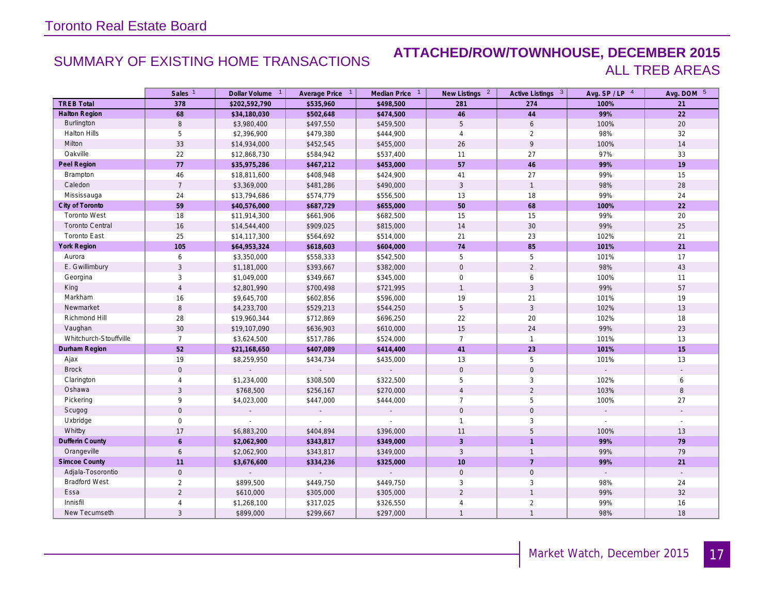### SUMMARY OF EXISTING HOME TRANSACTIONS **ATTACHED/ROW/TOWNHOUSE, DECEMBER 2015** ALL TREB AREAS

|                        | Sales <sup>1</sup>  | Dollar Volume 1 | Average Price 1 | Median Price 1 | New Listings <sup>2</sup> | Active Listings 3   | Avg. SP/LP 4   | Avg. DOM 5   |
|------------------------|---------------------|-----------------|-----------------|----------------|---------------------------|---------------------|----------------|--------------|
| <b>TREB Total</b>      | 378                 | \$202,592,790   | \$535,960       | \$498,500      | 281                       | 274                 | 100%           | 21           |
| <b>Halton Region</b>   | 68                  | \$34,180,030    | \$502,648       | \$474,500      | 46                        | 44                  | 99%            | 22           |
| <b>Burlington</b>      | 8                   | \$3,980,400     | \$497,550       | \$459,500      | 5                         | 6                   | 100%           | 20           |
| <b>Halton Hills</b>    | 5                   | \$2,396,900     | \$479,380       | \$444,900      | $\overline{4}$            | 2                   | 98%            | 32           |
| Milton                 | 33                  | \$14,934,000    | \$452,545       | \$455,000      | 26                        | 9                   | 100%           | 14           |
| Oakville               | 22                  | \$12,868,730    | \$584,942       | \$537,400      | 11                        | 27                  | 97%            | 33           |
| Peel Region            | 77                  | \$35,975,286    | \$467,212       | \$453,000      | 57                        | 46                  | 99%            | 19           |
| Brampton               | $46\,$              | \$18,811,600    | \$408,948       | \$424,900      | 41                        | 27                  | 99%            | 15           |
| Caledon                | $\overline{7}$      | \$3,369,000     | \$481,286       | \$490,000      | $\mathbf{3}$              | $\mathbf{1}$        | 98%            | 28           |
| Mississauga            | 24                  | \$13,794,686    | \$574,779       | \$556,500      | 13                        | 18                  | 99%            | 24           |
| City of Toronto        | 59                  | \$40,576,000    | \$687,729       | \$655,000      | 50                        | 68                  | 100%           | 22           |
| <b>Toronto West</b>    | 18                  | \$11,914,300    | \$661,906       | \$682,500      | 15                        | 15                  | 99%            | 20           |
| <b>Toronto Central</b> | 16                  | \$14,544,400    | \$909,025       | \$815,000      | $14$                      | 30                  | 99%            | 25           |
| <b>Toronto East</b>    | 25                  | \$14,117,300    | \$564,692       | \$514,000      | 21                        | 23                  | 102%           | 21           |
| <b>York Region</b>     | 105                 | \$64,953,324    | \$618,603       | \$604,000      | 74                        | 85                  | 101%           | 21           |
| Aurora                 | 6                   | \$3,350,000     | \$558,333       | \$542,500      | 5                         | 5                   | 101%           | 17           |
| E. Gwillimbury         | 3                   | \$1,181,000     | \$393,667       | \$382,000      | $\mathbf 0$               | 2                   | 98%            | 43           |
| Georgina               | 3                   | \$1,049,000     | \$349,667       | \$345,000      | $\mathbf 0$               | 6                   | 100%           | 11           |
| King                   | $\overline{4}$      | \$2,801,990     | \$700,498       | \$721,995      | $\mathbf{1}$              | $\sqrt{3}$          | 99%            | 57           |
| Markham                | 16                  | \$9,645,700     | \$602,856       | \$596,000      | 19                        | 21                  | 101%           | 19           |
| Newmarket              | 8                   | \$4,233,700     | \$529,213       | \$544,250      | 5                         | $\mathbf{3}$        | 102%           | 13           |
| Richmond Hill          | 28                  | \$19,960,344    | \$712,869       | \$696,250      | 22                        | 20                  | 102%           | 18           |
| Vaughan                | 30                  | \$19,107,090    | \$636,903       | \$610,000      | 15                        | 24                  | 99%            | 23           |
| Whitchurch-Stouffville | $\overline{7}$      | \$3,624,500     | \$517,786       | \$524,000      | $\overline{7}$            | $\mathbf{1}$        | 101%           | 13           |
| Durham Region          | 52                  | \$21,168,650    | \$407,089       | \$414,400      | 41                        | 23                  | 101%           | 15           |
| Ajax                   | 19                  | \$8,259,950     | \$434,734       | \$435,000      | 13                        | $\overline{5}$      | 101%           | 13           |
| <b>Brock</b>           | $\mathbf 0$         |                 |                 | $\mathbf{r}$   | $\mathbf{0}$              | $\mathbf 0$         |                |              |
| Clarington             | $\overline{4}$      | \$1,234,000     | \$308,500       | \$322,500      | 5                         | $\sqrt{3}$          | 102%           | 6            |
| Oshawa                 | 3                   | \$768,500       | \$256,167       | \$270,000      | $\overline{4}$            | 2                   | 103%           | 8            |
| Pickering              | 9                   | \$4,023,000     | \$447,000       | \$444,000      | $\overline{7}$            | 5                   | 100%           | 27           |
| Scugog                 | $\mathbf 0$         |                 | $\mathbf{r}$    |                | $\mathsf{O}$              | $\mathbf 0$         | $\mathcal{L}$  |              |
| Uxbridge               | $\mathsf{O}\xspace$ |                 |                 |                | $\mathbf{1}$              | 3                   |                |              |
| Whitby                 | 17                  | \$6,883,200     | \$404,894       | \$396,000      | 11                        | 5                   | 100%           | 13           |
| <b>Dufferin County</b> | $\epsilon$          | \$2,062,900     | \$343,817       | \$349,000      | $\overline{3}$            | $\overline{1}$      | 99%            | 79           |
| Orangeville            | 6                   | \$2,062,900     | \$343,817       | \$349,000      | $\mathbf{3}$              | $\mathbf{1}$        | 99%            | 79           |
| <b>Simcoe County</b>   | 11                  | \$3,676,600     | \$334,236       | \$325,000      | 10                        | $\overline{7}$      | 99%            | 21           |
| Adjala-Tosorontio      | $\mathsf{O}$        |                 |                 |                | $\mathbf 0$               | $\mathsf{O}\xspace$ | $\mathbb{Z}^2$ | $\mathbf{r}$ |
| <b>Bradford West</b>   | $\overline{2}$      | \$899,500       | \$449,750       | \$449,750      | 3                         | 3                   | 98%            | 24           |
| Essa                   | $\overline{2}$      | \$610,000       | \$305,000       | \$305,000      | $\overline{2}$            | $\overline{1}$      | 99%            | 32           |
| Innisfil               | $\overline{4}$      | \$1,268,100     | \$317,025       | \$326,550      | $\overline{4}$            | $\overline{2}$      | 99%            | 16           |
| New Tecumseth          | $\mathbf{3}$        | \$899,000       | \$299,667       | \$297,000      | $\mathbf{1}$              | $\overline{1}$      | 98%            | 18           |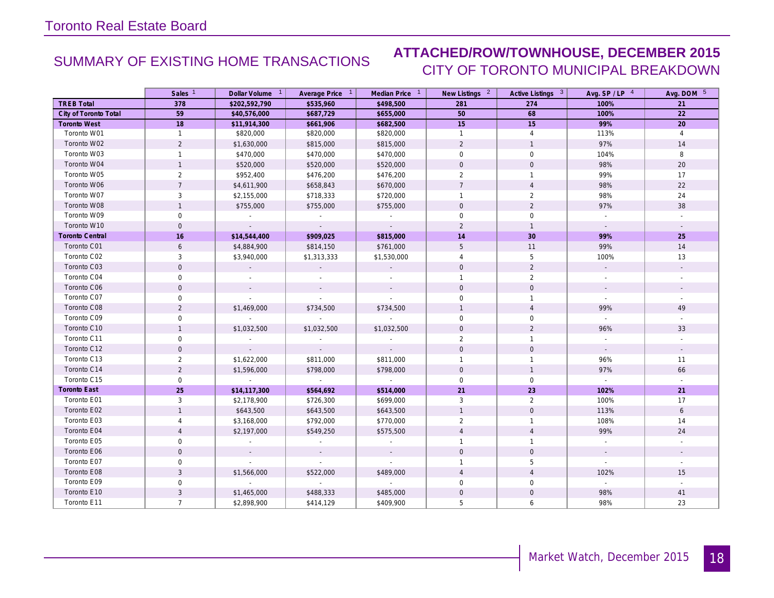## SUMMARY OF EXISTING HOME TRANSACTIONS **ATTACHED/ROW/TOWNHOUSE, DECEMBER 2015** CITY OF TORONTO MUNICIPAL BREAKDOWN

|                        | Sales <sup>1</sup>  | Dollar Volume <sup>1</sup>  | Average Price 1             | Median Price 1           | New Listings <sup>2</sup> | Active Listings 3 | Avg. $SP / LP$ <sup>4</sup> | Avg. DOM 5     |
|------------------------|---------------------|-----------------------------|-----------------------------|--------------------------|---------------------------|-------------------|-----------------------------|----------------|
| <b>TREB Total</b>      | 378                 | \$202,592,790               | \$535,960                   | \$498,500                | 281                       | 274               | 100%                        | 21             |
| City of Toronto Total  | 59                  | \$40,576,000                | \$687,729                   | \$655,000                | 50                        | 68                | 100%                        | 22             |
| <b>Toronto West</b>    | 18                  | \$11,914,300                | \$661,906                   | \$682,500                | 15                        | 15                | 99%                         | 20             |
| Toronto W01            | $\mathbf{1}$        | \$820,000                   | \$820,000                   | \$820,000                | $\mathbf{1}$              | $\overline{4}$    | 113%                        | $\overline{4}$ |
| Toronto W02            | $\overline{2}$      | \$1,630,000                 | \$815,000                   | \$815,000                | $\overline{2}$            | $\overline{1}$    | 97%                         | 14             |
| Toronto W03            | $\mathbf{1}$        | \$470,000                   | \$470,000                   | \$470,000                | $\mathbf 0$               | $\mathbf 0$       | 104%                        | 8              |
| Toronto W04            | $\mathbf{1}$        | \$520,000                   | \$520,000                   | \$520,000                | $\mathbf 0$               | $\mathbf 0$       | 98%                         | 20             |
| Toronto W05            | $\overline{2}$      | \$952,400                   | \$476,200                   | \$476,200                | $\overline{2}$            | $\overline{1}$    | 99%                         | 17             |
| Toronto W06            | $\overline{7}$      | \$4,611,900                 | \$658,843                   | \$670,000                | $7^{\circ}$               | $\overline{4}$    | 98%                         | 22             |
| Toronto W07            | 3                   | \$2,155,000                 | \$718,333                   | \$720,000                | $\mathbf{1}$              | 2                 | 98%                         | 24             |
| Toronto W08            | $\mathbf{1}$        | \$755,000                   | \$755,000                   | \$755,000                | $\mathbf 0$               | $\overline{2}$    | 97%                         | 38             |
| Toronto W09            | 0                   |                             |                             | $\sim$                   | $\mathbf 0$               | $\mathsf{O}$      |                             |                |
| Toronto W10            | $\mathbf{0}$        | $\sim$                      | $\sim$                      | $\sim$                   | $\overline{2}$            | $\overline{1}$    | $\sim$                      |                |
| <b>Toronto Central</b> | 16                  | \$14,544,400                | \$909,025                   | \$815,000                | 14                        | 30                | 99%                         | 25             |
| Toronto C01            | 6                   | \$4,884,900                 | \$814,150                   | \$761,000                | 5                         | 11                | 99%                         | 14             |
| Toronto C02            | 3                   | \$3,940,000                 | \$1,313,333                 | \$1,530,000              | $\overline{4}$            | 5                 | 100%                        | 13             |
| Toronto C03            | $\Omega$            |                             |                             |                          | $\mathbf{0}$              | 2                 |                             |                |
| Toronto C04            | $\mathbf 0$         |                             |                             |                          | $\mathbf{1}$              | $\overline{2}$    |                             |                |
| Toronto C06            | $\mathbf{O}$        | $\sim$                      |                             |                          | $\mathbf{0}$              | $\mathbf 0$       |                             |                |
| Toronto C07            | 0                   | $\overline{\phantom{a}}$    | $\sim$                      | $\overline{\phantom{a}}$ | $\mathbf 0$               | $\mathbf{1}$      | $\sim$                      | $\sim$         |
| Toronto C08            | $\overline{2}$      | \$1,469,000                 | \$734,500                   | \$734,500                | $\mathbf{1}$              | $\overline{4}$    | 99%                         | 49             |
| Toronto C09            | 0                   | $\sim$                      |                             | $\sim$                   | $\mathbf 0$               | $\mathbf 0$       |                             |                |
| Toronto C10            | $\mathbf{1}$        | \$1,032,500                 | \$1,032,500                 | \$1,032,500              | $\mathbf 0$               | $\overline{2}$    | 96%                         | 33             |
| Toronto C11            | $\mathsf{O}\xspace$ |                             |                             |                          | $\overline{2}$            | $\mathbf{1}$      |                             |                |
| Toronto C12            | $\mathbf 0$         |                             | $\mathcal{L}_{\mathcal{A}}$ |                          | $\mathbf{0}$              | $\mathbf{0}$      | $\sim$                      |                |
| Toronto C13            | $\overline{2}$      | \$1,622,000                 | \$811,000                   | \$811,000                | $\mathbf{1}$              | $\mathbf{1}$      | 96%                         | 11             |
| Toronto C14            | $\overline{2}$      | \$1,596,000                 | \$798,000                   | \$798,000                | $\mathbf 0$               | $\overline{1}$    | 97%                         | 66             |
| Toronto C15            | $\mathbf 0$         | $\sim$                      | $\sim$                      | $\sim$                   | $\mathbf 0$               | $\mathbf 0$       | $\sim$                      | $\mathbf{r}$   |
| <b>Toronto East</b>    | 25                  | \$14,117,300                | \$564,692                   | \$514,000                | 21                        | 23                | 102%                        | 21             |
| Toronto E01            | 3                   | \$2,178,900                 | \$726,300                   | \$699,000                | 3                         | $\overline{2}$    | 100%                        | 17             |
| Toronto E02            | $\mathbf{1}$        | \$643,500                   | \$643,500                   | \$643,500                | $\mathbf{1}$              | $\mathbf{0}$      | 113%                        | 6              |
| Toronto E03            | $\overline{4}$      | \$3,168,000                 | \$792,000                   | \$770,000                | $\overline{2}$            | $\overline{1}$    | 108%                        | 14             |
| Toronto E04            | $\overline{4}$      | \$2,197,000                 | \$549,250                   | \$575,500                | $\overline{4}$            | $\overline{4}$    | 99%                         | 24             |
| Toronto E05            | 0                   | $\sim$                      |                             |                          | $\mathbf{1}$              | $\overline{1}$    |                             |                |
| Toronto E06            | $\mathbf{O}$        | $\sim$                      |                             | $\sim$                   | $\mathbf 0$               | $\mathbf 0$       | $\sim$                      |                |
| Toronto E07            | $\mathbf 0$         | $\mathcal{L}^{\mathcal{A}}$ | $\mathcal{L}^{\mathcal{A}}$ | ÷.                       | $\mathbf{1}$              | 5                 | $\mathbb{Z}^{\mathbb{Z}}$   |                |
| Toronto E08            | $\mathbf{3}$        | \$1,566,000                 | \$522,000                   | \$489,000                | $\overline{4}$            | $\overline{4}$    | 102%                        | 15             |
| Toronto E09            | $\mathbf 0$         |                             |                             |                          | $\mathbf 0$               | $\mathbf 0$       | $\sim$                      | $\sim$         |
| Toronto E10            | $\mathfrak{Z}$      | \$1,465,000                 | \$488,333                   | \$485,000                | $\mathbf 0$               | $\mathbf 0$       | 98%                         | 41             |
| Toronto E11            | $\overline{7}$      | \$2,898,900                 | \$414,129                   | \$409,900                | 5                         | 6                 | 98%                         | 23             |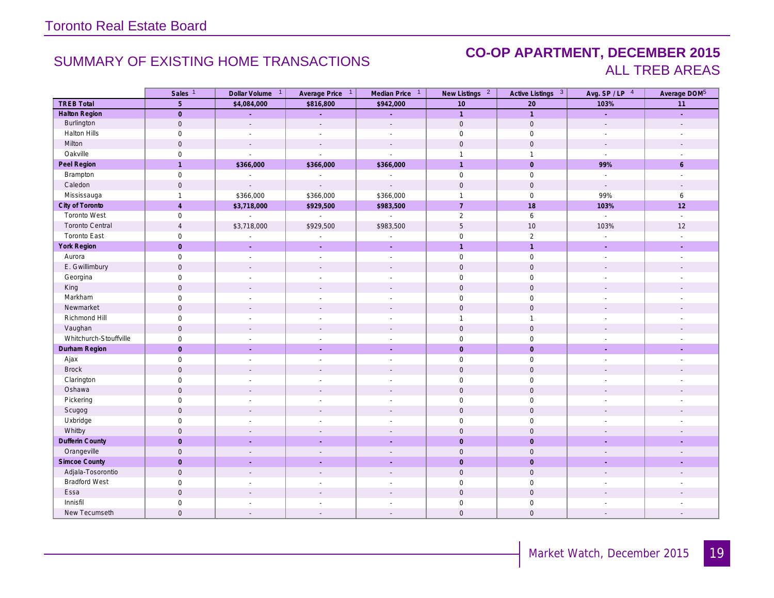### SUMMARY OF EXISTING HOME TRANSACTIONS **CO-OP APARTMENT, DECEMBER 2015** ALL TREB AREAS

|                        | Sales <sup>1</sup>  | Dollar Volume <sup>1</sup> | Average Price 1          | Median Price <sup>1</sup>   | New Listings <sup>2</sup> | Active Listings 3   | Avg. SP/LP 4                | Average DOM <sup>5</sup> |
|------------------------|---------------------|----------------------------|--------------------------|-----------------------------|---------------------------|---------------------|-----------------------------|--------------------------|
| <b>TREB Total</b>      | $\overline{5}$      | \$4,084,000                | \$816,800                | \$942,000                   | 10                        | 20                  | 103%                        | $\overline{11}$          |
| <b>Halton Region</b>   | $\mathsf{O}\xspace$ | ÷.                         | ÷.                       | L.                          | $\overline{1}$            | $\overline{1}$      | L.                          | ú,                       |
| Burlington             | $\mathbf 0$         | $\mathbf{r}$               | $\mathcal{L}$            | $\mathcal{L}$               | $\mathsf{O}\xspace$       | $\mathsf{O}$        | $\mathcal{L}$               | $\overline{\phantom{a}}$ |
| Halton Hills           | $\mathsf{O}\xspace$ |                            |                          | $\sim$                      | $\mathsf{O}\xspace$       | $\mathsf{O}$        | $\overline{a}$              |                          |
| Milton                 | $\mathbf{0}$        |                            | $\overline{\phantom{a}}$ | $\blacksquare$              | $\mathbf{0}$              | $\mathbf 0$         | $\sim$                      |                          |
| Oakville               | $\mathsf{O}\xspace$ | $\mathbf{r}$               | $\mathcal{L}$            | $\mathcal{L}^{\pm}$         | $\mathbf{1}$              | $\mathbf{1}$        | $\mathcal{L}^{\mathcal{A}}$ | $\overline{a}$           |
| Peel Region            | $\mathbf{1}$        | \$366,000                  | \$366,000                | \$366,000                   | $\mathbf{1}$              | $\overline{0}$      | 99%                         | 6                        |
| Brampton               | $\mathsf{O}\xspace$ | $\sim$                     | $\overline{\phantom{a}}$ | $\mathcal{L}_{\mathcal{A}}$ | $\mathsf{O}\xspace$       | $\mathsf{O}\xspace$ | $\mathcal{L}_{\mathcal{A}}$ | $\overline{\phantom{a}}$ |
| Caledon                | $\mathsf{O}\xspace$ | $\overline{a}$             | $\mathbf{r}$             | $\mathbf{r}$                | $\mathsf{O}\xspace$       | $\mathsf{O}\xspace$ | $\sim$                      | $\sim$                   |
| Mississauga            | $\mathbf{1}$        | \$366,000                  | \$366,000                | \$366,000                   | $\mathbf{1}$              | $\mathbf 0$         | 99%                         | $\epsilon$               |
| City of Toronto        | $\overline{4}$      | \$3,718,000                | \$929,500                | \$983,500                   | $\overline{7}$            | 18                  | 103%                        | 12                       |
| <b>Toronto West</b>    | $\mathsf{O}\xspace$ | $\sim$                     | $\mathbb{Z}^2$           | $\mathbb{Z}^2$              | $\overline{2}$            | 6                   | $\mathbb{Z}^2$              | $\mathcal{L}$            |
| <b>Toronto Central</b> | $\overline{4}$      | \$3,718,000                | \$929,500                | \$983,500                   | 5                         | 10                  | 103%                        | 12                       |
| <b>Toronto East</b>    | $\mathsf{O}\xspace$ |                            |                          | $\sim$                      | $\mathsf{O}\xspace$       | $\sqrt{2}$          | $\overline{\phantom{a}}$    | $\overline{\phantom{a}}$ |
| York Region            | $\overline{0}$      |                            |                          |                             | $\overline{1}$            | $\overline{1}$      |                             | $\mathbf{r}$             |
| Aurora                 | $\mathsf{O}\xspace$ | $\sim$                     | $\sim$                   | $\sim$                      | $\mathsf{O}\xspace$       | $\mathsf{O}$        | $\sim$                      | $\sim$                   |
| E. Gwillimbury         | $\mathsf{O}$        |                            | $\mathbf{r}$             | $\overline{a}$              | $\mathbf 0$               | $\mathbf 0$         | $\overline{a}$              | $\overline{\phantom{a}}$ |
| Georgina               | $\mathsf{O}\xspace$ | $\sim$                     | $\overline{\phantom{a}}$ | $\mathbf{r}$                | $\mathsf{O}\xspace$       | $\mathsf{O}\xspace$ | $\overline{\phantom{a}}$    |                          |
| King                   | $\mathsf{O}\xspace$ |                            | $\sim$                   | $\mathbf{r}$                | $\mathbf 0$               | $\mathsf{O}\xspace$ | $\sim$                      |                          |
| Markham                | $\mathsf{O}\xspace$ |                            | $\overline{\phantom{a}}$ | $\overline{a}$              | $\mathbf 0$               | $\mathsf{O}$        | $\overline{a}$              |                          |
| Newmarket              | $\mathsf{O}$        |                            |                          | $\overline{\phantom{a}}$    | $\mathbf 0$               | $\mathbf 0$         | $\overline{\phantom{a}}$    |                          |
| Richmond Hill          | $\mathsf{O}\xspace$ |                            |                          | ÷,                          | $\mathbf{1}$              | $\overline{1}$      |                             |                          |
| Vaughan                | $\mathsf{O}$        | $\sim$                     | $\sim$                   | $\mathcal{L}$               | $\mathbf 0$               | $\mathbf 0$         | $\overline{\phantom{a}}$    |                          |
| Whitchurch-Stouffville | $\mathsf{O}\xspace$ |                            | $\overline{\phantom{a}}$ | $\sim$                      | $\mathsf 0$               | $\mathsf{O}$        | $\overline{a}$              |                          |
| Durham Region          | $\overline{0}$      | $\sim$                     | ÷.                       | ÷.                          | $\mathbf{0}$              | $\overline{0}$      | ÷.                          | ÷                        |
| Ajax                   | $\mathsf{O}\xspace$ | $\sim$                     | $\overline{\phantom{a}}$ | $\overline{\phantom{a}}$    | $\mathsf 0$               | $\mathsf{O}$        | $\overline{\phantom{a}}$    | $\sim$                   |
| <b>Brock</b>           | $\mathbf 0$         | $\overline{a}$             | $\overline{a}$           | $\overline{a}$              | $\mathbf 0$               | $\mathsf{O}\xspace$ | $\overline{a}$              |                          |
| Clarington             | $\mathsf 0$         | $\overline{\phantom{a}}$   | $\overline{\phantom{a}}$ | $\overline{\phantom{a}}$    | $\mathbf 0$               | $\mathbf 0$         | $\overline{\phantom{a}}$    |                          |
| Oshawa                 | $\mathsf{O}\xspace$ |                            |                          |                             | $\mathbf 0$               | $\mathbf 0$         |                             |                          |
| Pickering              | $\mathbf 0$         | $\overline{\phantom{a}}$   | $\overline{\phantom{a}}$ | $\overline{\phantom{a}}$    | $\mathbf 0$               | $\mathbf 0$         | $\overline{\phantom{a}}$    | $\overline{\phantom{a}}$ |
| Scugog                 | $\mathsf{O}$        |                            |                          |                             | $\mathbf 0$               | $\mathsf{O}\xspace$ |                             |                          |
| Uxbridge               | $\mathsf 0$         |                            |                          | $\sim$                      | $\mathbf 0$               | $\mathbf 0$         |                             |                          |
| Whitby                 | $\mathbf 0$         |                            |                          |                             | $\mathbf 0$               | $\mathbf 0$         |                             |                          |
| <b>Dufferin County</b> | $\overline{0}$      |                            |                          |                             | $\overline{0}$            | $\overline{0}$      |                             |                          |
| Orangeville            | $\mathsf{O}$        |                            | $\overline{\phantom{a}}$ | $\overline{\phantom{a}}$    | $\mathbf 0$               | $\mathbf 0$         |                             | $\overline{\phantom{a}}$ |
| Simcoe County          | $\overline{0}$      |                            |                          |                             | $\mathbf{0}$              | $\mathbf 0$         |                             | ÷                        |
| Adjala-Tosorontio      | $\mathsf{O}\xspace$ |                            |                          |                             | $\mathbf 0$               | $\mathsf{O}\xspace$ |                             |                          |
| <b>Bradford West</b>   | $\mathsf 0$         |                            |                          |                             | $\mathbf 0$               | $\mathsf{O}$        |                             |                          |
| Essa                   | $\mathsf{O}\xspace$ |                            |                          |                             | $\mathbf 0$               | $\mathbf 0$         |                             |                          |
| Innisfil               | $\mathsf{O}\xspace$ |                            |                          |                             | $\mathsf{O}\xspace$       | $\mathsf{O}$        |                             |                          |
| New Tecumseth          | $\mathsf{O}\xspace$ |                            |                          | $\sim$                      | $\mathbf 0$               | $\mathbf 0$         |                             | $\overline{\phantom{a}}$ |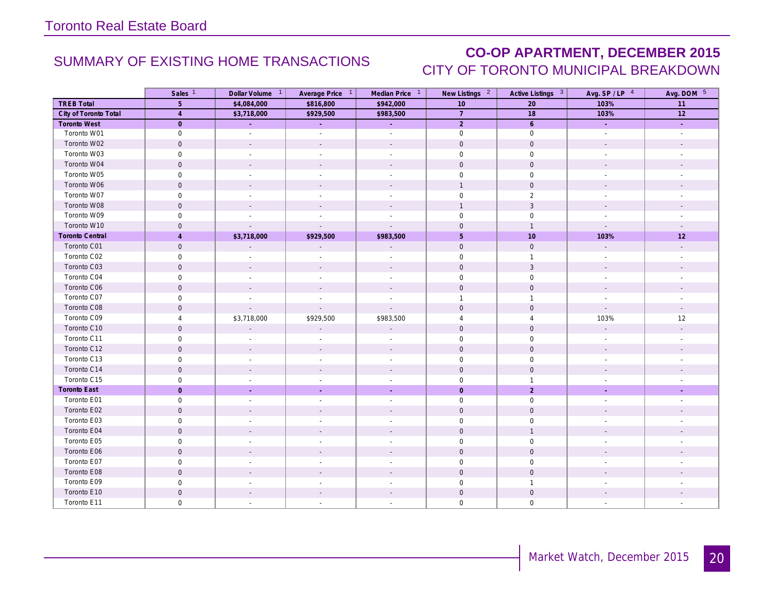### SUMMARY OF EXISTING HOME TRANSACTIONS **CO-OP APARTMENT, DECEMBER 2015** CITY OF TORONTO MUNICIPAL BREAKDOWN

|                        | Sales <sup>1</sup>  | Dollar Volume 1          | Average Price 1          | Median Price 1           | New Listings <sup>2</sup> | Active Listings 3   | Avg. $SP / LP$ <sup>4</sup> | Avg. DOM 5               |
|------------------------|---------------------|--------------------------|--------------------------|--------------------------|---------------------------|---------------------|-----------------------------|--------------------------|
| <b>TREB Total</b>      | 5                   | \$4,084,000              | \$816,800                | \$942,000                | 10                        | 20                  | 103%                        | 11                       |
| City of Toronto Total  | $\overline{4}$      | \$3,718,000              | \$929,500                | \$983,500                | $\overline{7}$            | 18                  | 103%                        | 12                       |
| <b>Toronto West</b>    | $\overline{0}$      | ÷,                       |                          | ÷.                       | $\overline{2}$            | $6\overline{6}$     | $\sim$                      | $\sim$                   |
| Toronto W01            | $\mathsf{O}\xspace$ | $\mathbb{Z}^+$           | $\overline{\phantom{a}}$ | $\blacksquare$           | $\mathbf 0$               | $\mathbf 0$         | $\mathbb{Z}^+$              | $\overline{\phantom{a}}$ |
| Toronto W02            | $\mathsf{O}\xspace$ |                          |                          |                          | $\mathbf 0$               | $\mathsf{O}\xspace$ |                             |                          |
| Toronto W03            | $\mathsf{O}\xspace$ | $\overline{\phantom{a}}$ |                          |                          | $\mathbf 0$               | $\mathsf{O}\xspace$ |                             |                          |
| Toronto W04            | $\mathbf{0}$        | $\overline{\phantom{a}}$ |                          |                          | $\mathbf{0}$              | $\mathbf 0$         |                             |                          |
| Toronto W05            | $\mathbf 0$         |                          |                          |                          | $\mathbf 0$               | $\mathbf 0$         |                             |                          |
| Toronto W06            | $\mathbf 0$         | $\sim$                   |                          | $\sim$                   | $\mathbf{1}$              | $\mathbf 0$         |                             |                          |
| Toronto W07            | $\mathbf 0$         | $\sim$                   | $\overline{\phantom{a}}$ | $\overline{\phantom{a}}$ | $\mathbf 0$               | 2                   | $\overline{\phantom{a}}$    |                          |
| Toronto W08            | $\mathbf 0$         | $\overline{\phantom{a}}$ |                          |                          | $\mathbf{1}$              | $\sqrt{3}$          |                             |                          |
| Toronto W09            | $\mathsf{O}\xspace$ |                          |                          |                          | $\mathsf{O}\xspace$       | $\mathsf{O}\xspace$ |                             |                          |
| Toronto W10            | $\mathbf 0$         |                          |                          |                          | $\mathbf 0$               | $\overline{1}$      | $\mathbf{r}$                |                          |
| <b>Toronto Central</b> | $\overline{4}$      | \$3,718,000              | \$929,500                | \$983,500                | 5                         | 10                  | 103%                        | 12                       |
| Toronto C01            | $\mathbf 0$         | $\overline{\phantom{a}}$ |                          |                          | $\mathbf 0$               | $\mathbf 0$         |                             |                          |
| Toronto C02            | $\mathbf 0$         | $\overline{\phantom{a}}$ |                          | $\overline{\phantom{a}}$ | $\mathbf 0$               | $\overline{1}$      |                             |                          |
| Toronto C03            | $\mathbf 0$         | $\overline{\phantom{a}}$ |                          |                          | $\mathsf{O}\xspace$       | $\mathbf{3}$        | $\overline{\phantom{a}}$    |                          |
| Toronto C04            | $\mathbf 0$         |                          |                          |                          | $\mathbf 0$               | $\mathbf 0$         |                             |                          |
| Toronto C06            | $\mathbf 0$         | $\overline{\phantom{a}}$ |                          | $\overline{\phantom{a}}$ | $\mathbf 0$               | $\mathbf 0$         | $\overline{\phantom{a}}$    |                          |
| Toronto C07            | $\mathsf{O}\xspace$ | $\overline{\phantom{a}}$ | $\overline{\phantom{a}}$ | $\overline{\phantom{a}}$ | $\mathbf{1}$              | $\overline{1}$      | $\overline{\phantom{a}}$    |                          |
| Toronto C08            | $\mathbf 0$         |                          |                          |                          | $\mathbf 0$               | $\mathbf 0$         |                             |                          |
| Toronto C09            | $\overline{4}$      | \$3,718,000              | \$929,500                | \$983,500                | $\overline{4}$            | $\overline{4}$      | 103%                        | 12                       |
| Toronto C10            | $\mathbf 0$         | $\sim$                   |                          | $\overline{a}$           | $\mathbf 0$               | $\mathbf 0$         |                             |                          |
| Toronto C11            | 0                   |                          |                          |                          | $\mathbf 0$               | $\mathbf 0$         |                             |                          |
| Toronto C12            | $\mathsf{O}\xspace$ | $\overline{\phantom{a}}$ |                          | $\overline{a}$           | $\mathbf 0$               | $\mathsf{O}\xspace$ |                             |                          |
| Toronto C13            | $\mathsf{O}\xspace$ | $\sim$                   |                          | $\sim$                   | $\mathbf 0$               | $\mathsf{O}$        | $\sim$                      |                          |
| Toronto C14            | $\mathsf{O}\xspace$ | $\sim$                   |                          | $\overline{a}$           | $\mathsf{O}\xspace$       | $\mathsf{O}\xspace$ |                             |                          |
| Toronto C15            | $\mathbf 0$         | $\sim$                   |                          | $\overline{\phantom{a}}$ | $\mathbf 0$               | $\overline{1}$      | $\overline{\phantom{a}}$    |                          |
| <b>Toronto East</b>    | $\mathbf{0}$        | $\sim$                   |                          | $\mathcal{L}$            | $\mathbf{0}$              | $\overline{2}$      | $\mathcal{L}$               | $\overline{\phantom{a}}$ |
| Toronto E01            | $\mathbf 0$         | $\overline{\phantom{a}}$ |                          | $\overline{\phantom{a}}$ | $\mathbf 0$               | $\mathsf{O}$        | $\overline{\phantom{a}}$    |                          |
| Toronto E02            | $\mathbf 0$         | $\sim$                   |                          | $\overline{\phantom{a}}$ | $\mathbf{0}$              | $\mathbf 0$         |                             |                          |
| Toronto E03            | $\mathbf 0$         | ÷                        | $\overline{\phantom{a}}$ | ÷                        | $\mathbf 0$               | $\mathbf 0$         | $\overline{\phantom{a}}$    | ÷                        |
| Toronto E04            | $\mathsf{O}\xspace$ |                          |                          |                          | $\mathbf 0$               | $\overline{1}$      |                             |                          |
| Toronto E05            | $\mathsf{O}\xspace$ | $\overline{\phantom{a}}$ |                          | $\overline{a}$           | $\mathsf{O}\xspace$       | $\mathsf{O}\xspace$ |                             |                          |
| Toronto E06            | $\mathbf 0$         |                          |                          | $\overline{a}$           | $\mathbf 0$               | $\mathbf 0$         |                             |                          |
| Toronto E07            | $\mathbf 0$         |                          |                          |                          | $\mathbf 0$               | $\mathbf 0$         |                             |                          |
| Toronto E08            | $\mathbf 0$         | $\sim$                   |                          | $\overline{\phantom{a}}$ | $\mathsf{O}\xspace$       | $\mathbf 0$         |                             |                          |
| Toronto E09            | $\mathbf 0$         | $\overline{\phantom{a}}$ |                          | $\overline{\phantom{a}}$ | $\mathbf 0$               | $\overline{1}$      | $\sim$                      |                          |
| Toronto E10            | $\mathbf 0$         | $\overline{\phantom{a}}$ |                          |                          | $\mathbf 0$               | $\mathsf{O}\xspace$ |                             |                          |
| Toronto E11            | 0                   |                          |                          |                          | $\Omega$                  | $\mathbf 0$         |                             |                          |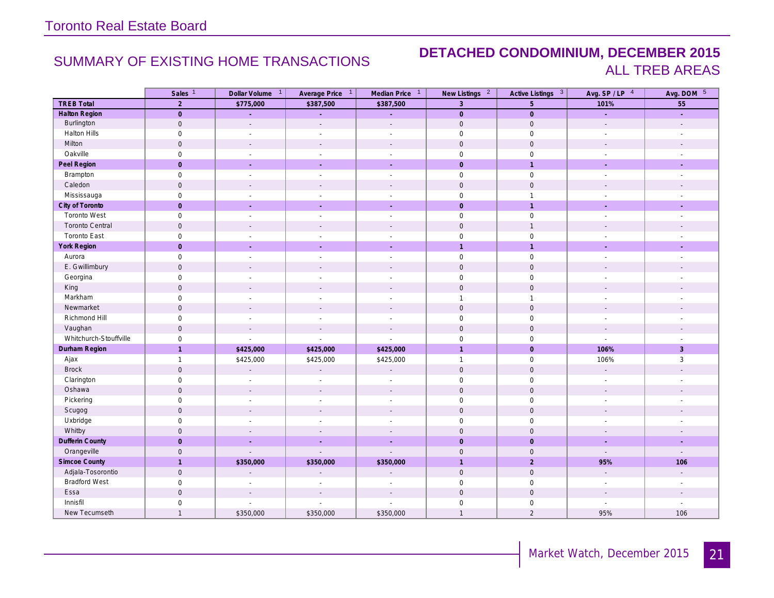### SUMMARY OF EXISTING HOME TRANSACTIONS **DETACHED CONDOMINIUM, DECEMBER 2015** ALL TREB AREAS

|                        | Sales <sup>1</sup>  | Dollar Volume 1          | Average Price 1             | Median Price 1           | New Listings <sup>2</sup> | Active Listings 3   | Avg. SP/LP 4                | Avg. DOM 5               |
|------------------------|---------------------|--------------------------|-----------------------------|--------------------------|---------------------------|---------------------|-----------------------------|--------------------------|
| <b>TREB Total</b>      | $\overline{2}$      | \$775,000                | \$387,500                   | \$387,500                | $\overline{3}$            | $5\phantom{.}$      | 101%                        | 55                       |
| <b>Halton Region</b>   | $\overline{0}$      | ÷,                       | ÷.                          | ÷,                       | $\overline{0}$            | $\mathbf 0$         | ÷.                          | ÷.                       |
| Burlington             | $\mathsf{O}\xspace$ | $\sim$                   | $\mathcal{L}$               | $\overline{a}$           | $\mathbf 0$               | $\mathsf{O}$        | $\mathcal{L}$               | $\overline{\phantom{a}}$ |
| <b>Halton Hills</b>    | $\mathbf 0$         | $\overline{\phantom{a}}$ | $\overline{\phantom{a}}$    | $\overline{\phantom{a}}$ | $\mathbf 0$               | $\mathbf 0$         | $\overline{\phantom{a}}$    |                          |
| Milton                 | $\mathbf 0$         | $\mathbf{r}$             | $\sim$                      | $\sim$                   | $\mathbf 0$               | $\mathbf 0$         | $\blacksquare$              | $\overline{\phantom{a}}$ |
| Oakville               | $\mathbf 0$         | $\sim$                   | $\sim$                      | $\sim$                   | $\mathbf 0$               | $\mathbf 0$         | $\sim$                      | $\overline{\phantom{a}}$ |
| Peel Region            | $\overline{0}$      | i.                       | $\sim$                      | ÷.                       | $\mathbf{O}$              | $\overline{1}$      | $\sim$                      | ÷.                       |
| Brampton               | $\mathsf{O}\xspace$ | $\sim$                   | $\sim$                      | $\sim$                   | $\mathsf{O}$              | $\mathsf{O}$        | $\sim$                      | $\overline{\phantom{a}}$ |
| Caledon                | $\mathbf 0$         | $\sim$                   | $\sim$                      | $\sim$                   | $\mathbf 0$               | $\mathbf 0$         | $\sim$                      | $\overline{\phantom{a}}$ |
| Mississauga            | $\mathsf{O}$        | $\sim$                   | $\sim$                      | $\overline{\phantom{a}}$ | $\mathbf 0$               | $\overline{1}$      | $\mathbb{Z}^{\mathbb{Z}}$   | $\overline{\phantom{a}}$ |
| City of Toronto        | $\mathbf{O}$        | ÷.                       | ÷.                          | ÷.                       | $\mathbf{O}$              | $\overline{1}$      | ÷.                          | ÷.                       |
| <b>Toronto West</b>    | $\mathsf{O}\xspace$ | $\sim$                   | $\sim$                      | $\sim$                   | $\mathsf{O}$              | $\mathsf{O}\xspace$ | $\overline{\phantom{a}}$    | ÷,                       |
| <b>Toronto Central</b> | $\mathbf 0$         | $\sim$                   | $\sim$                      | $\mathcal{L}$            | $\mathbf{0}$              | $\overline{1}$      | $\mathcal{L}$               | $\overline{\phantom{a}}$ |
| Toronto East           | $\mathsf{O}\xspace$ | $\sim$                   | $\sim$                      | $\overline{a}$           | $\mathsf{O}\xspace$       | $\mathsf{O}$        | $\overline{\phantom{a}}$    |                          |
| York Region            | $\overline{0}$      | ÷.                       | $\sim$                      | ÷.                       | $\mathbf{1}$              | $\overline{1}$      | $\sim$                      | ÷                        |
| Aurora                 | $\mathsf{O}\xspace$ | $\sim$                   | $\sim$                      | $\mathbb{Z}^2$           | $\mathsf{O}$              | $\mathsf{O}$        | $\sim$                      | $\sim$                   |
| E. Gwillimbury         | $\mathbf 0$         | $\sim$                   | $\sim$                      | $\overline{\phantom{a}}$ | $\mathbf 0$               | $\mathbf 0$         | $\sim$                      | $\overline{\phantom{a}}$ |
| Georgina               | $\mathsf{O}$        | $\overline{\phantom{a}}$ | $\overline{\phantom{a}}$    | $\overline{\phantom{a}}$ | $\mathsf{O}\xspace$       | $\mathbf 0$         | $\overline{\phantom{a}}$    |                          |
| King                   | $\mathsf{O}\xspace$ | $\mathbf{r}$             | $\sim$                      | $\overline{a}$           | $\mathbf 0$               | $\mathsf{O}$        | $\sim$                      |                          |
| Markham                | $\mathsf{O}$        | $\overline{\phantom{a}}$ | $\sim$                      | $\overline{\phantom{a}}$ | $\mathbf{1}$              | $\overline{1}$      | $\overline{\phantom{a}}$    | ÷,                       |
| Newmarket              | $\mathsf{O}\xspace$ | $\mathcal{L}$            | $\overline{\phantom{a}}$    | $\overline{\phantom{a}}$ | $\mathbf 0$               | $\mathsf{O}$        | $\overline{\phantom{a}}$    |                          |
| Richmond Hill          | $\mathsf{O}$        | $\sim$                   | $\overline{\phantom{a}}$    | $\sim$                   | $\mathbf 0$               | $\mathbf 0$         | $\sim$                      |                          |
| Vaughan                | $\mathbf 0$         | $\mathbf{r}$             | $\overline{\phantom{a}}$    | $\mathcal{L}$            | $\mathbf 0$               | $\mathsf{O}$        | $\mathcal{L}$               | $\overline{\phantom{a}}$ |
| Whitchurch-Stouffville | $\mathbf 0$         | $\sim$                   | $\sim$                      | $\overline{a}$           | $\mathbf 0$               | $\mathbf 0$         | $\mathbb{Z}^{\mathbb{Z}}$   | $\overline{\phantom{a}}$ |
| Durham Region          | $\overline{1}$      | \$425,000                | \$425,000                   | \$425,000                | $\overline{1}$            | $\mathbf{0}$        | 106%                        | $\overline{3}$           |
| Ajax                   | $\mathbf{1}$        | \$425,000                | \$425,000                   | \$425,000                | $\mathbf{1}$              | $\mathsf{O}$        | 106%                        | $\mathbf{3}$             |
| <b>Brock</b>           | $\mathbf 0$         | $\mathbb{Z}^2$           | $\sim$                      | $\Box$                   | $\mathbf 0$               | $\mathbf 0$         | $\mathcal{L}_{\mathcal{A}}$ |                          |
| Clarington             | $\mathsf{O}$        | $\sim$                   | $\sim$                      | $\overline{a}$           | $\mathbf 0$               | $\mathsf{O}$        | $\sim$                      |                          |
| Oshawa                 | $\mathsf{O}\xspace$ |                          |                             | ÷,                       | $\mathbf 0$               | $\mathbf 0$         | $\overline{\phantom{a}}$    |                          |
| Pickering              | $\mathsf{O}\xspace$ | $\sim$                   | $\overline{\phantom{a}}$    | $\overline{a}$           | $\mathsf{O}\xspace$       | $\mathsf{O}\xspace$ | $\overline{\phantom{a}}$    |                          |
| Scugog                 | $\mathbf 0$         | $\mathcal{L}$            | $\sim$                      | $\mathcal{L}$            | $\mathbf 0$               | $\mathbf 0$         | $\mathcal{L}$               |                          |
| Uxbridge               | $\mathsf{O}$        |                          |                             | $\overline{a}$           | $\mathbf 0$               | $\mathsf{O}$        |                             |                          |
| Whitby                 | $\mathbf 0$         | $\sim$                   |                             | $\overline{a}$           | $\mathbf{0}$              | $\mathbf 0$         | $\sim$                      | $\overline{\phantom{a}}$ |
| <b>Dufferin County</b> | $\mathbf{0}$        | ÷.                       | $\sim$                      | ÷                        | $\mathbf{0}$              | $\overline{0}$      | $\sim$                      | $\sim$                   |
| Orangeville            | $\mathbf 0$         | $\mathcal{L}$            | $\overline{a}$              | $\mathbf{r}$             | $\mathbf{0}$              | $\mathbf 0$         | $\sim$                      | $\overline{a}$           |
| Simcoe County          | $\overline{1}$      | \$350,000                | \$350,000                   | \$350,000                | $\overline{1}$            | $\overline{c}$      | 95%                         | 106                      |
| Adjala-Tosorontio      | $\mathbf 0$         | $\overline{a}$           | $\mathcal{L}_{\mathcal{A}}$ | $\overline{\phantom{a}}$ | $\mathbf{0}$              | $\mathbf 0$         | $\mathbb{Z}^{\times}$       | $\mathcal{L}$            |
| <b>Bradford West</b>   | $\mathsf{O}$        | $\overline{\phantom{a}}$ | $\overline{\phantom{a}}$    | $\overline{\phantom{a}}$ | $\mathbf 0$               | $\mathsf{O}$        | $\overline{\phantom{a}}$    | $\overline{\phantom{a}}$ |
| Essa                   | $\mathsf{O}\xspace$ | $\sim$                   | $\overline{\phantom{a}}$    | $\overline{\phantom{a}}$ | $\mathbf 0$               | $\mathsf{O}$        | $\overline{\phantom{a}}$    |                          |
| Innisfil               | $\mathsf{O}\xspace$ | $\overline{\phantom{a}}$ |                             | $\overline{\phantom{a}}$ | $\mathbf 0$               | $\mathsf{O}\xspace$ |                             |                          |
| New Tecumseth          | $\overline{1}$      | \$350,000                | \$350,000                   | \$350,000                | $\mathbf{1}$              | $\sqrt{2}$          | 95%                         | 106                      |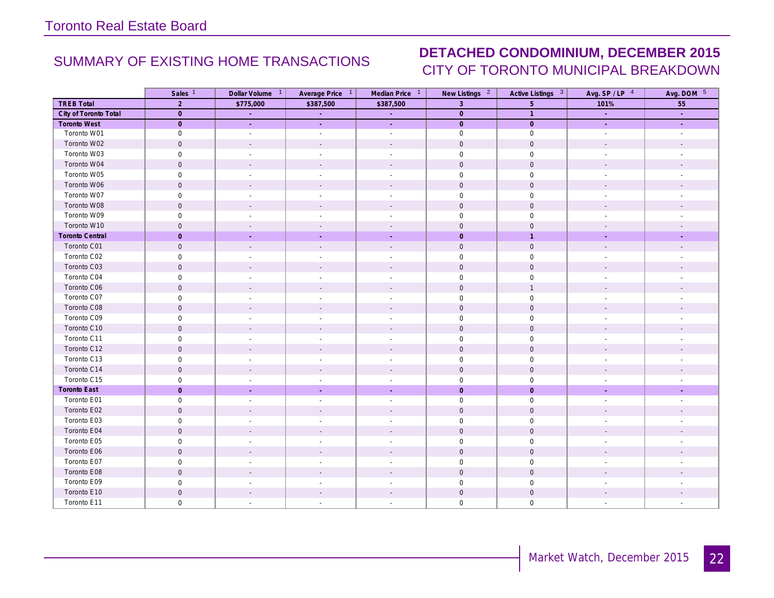### SUMMARY OF EXISTING HOME TRANSACTIONS **DETACHED CONDOMINIUM, DECEMBER 2015** CITY OF TORONTO MUNICIPAL BREAKDOWN

|                        | Sales <sup>1</sup>  | Dollar Volume <sup>1</sup> | Average Price 1             | Median Price 1           | New Listings <sup>2</sup> | Active Listings 3   | Avg. SP/LP 4             | Avg. DOM 5               |
|------------------------|---------------------|----------------------------|-----------------------------|--------------------------|---------------------------|---------------------|--------------------------|--------------------------|
| <b>TREB Total</b>      | 2                   | \$775,000                  | \$387,500                   | \$387,500                | $\overline{3}$            | 5 <sup>5</sup>      | 101%                     | 55                       |
| City of Toronto Total  | $\overline{0}$      | ц.                         | $\mathcal{L}^{\mathcal{A}}$ | $\sim$                   | $\overline{0}$            | $\overline{1}$      | ц.                       | ÷.                       |
| <b>Toronto West</b>    | $\overline{0}$      | $\omega$                   | $\mathcal{L}^{\mathcal{A}}$ | $\omega$ .               | $\overline{0}$            | $\overline{0}$      | $\sim$                   | ÷.                       |
| Toronto W01            | $\mathsf 0$         | $\blacksquare$             | $\blacksquare$              | $\blacksquare$           | $\mathsf{O}$              | $\mathsf{O}\xspace$ | $\sim$                   | $\overline{\phantom{a}}$ |
| Toronto W02            | $\mathbf 0$         | $\overline{\phantom{a}}$   | $\sim$                      | $\overline{\phantom{a}}$ | $\mathbf 0$               | $\mathsf{O}$        |                          |                          |
| Toronto W03            | $\mathbf 0$         | $\sim$                     | $\overline{a}$              | $\overline{\phantom{a}}$ | $\mathsf{O}$              | $\mathsf{O}$        |                          |                          |
| Toronto W04            | $\mathbf 0$         | $\overline{\phantom{a}}$   |                             | $\overline{\phantom{a}}$ | $\mathbf 0$               | $\mathsf{O}$        |                          |                          |
| Toronto W05            | $\mathbf 0$         | $\overline{a}$             | $\overline{\phantom{a}}$    | $\overline{a}$           | $\mathsf{O}$              | $\mathsf 0$         |                          |                          |
| Toronto W06            | $\mathsf{O}\xspace$ | $\overline{\phantom{a}}$   | $\sim$                      | $\overline{\phantom{a}}$ | $\mathsf{O}\xspace$       | $\mathsf{O}\xspace$ | $\sim$                   | $\overline{\phantom{a}}$ |
| Toronto W07            | $\mathbf 0$         | $\overline{\phantom{a}}$   | $\overline{\phantom{a}}$    | $\overline{\phantom{a}}$ | $\mathbf 0$               | $\mathbf 0$         | $\overline{\phantom{a}}$ | $\overline{\phantom{a}}$ |
| Toronto W08            | $\mathbf 0$         | $\overline{\phantom{a}}$   |                             |                          | $\mathbf 0$               | $\mathsf{O}$        |                          |                          |
| Toronto W09            | $\mathsf{O}\xspace$ | $\sim$                     |                             | $\overline{\phantom{a}}$ | $\mathsf{O}\xspace$       | $\mathsf{O}\xspace$ |                          |                          |
| Toronto W10            | $\mathbf 0$         | $\overline{\phantom{a}}$   |                             | $\overline{\phantom{a}}$ | $\mathbf 0$               | $\mathbf 0$         |                          |                          |
| <b>Toronto Central</b> | $\mathbf{0}$        |                            |                             |                          | $\mathbf 0$               | $\overline{1}$      |                          |                          |
| Toronto C01            | $\mathsf{O}\xspace$ | $\mathcal{L}$              | $\sim$                      | $\mathcal{L}$            | $\mathbb O$               | $\mathsf{O}$        | $\overline{\phantom{a}}$ |                          |
| Toronto C02            | $\mathbf 0$         | $\overline{\phantom{a}}$   | $\sim$                      | $\overline{\phantom{a}}$ | $\mathbf 0$               | $\mathbf 0$         | $\overline{\phantom{a}}$ | $\overline{\phantom{a}}$ |
| Toronto C03            | $\mathbf 0$         | $\overline{a}$             | $\overline{a}$              | $\overline{a}$           | $\mathbf 0$               | $\mathsf{O}$        | $\overline{\phantom{a}}$ |                          |
| Toronto C04            | $\mathsf{O}\xspace$ | $\overline{\phantom{a}}$   |                             | $\overline{\phantom{a}}$ | $\mathbf 0$               | $\mathsf{O}$        |                          |                          |
| Toronto C06            | $\mathbf 0$         | $\sim$                     | $\sim$                      | $\sim$                   | $\mathbb O$               | $\overline{1}$      | $\sim$                   | $\overline{\phantom{a}}$ |
| Toronto C07            | $\mathsf{O}$        | $\overline{\phantom{a}}$   | $\overline{a}$              | $\overline{a}$           | $\mathsf{O}$              | $\mathsf{O}\xspace$ | $\mathbf{r}$             |                          |
| Toronto C08            | $\mathbf 0$         | $\overline{\phantom{a}}$   |                             | $\overline{\phantom{a}}$ | $\mathbf 0$               | $\mathbf 0$         | $\sim$                   |                          |
| Toronto C09            | $\mathsf{O}\xspace$ | $\sim$                     | $\sim$                      | $\sim$                   | $\mathbf 0$               | $\mathsf{O}\xspace$ | $\sim$                   | $\overline{\phantom{a}}$ |
| Toronto C10            | $\mathbf 0$         | $\mathbf{r}$               | $\overline{a}$              | $\overline{a}$           | $\mathsf{O}\xspace$       | $\mathsf{O}$        | $\overline{\phantom{a}}$ |                          |
| Toronto C11            | $\mathsf{O}\xspace$ | $\overline{\phantom{a}}$   | $\overline{\phantom{a}}$    | $\overline{\phantom{a}}$ | $\mathbf 0$               | $\mathsf{O}$        | $\overline{\phantom{a}}$ |                          |
| Toronto C12            | $\mathsf{O}\xspace$ | $\mathbf{r}$               |                             | $\overline{\phantom{a}}$ | $\mathsf{O}$              | $\mathsf{O}$        | $\overline{\phantom{a}}$ |                          |
| Toronto C13            | $\mathbf 0$         | $\overline{\phantom{a}}$   | $\sim$                      | $\overline{\phantom{a}}$ | $\mathbf 0$               | $\mathsf{O}$        | $\overline{\phantom{a}}$ |                          |
| Toronto C14            | $\mathsf{O}\xspace$ | $\overline{\phantom{a}}$   | $\sim$                      | $\overline{\phantom{a}}$ | $\mathbf 0$               | $\mathsf{O}$        | $\blacksquare$           |                          |
| Toronto C15            | $\mathsf 0$         | $\sim$                     | $\overline{\phantom{a}}$    | $\overline{\phantom{a}}$ | $\mathsf{O}$              | $\mathsf 0$         | $\overline{\phantom{a}}$ |                          |
| <b>Toronto East</b>    | $\mathbf{0}$        | $\mathbb{Z}$               | $\sim$                      | ÷.                       | $\mathsf{O}\xspace$       | $\mathbf 0$         | $\sim$                   | $\sim$                   |
| Toronto E01            | $\mathsf{O}\xspace$ | $\sim$                     | $\overline{\phantom{a}}$    | $\overline{\phantom{a}}$ | $\mathsf{O}$              | $\mathsf{O}$        | $\overline{\phantom{a}}$ | $\overline{\phantom{a}}$ |
| Toronto E02            | $\mathbf 0$         | $\overline{\phantom{a}}$   |                             | $\overline{\phantom{a}}$ | $\mathbf 0$               | $\mathbf 0$         |                          |                          |
| Toronto E03            | $\mathbf 0$         | $\overline{\phantom{a}}$   | $\sim$                      | $\overline{a}$           | $\mathbf 0$               | $\mathsf 0$         | $\sim$                   | $\overline{a}$           |
| Toronto E04            | $\mathsf{O}\xspace$ | $\sim$                     | $\sim$                      | $\overline{\phantom{a}}$ | $\mathbf 0$               | $\mathsf{O}$        | $\sim$                   |                          |
| Toronto E05            | $\mathsf{O}\xspace$ | $\sim$                     | $\sim$                      | $\overline{a}$           | $\mathsf 0$               | $\mathsf{O}\xspace$ | $\sim$                   |                          |
| Toronto E06            | $\mathsf{O}\xspace$ | $\overline{\phantom{a}}$   |                             | $\overline{\phantom{a}}$ | $\mathsf{O}\xspace$       | $\mathbb O$         | $\sim$                   |                          |
| Toronto E07            | $\mathsf{O}\xspace$ | $\overline{a}$             | $\overline{\phantom{a}}$    | $\blacksquare$           | $\mathsf{O}\xspace$       | $\mathbf 0$         | $\overline{\phantom{a}}$ |                          |
| Toronto E08            | $\mathsf{O}\xspace$ | $\sim$                     |                             | $\overline{\phantom{a}}$ | $\mathsf{O}\xspace$       | $\mathsf{O}$        | $\sim$                   |                          |
| Toronto E09            | $\mathsf{O}\xspace$ | $\overline{\phantom{a}}$   | $\overline{\phantom{a}}$    | $\overline{\phantom{a}}$ | $\mathbf 0$               | $\mathsf 0$         | $\sim$                   |                          |
| Toronto E10            | $\mathsf{O}\xspace$ | $\mathbf{r}$               | $\sim$                      | $\overline{a}$           | $\mathbf 0$               | $\mathsf{O}$        | $\overline{\phantom{a}}$ |                          |
| Toronto E11            | $\mathsf{O}\xspace$ | $\sim$                     | $\sim$                      | $\overline{a}$           | $\mathbf 0$               | $\mathbf 0$         | $\mathbf{r}$             |                          |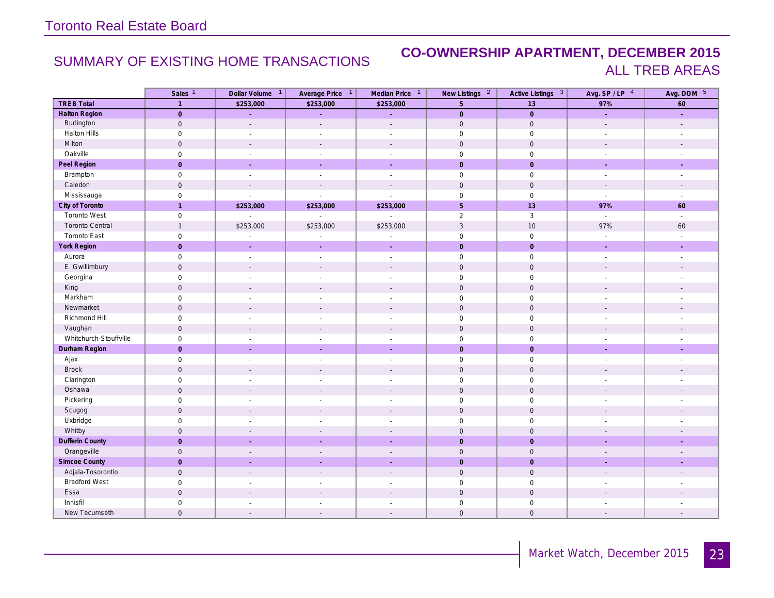### SUMMARY OF EXISTING HOME TRANSACTIONS **CO-OWNERSHIP APARTMENT, DECEMBER 2015** ALL TREB AREAS

|                        | Sales <sup>1</sup>  | Dollar Volume 1             | Average Price 1             | Median Price <sup>1</sup> | New Listings <sup>2</sup> | Active Listings 3   | Avg. SP/LP 4                | Avg. DOM 5               |
|------------------------|---------------------|-----------------------------|-----------------------------|---------------------------|---------------------------|---------------------|-----------------------------|--------------------------|
| <b>TREB Total</b>      | $\overline{1}$      | \$253,000                   | \$253,000                   | \$253,000                 | $5\phantom{.}$            | 13                  | 97%                         | 60                       |
| Halton Region          | $\mathsf{O}$        | ä,                          | ÷.                          | L,                        | $\overline{0}$            | $\mathsf{O}$        | ¥.                          | ÷.                       |
| Burlington             | $\mathbf 0$         | $\sim$                      | $\mathcal{L}$               | $\overline{a}$            | $\mathbf 0$               | $\mathbf 0$         | $\mathcal{L}$               | $\overline{\phantom{a}}$ |
| Halton Hills           | $\mathsf{O}\xspace$ | $\sim$                      | $\overline{\phantom{a}}$    | $\sim$                    | $\mathsf{O}$              | $\mathsf{O}\xspace$ | $\overline{\phantom{a}}$    | $\overline{\phantom{a}}$ |
| Milton                 | $\mathbf 0$         | $\sim$                      | $\sim$                      | $\sim$                    | $\mathbf 0$               | $\mathbf 0$         | $\sim$                      | $\mathbf{r}$             |
| Oakville               | $\mathsf{O}\xspace$ | $\sim$                      | $\sim$                      | $\mathbb{Z}^{\mathbb{Z}}$ | $\mathbf 0$               | $\mathsf{O}\xspace$ | $\mathbb{Z}^{\mathbb{Z}}$   | $\sim$                   |
| Peel Region            | $\overline{0}$      | i.                          | ÷.                          | $\sim$                    | $\mathbf{0}$              | $\overline{0}$      | $\sim$                      | $\sim$                   |
| Brampton               | $\mathsf{O}\xspace$ | $\sim$                      | $\sim$                      | $\sim$                    | $\mathsf{O}$              | $\mathsf{O}$        | $\sim$                      | $\overline{\phantom{a}}$ |
| Caledon                | $\mathbf 0$         | $\mathcal{L}$               | $\mathcal{L}$               | $\mathcal{L}$             | $\mathbf 0$               | $\mathsf{O}$        | $\sim$                      |                          |
| Mississauga            | $\mathsf{O}\xspace$ | L,                          | $\mathcal{L}$               | $\overline{a}$            | $\mathsf{O}$              | $\mathbb O$         | $\mathcal{L}$               | $\overline{\phantom{a}}$ |
| City of Toronto        | $\overline{1}$      | \$253,000                   | \$253,000                   | \$253,000                 | 5 <sup>5</sup>            | 13                  | 97%                         | 60                       |
| <b>Toronto West</b>    | $\mathsf{O}$        | $\mathcal{L}_{\mathcal{A}}$ | $\mathcal{L}_{\mathcal{A}}$ | $\overline{\phantom{a}}$  | $\overline{2}$            | $\mathbf{3}$        | $\mathcal{L}_{\mathcal{A}}$ | $\sim$                   |
| Toronto Central        | $\mathbf{1}$        | \$253,000                   | \$253,000                   | \$253,000                 | $\overline{3}$            | 10                  | 97%                         | 60                       |
| Toronto East           | $\mathbf 0$         |                             | $\overline{\phantom{a}}$    | $\overline{a}$            | $\mathbf 0$               | $\mathbf 0$         | $\overline{\phantom{a}}$    | $\overline{\phantom{a}}$ |
| York Region            | $\overline{0}$      | ÷.                          | $\sim$                      | ÷                         | $\mathbf{0}$              | $\mathbf 0$         | $\sim$                      | ÷.                       |
| Aurora                 | $\mathsf{O}\xspace$ | $\sim$                      | $\sim$                      | $\overline{\phantom{a}}$  | $\mathbf 0$               | $\mathsf{O}$        | $\sim$                      | $\sim$                   |
| E. Gwillimbury         | $\mathsf{O}\xspace$ | $\mathcal{L}$               | $\sim$                      | $\overline{\phantom{a}}$  | $\mathsf{O}\xspace$       | $\mathsf{O}$        | $\overline{\phantom{a}}$    |                          |
| Georgina               | $\mathsf{O}\xspace$ | $\sim$                      | $\sim$                      | $\sim$                    | $\mathbf 0$               | $\mathsf{O}$        | $\sim$                      | $\overline{\phantom{a}}$ |
| King                   | $\mathsf{O}\xspace$ | $\sim$                      | $\sim$                      | $\mathcal{L}$             | $\mathsf{O}$              | $\mathsf{O}$        | $\overline{\phantom{a}}$    |                          |
| Markham                | $\mathsf{O}\xspace$ | $\sim$                      | $\sim$                      | $\overline{\phantom{a}}$  | $\mathsf{O}$              | $\mathsf{O}$        | $\sim$                      | ÷,                       |
| Newmarket              | $\mathsf{O}\xspace$ | $\sim$                      | $\sim$                      | $\overline{\phantom{a}}$  | $\mathbf 0$               | $\mathbb O$         | $\sim$                      | $\sim$                   |
| Richmond Hill          | $\mathsf{O}\xspace$ | $\sim$                      | $\overline{a}$              | $\overline{a}$            | $\mathsf{O}\xspace$       | $\mathsf{O}$        | $\sim$                      | $\overline{a}$           |
| Vaughan                | $\mathbf 0$         | $\overline{\phantom{a}}$    | $\overline{\phantom{a}}$    | $\overline{\phantom{a}}$  | $\mathbf 0$               | $\mathbf 0$         | $\overline{\phantom{a}}$    | $\overline{\phantom{a}}$ |
| Whitchurch-Stouffville | $\mathsf{O}$        | ÷,                          | $\sim$                      | ÷.                        | $\mathsf{O}$              | $\mathsf{O}$        | $\mathbf{r}$                | ÷,                       |
| Durham Region          | $\overline{0}$      | $\mathcal{L}$               | $\mathcal{L}$               | ÷.                        | $\mathbf{0}$              | $\overline{0}$      | $\mathcal{L}$               | $\sim$                   |
| Ajax                   | $\mathsf{O}\xspace$ | $\sim$                      | $\sim$                      | $\sim$                    | $\mathsf{O}$              | $\mathsf{O}$        | $\sim$                      | $\overline{\phantom{a}}$ |
| <b>Brock</b>           | $\mathbf 0$         | $\sim$                      | $\sim$                      | $\sim$                    | $\mathbf 0$               | $\mathbf 0$         | $\sim$                      | $\overline{\phantom{a}}$ |
| Clarington             | $\mathsf{O}$        | $\sim$                      | $\overline{\phantom{a}}$    | $\overline{\phantom{a}}$  | $\mathsf{O}\xspace$       | $\mathbf 0$         | $\overline{\phantom{a}}$    |                          |
| Oshawa                 | $\mathbf 0$         | $\sim$                      | $\overline{a}$              | $\sim$                    | $\mathbf 0$               | $\mathbf 0$         | $\sim$                      | $\overline{a}$           |
| Pickering              | $\mathsf{O}\xspace$ | $\overline{\phantom{a}}$    | $\overline{\phantom{a}}$    | $\blacksquare$            | $\mathbf 0$               | $\mathsf{O}$        | $\overline{\phantom{a}}$    | $\overline{\phantom{a}}$ |
| Scugog                 | $\mathsf{O}\xspace$ | $\sim$                      | $\sim$                      | $\sim$                    | $\mathbf 0$               | $\mathbb O$         | $\mathbf{r}$                | $\overline{a}$           |
| Uxbridge               | $\mathsf{O}\xspace$ | $\overline{\phantom{a}}$    |                             | $\overline{\phantom{a}}$  | $\mathsf{O}\xspace$       | $\mathsf{O}$        |                             |                          |
| Whitby                 | $\mathbf 0$         | $\mathbf{r}$                |                             | $\overline{\phantom{a}}$  | $\mathbf 0$               | $\mathbf 0$         |                             |                          |
| Dufferin County        | $\overline{0}$      | $\mathcal{L}_{\mathcal{A}}$ | $\sim$                      | ÷,                        | $\mathbf{0}$              | $\overline{0}$      | $\sim$                      | $\overline{\phantom{a}}$ |
| Orangeville            | $\mathsf{O}$        | $\overline{a}$              | $\overline{\phantom{a}}$    | $\overline{a}$            | $\mathbf 0$               | $\mathsf{O}$        | $\overline{\phantom{a}}$    | $\overline{\phantom{a}}$ |
| <b>Simcoe County</b>   | $\overline{0}$      | $\sim$                      | $\sim$                      | ÷                         | $\mathbf{0}$              | $\overline{0}$      | $\overline{\phantom{a}}$    | $\overline{\phantom{a}}$ |
| Adjala-Tosorontio      | $\mathsf{O}\xspace$ | $\sim$                      | $\sim$                      | $\mathcal{L}$             | $\mathsf{O}$              | $\mathbb O$         | $\mathcal{L}$               | $\overline{a}$           |
| <b>Bradford West</b>   | $\mathsf{O}$        | $\overline{a}$              | $\overline{a}$              | $\overline{a}$            | $\mathbf 0$               | $\mathsf{O}$        | $\overline{a}$              |                          |
| Essa                   | $\mathsf{O}\xspace$ |                             |                             |                           | $\mathbf 0$               | $\mathsf{O}$        |                             |                          |
| Innisfil               | $\mathsf{O}\xspace$ |                             |                             |                           | $\mathbf 0$               | $\mathsf 0$         |                             |                          |
| New Tecumseth          | $\mathbf 0$         | $\overline{\phantom{a}}$    | $\overline{\phantom{a}}$    | $\overline{\phantom{a}}$  | $\mathsf{O}\xspace$       | $\mathbf 0$         |                             |                          |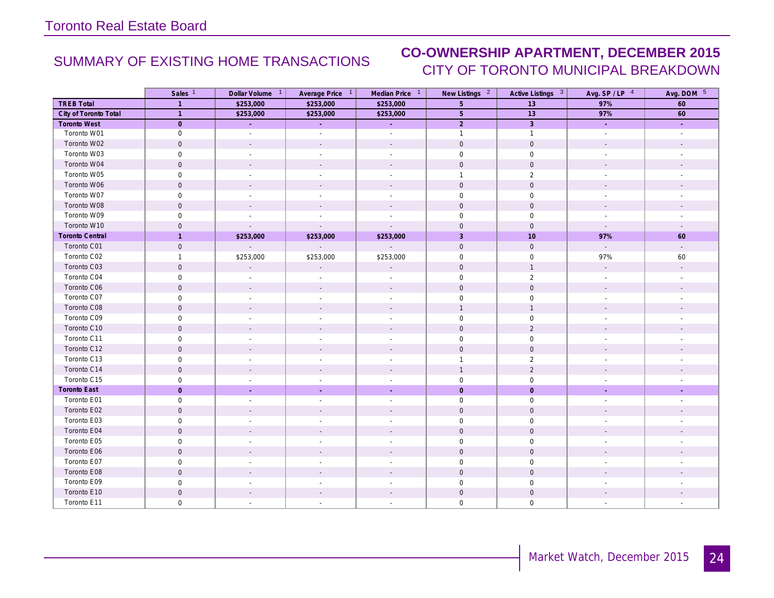## SUMMARY OF EXISTING HOME TRANSACTIONS **CO-OWNERSHIP APARTMENT, DECEMBER 2015** CITY OF TORONTO MUNICIPAL BREAKDOWN

|                        | Sales <sup>1</sup>  | Dollar Volume <sup>1</sup> | Average Price 1             | Median Price 1           | New Listings <sup>2</sup> | Active Listings 3   | Avg. $SP / LP$ <sup>4</sup> | Avg. DOM 5               |
|------------------------|---------------------|----------------------------|-----------------------------|--------------------------|---------------------------|---------------------|-----------------------------|--------------------------|
| <b>TREB Total</b>      | $\mathbf{1}$        | \$253,000                  | \$253,000                   | \$253,000                | 5                         | 13                  | 97%                         | 60                       |
| City of Toronto Total  | $\overline{1}$      | \$253,000                  | \$253,000                   | \$253,000                | $5\phantom{.}$            | 13                  | 97%                         | 60                       |
| <b>Toronto West</b>    | $\overline{0}$      | ú,                         | ÷.                          | ù,                       | $\overline{2}$            | $\overline{3}$      | ¥.                          | ÷.                       |
| Toronto W01            | $\mathsf{O}\xspace$ | $\overline{\phantom{a}}$   | $\overline{\phantom{a}}$    | $\overline{\phantom{a}}$ | $\mathbf{1}$              | $\mathbf{1}$        | $\overline{\phantom{a}}$    | $\overline{\phantom{a}}$ |
| Toronto W02            | $\mathbf 0$         |                            |                             |                          | $\mathbf 0$               | $\mathbf 0$         |                             |                          |
| Toronto W03            | $\mathsf{O}\xspace$ | $\sim$                     |                             |                          | $\mathbf 0$               | $\mathsf{O}\xspace$ |                             |                          |
| Toronto W04            | $\mathbf 0$         |                            |                             |                          | $\mathbf 0$               | $\mathbf 0$         |                             |                          |
| Toronto W05            | $\mathbf 0$         | $\overline{a}$             |                             |                          | $\mathbf{1}$              | $\overline{2}$      |                             |                          |
| Toronto W06            | $\mathbf 0$         | $\sim$                     |                             |                          | $\mathbf{0}$              | $\mathbf 0$         |                             |                          |
| Toronto W07            | $\mathbf 0$         | $\overline{\phantom{a}}$   | $\sim$                      | $\overline{\phantom{a}}$ | $\mathbf 0$               | $\mathbf 0$         | $\overline{\phantom{a}}$    |                          |
| Toronto W08            | $\mathsf{O}\xspace$ | $\overline{\phantom{a}}$   |                             |                          | $\mathsf{O}$              | $\mathsf{O}$        |                             |                          |
| Toronto W09            | $\mathbf 0$         |                            |                             |                          | $\mathbf 0$               | $\mathbf 0$         |                             |                          |
| Toronto W10            | $\mathbf 0$         | $\sim$                     | $\sim$                      | $\overline{\phantom{a}}$ | $\mathbf 0$               | $\mathbf 0$         | $\sim$                      |                          |
| <b>Toronto Central</b> | $\mathbf{1}$        | \$253,000                  | \$253,000                   | \$253,000                | $\mathbf{3}$              | 10                  | 97%                         | 60                       |
| Toronto C01            | $\mathsf{O}\xspace$ | $\mathbb{Z}^2$             | $\mathcal{L}_{\mathcal{A}}$ | $\mathbb{Z}^+$           | $\mathbf 0$               | $\mathsf{O}\xspace$ | $\mathbb{Z}^{\mathbb{Z}}$   | $\mathbb{L}$             |
| Toronto C02            | $\mathbf{1}$        | \$253,000                  | \$253,000                   | \$253,000                | $\mathsf{O}$              | $\mathsf{O}$        | 97%                         | 60                       |
| Toronto C03            | $\mathbf 0$         | $\overline{a}$             |                             | $\overline{a}$           | $\mathbf 0$               | $\overline{1}$      |                             |                          |
| Toronto C04            | 0                   |                            |                             |                          | $\mathbf 0$               | $\overline{2}$      |                             |                          |
| Toronto C06            | $\mathbf 0$         |                            |                             |                          | $\mathbf 0$               | $\mathbf 0$         |                             |                          |
| Toronto C07            | $\mathsf{O}\xspace$ | $\sim$                     |                             | $\overline{\phantom{a}}$ | $\mathsf{O}\xspace$       | $\mathsf{O}\xspace$ | $\overline{\phantom{a}}$    |                          |
| Toronto C08            | $\mathbf 0$         | $\overline{\phantom{a}}$   |                             |                          | $\mathbf{1}$              | $\overline{1}$      |                             |                          |
| Toronto C09            | $\mathsf{O}\xspace$ | $\overline{\phantom{a}}$   | $\overline{\phantom{a}}$    | $\overline{\phantom{a}}$ | $\mathbf 0$               | $\mathsf{O}\xspace$ |                             |                          |
| Toronto C10            | $\mathsf{O}\xspace$ | $\overline{a}$             |                             | $\overline{a}$           | $\mathbf 0$               | $\sqrt{2}$          |                             |                          |
| Toronto C11            | $\mathsf{O}\xspace$ |                            |                             |                          | $\mathbf 0$               | $\mathsf{O}$        |                             |                          |
| Toronto C12            | $\mathbf 0$         |                            |                             | $\sim$                   | $\mathbf 0$               | $\mathsf{O}$        |                             |                          |
| Toronto C13            | $\mathbf 0$         | $\overline{\phantom{a}}$   |                             | $\overline{a}$           | $\mathbf{1}$              | 2                   |                             |                          |
| Toronto C14            | $\mathsf{O}\xspace$ | $\overline{\phantom{a}}$   |                             |                          | $\mathbf{1}$              | $\overline{2}$      |                             |                          |
| Toronto C15            | $\mathsf{O}\xspace$ | $\overline{\phantom{a}}$   |                             | ÷                        | $\mathsf{O}\xspace$       | $\mathsf{O}\xspace$ |                             |                          |
| <b>Toronto East</b>    | $\overline{0}$      | ÷.                         | $\sim$                      | ÷.                       | $\overline{0}$            | $\overline{0}$      | ÷.                          |                          |
| Toronto E01            | $\mathbf 0$         | $\overline{\phantom{a}}$   |                             | $\overline{\phantom{a}}$ | $\mathbf 0$               | $\mathbf 0$         |                             |                          |
| Toronto E02            | $\mathsf{O}\xspace$ | $\overline{\phantom{a}}$   |                             |                          | $\mathbf 0$               | $\mathbf 0$         |                             |                          |
| Toronto E03            | $\mathsf{O}\xspace$ | $\overline{\phantom{a}}$   |                             | $\overline{\phantom{a}}$ | $\mathbf 0$               | $\mathsf{O}\xspace$ |                             |                          |
| Toronto E04            | $\mathbf 0$         | $\overline{\phantom{a}}$   |                             | $\overline{\phantom{a}}$ | $\mathbf{0}$              | $\mathbf 0$         |                             |                          |
| Toronto E05            | $\mathsf{O}\xspace$ | $\overline{\phantom{a}}$   |                             | $\overline{\phantom{a}}$ | $\mathbf 0$               | $\mathsf 0$         |                             |                          |
| Toronto E06            | $\mathbf 0$         | $\sim$                     |                             |                          | $\mathsf{O}\xspace$       | $\mathsf{O}\xspace$ |                             |                          |
| Toronto E07            | $\mathsf{O}\xspace$ |                            |                             |                          | $\mathsf{O}\xspace$       | $\mathsf 0$         |                             |                          |
| Toronto E08            | $\mathbf 0$         |                            |                             |                          | $\mathbf 0$               | $\mathsf{O}$        |                             |                          |
| Toronto E09            | $\mathbf 0$         | $\sim$                     |                             | ٠                        | $\mathbf 0$               | $\mathbf 0$         |                             |                          |
| Toronto E10            | $\mathbf 0$         |                            |                             |                          | $\mathbf 0$               | $\mathbf 0$         |                             |                          |
| Toronto E11            | $\mathbf{0}$        | $\overline{\phantom{a}}$   |                             |                          | $\mathbf 0$               | $\mathbf 0$         |                             |                          |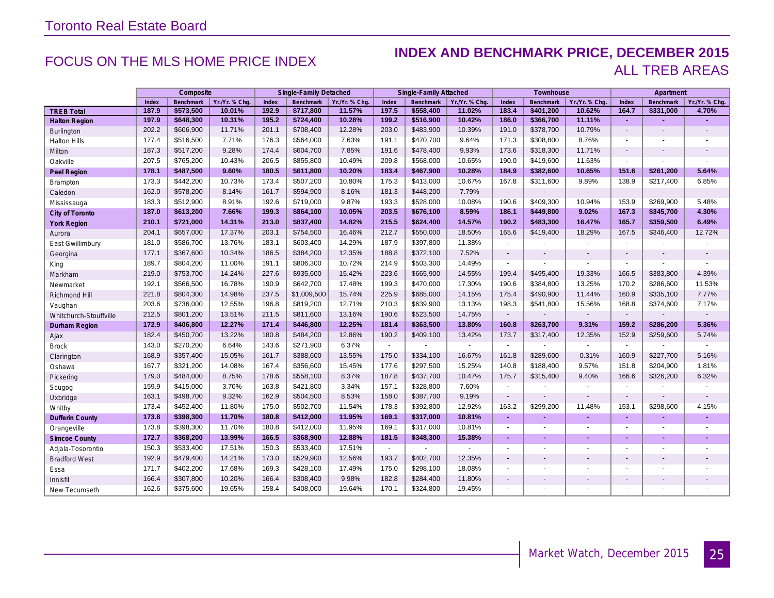### FOCUS ON THE MLS HOME PRICE INDEX **INDEX AND BENCHMARK PRICE, DECEMBER 2015** ALL TREB AREAS

|                        |       | Composite        |                |       | Single-Family Detached |                |                | Single-Family Attached |                |                | Townhouse        |                          |                          | Apartment        |                          |
|------------------------|-------|------------------|----------------|-------|------------------------|----------------|----------------|------------------------|----------------|----------------|------------------|--------------------------|--------------------------|------------------|--------------------------|
|                        | Index | <b>Benchmark</b> | Yr./Yr. % Chg. | Index | <b>Benchmark</b>       | Yr./Yr. % Chg. | Index          | Benchmark              | Yr./Yr. % Chq. | Index          | <b>Benchmark</b> | Yr./Yr. % Chq            | Index                    | <b>Benchmark</b> | Yr./Yr. % Chg.           |
| <b>TREB Total</b>      | 187.9 | \$573,500        | 10.01%         | 192.9 | \$717,800              | 11.57%         | 197.5          | \$558,400              | 11.02%         | 183.4          | \$401,200        | 10.62%                   | 164.7                    | \$331,000        | 4.70%                    |
| <b>Halton Region</b>   | 197.9 | \$648,300        | 10.31%         | 195.2 | \$724,400              | 10.28%         | 199.2          | \$516,900              | 10.42%         | 186.0          | \$366,700        | 11.11%                   | ۰                        |                  |                          |
| Burlington             | 202.2 | \$606,900        | 11.71%         | 201.1 | \$708,400              | 12.28%         | 203.0          | \$483,900              | 10.39%         | 191.0          | \$378,700        | 10.79%                   | $\blacksquare$           | $\blacksquare$   | $\blacksquare$           |
| Halton Hills           | 177.4 | \$516,500        | 7.71%          | 176.3 | \$564,000              | 7.63%          | 191.1          | \$470,700              | 9.64%          | 171.3          | \$308,800        | 8.76%                    | $\blacksquare$           | $\blacksquare$   | ٠                        |
| Milton                 | 187.3 | \$517,200        | 9.28%          | 174.4 | \$604,700              | 7.85%          | 191.6          | \$478,400              | 9.93%          | 173.6          | \$318,300        | 11.71%                   | $\overline{\phantom{a}}$ | $\blacksquare$   | $\overline{\phantom{a}}$ |
| Oakville               | 207.5 | \$765,200        | 10.43%         | 206.5 | \$855,800              | 10.49%         | 209.8          | \$568,000              | 10.65%         | 190.0          | \$419,600        | 11.63%                   | $\blacksquare$           | $\blacksquare$   | $\blacksquare$           |
| Peel Region            | 178.1 | \$487,500        | 9.60%          | 180.5 | \$611,800              | 10.20%         | 183.4          | \$467,900              | 10.28%         | 184.9          | \$382,600        | 10.65%                   | 151.6                    | \$261,200        | 5.64%                    |
| Brampton               | 173.3 | \$442,200        | 10.73%         | 173.4 | \$507,200              | 10.80%         | 175.3          | \$413,000              | 10.67%         | 167.8          | \$311,600        | 9.89%                    | 138.9                    | \$217,400        | 6.85%                    |
| Caledon                | 162.0 | \$578,200        | 8.14%          | 161.7 | \$594,900              | 8.16%          | 181.3          | \$448,200              | 7.79%          | $\blacksquare$ |                  | $\blacksquare$           | $\sim$                   |                  | $\blacksquare$           |
| Mississauga            | 183.3 | \$512,900        | 8.91%          | 192.6 | \$719,000              | 9.87%          | 193.3          | \$528,000              | 10.08%         | 190.6          | \$409,300        | 10.94%                   | 153.9                    | \$269,900        | 5.48%                    |
| City of Toronto        | 187.0 | \$613,200        | 7.66%          | 199.3 | \$864,100              | 10.05%         | 203.5          | \$676,100              | 8.59%          | 186.1          | \$449,800        | 9.02%                    | 167.3                    | \$345,700        | 4.30%                    |
| <b>York Region</b>     | 210.1 | \$721,000        | 14.31%         | 213.0 | \$837,400              | 14.82%         | 215.5          | \$624,400              | 14.57%         | 190.2          | \$483,300        | 16.47%                   | 165.7                    | \$359,500        | 6.49%                    |
| Aurora                 | 204.1 | \$657,000        | 17.37%         | 203.1 | \$754,500              | 16.46%         | 212.7          | \$550,000              | 18.50%         | 165.6          | \$419,400        | 18.29%                   | 167.5                    | \$346,400        | 12.72%                   |
| East Gwillimbury       | 181.0 | \$586,700        | 13.76%         | 183.1 | \$603,400              | 14.29%         | 187.9          | \$397,800              | 11.38%         | $\blacksquare$ |                  | $\blacksquare$           | $\sim$                   |                  |                          |
| Georgina               | 177.1 | \$367,600        | 10.34%         | 186.5 | \$384,200              | 12.35%         | 188.8          | \$372,100              | 7.52%          | $\blacksquare$ | $\blacksquare$   |                          | $\overline{a}$           |                  |                          |
| King                   | 189.7 | \$804,200        | 11.00%         | 191.1 | \$806,300              | 10.72%         | 214.9          | \$503,300              | 14.49%         | $\blacksquare$ |                  | ä,                       | $\blacksquare$           |                  | $\blacksquare$           |
| Markham                | 219.0 | \$753,700        | 14.24%         | 227.6 | \$935,600              | 15.42%         | 223.6          | \$665,900              | 14.55%         | 199.4          | \$495,400        | 19.33%                   | 166.5                    | \$383,800        | 4.39%                    |
| Newmarket              | 192.1 | \$566,500        | 16.78%         | 190.9 | \$642,700              | 17.48%         | 199.3          | \$470,000              | 17.30%         | 190.6          | \$384,800        | 13.25%                   | 170.2                    | \$286,600        | 11.53%                   |
| Richmond Hill          | 221.8 | \$804,300        | 14.98%         | 237.5 | \$1,009,500            | 15.74%         | 225.9          | \$685,000              | 14.15%         | 175.4          | \$490,900        | 11.44%                   | 160.9                    | \$335,100        | 7.77%                    |
| Vaughan                | 203.6 | \$736,000        | 12.55%         | 196.8 | \$819,200              | 12.71%         | 210.3          | \$639,900              | 13.13%         | 198.3          | \$541,800        | 15.56%                   | 168.8                    | \$374,600        | 7.17%                    |
| Whitchurch-Stouffville | 212.5 | \$801,200        | 13.51%         | 211.5 | \$811,600              | 13.16%         | 190.6          | \$523,500              | 14.75%         | $\blacksquare$ |                  | $\blacksquare$           | $\overline{\phantom{a}}$ |                  |                          |
| Durham Region          | 172.9 | \$406,800        | 12.27%         | 171.4 | \$446,800              | 12.25%         | 181.4          | \$363,500              | 13.80%         | 160.8          | \$263,700        | 9.31%                    | 159.2                    | \$286,200        | 5.36%                    |
| Ajax                   | 182.4 | \$450,700        | 13.22%         | 180.8 | \$484,200              | 12.86%         | 190.2          | \$409,100              | 13.42%         | 173.7          | \$317,400        | 12.35%                   | 152.9                    | \$259,600        | 5.74%                    |
| <b>Brock</b>           | 143.0 | \$270,200        | 6.64%          | 143.6 | \$271,900              | 6.37%          | $\blacksquare$ |                        |                | $\blacksquare$ |                  |                          | $\sim$                   |                  |                          |
| Clarington             | 168.9 | \$357,400        | 15.05%         | 161.7 | \$388,600              | 13.55%         | 175.0          | \$334,100              | 16.67%         | 161.8          | \$289,600        | $-0.31%$                 | 160.9                    | \$227,700        | 5.16%                    |
| Oshawa                 | 167.7 | \$321,200        | 14.08%         | 167.4 | \$356,600              | 15.45%         | 177.6          | \$297,500              | 15.25%         | 140.8          | \$188,400        | 9.57%                    | 151.8                    | \$204,900        | 1.81%                    |
| Pickering              | 179.0 | \$484,000        | 8.75%          | 178.6 | \$558,100              | 8.37%          | 187.8          | \$437,700              | 10.47%         | 175.7          | \$315,400        | 9.40%                    | 166.6                    | \$326,200        | 6.32%                    |
| Scugog                 | 159.9 | \$415,000        | 3.70%          | 163.8 | \$421,800              | 3.34%          | 157.1          | \$328,800              | 7.60%          | $\sim$         | ٠                | $\overline{\phantom{a}}$ | $\sim$                   |                  |                          |
| Uxbridge               | 163.1 | \$498,700        | 9.32%          | 162.9 | \$504,500              | 8.53%          | 158.0          | \$387,700              | 9.19%          | $\blacksquare$ | $\blacksquare$   |                          | $\blacksquare$           |                  | $\blacksquare$           |
| Whitby                 | 173.4 | \$452,400        | 11.80%         | 175.0 | \$502,700              | 11.54%         | 178.3          | \$392,800              | 12.92%         | 163.2          | \$299,200        | 11.48%                   | 153.1                    | \$298,600        | 4.15%                    |
| <b>Dufferin County</b> | 173.8 | \$398,300        | 11.70%         | 180.8 | \$412,000              | 11.95%         | 169.1          | \$317,000              | 10.81%         | $\sim$         | ٠                | ٠                        | $\sim$                   | ٠                | ٠                        |
| Orangeville            | 173.8 | \$398,300        | 11.70%         | 180.8 | \$412,000              | 11.95%         | 169.1          | \$317,000              | 10.81%         | $\blacksquare$ | $\blacksquare$   | $\blacksquare$           | $\blacksquare$           | $\blacksquare$   | ٠                        |
| <b>Simcoe County</b>   | 172.7 | \$368,200        | 13.99%         | 166.5 | \$368,900              | 12.88%         | 181.5          | \$348,300              | 15.38%         | ÷.             | ٠                | ÷                        | ä,                       | ä,               |                          |
| Adjala-Tosorontio      | 150.3 | \$533,400        | 17.51%         | 150.3 | \$533,400              | 17.51%         | ÷              |                        |                | $\blacksquare$ | $\blacksquare$   | $\blacksquare$           | $\sim$                   | $\blacksquare$   |                          |
| <b>Bradford West</b>   | 192.9 | \$479,400        | 14.21%         | 173.0 | \$529,900              | 12.56%         | 193.7          | \$402,700              | 12.35%         | $\overline{a}$ | $\overline{a}$   | $\blacksquare$           | $\overline{a}$           | $\blacksquare$   | $\overline{\phantom{a}}$ |
| Essa                   | 171.7 | \$402,200        | 17.68%         | 169.3 | \$428,100              | 17.49%         | 175.0          | \$298,100              | 18.08%         | $\blacksquare$ | $\blacksquare$   | $\blacksquare$           | $\overline{\phantom{a}}$ | $\blacksquare$   | ٠                        |
| Innisfil               | 166.4 | \$307,800        | 10.20%         | 166.4 | \$308,400              | 9.98%          | 182.8          | \$284,400              | 11.80%         | $\blacksquare$ | $\blacksquare$   | ÷.                       | $\blacksquare$           | ÷.               | $\blacksquare$           |
| New Tecumseth          | 162.6 | \$375,600        | 19.65%         | 158.4 | \$408,000              | 19.64%         | 170.1          | \$324,800              | 19.45%         | $\blacksquare$ | $\blacksquare$   | $\blacksquare$           | $\blacksquare$           | $\blacksquare$   | $\blacksquare$           |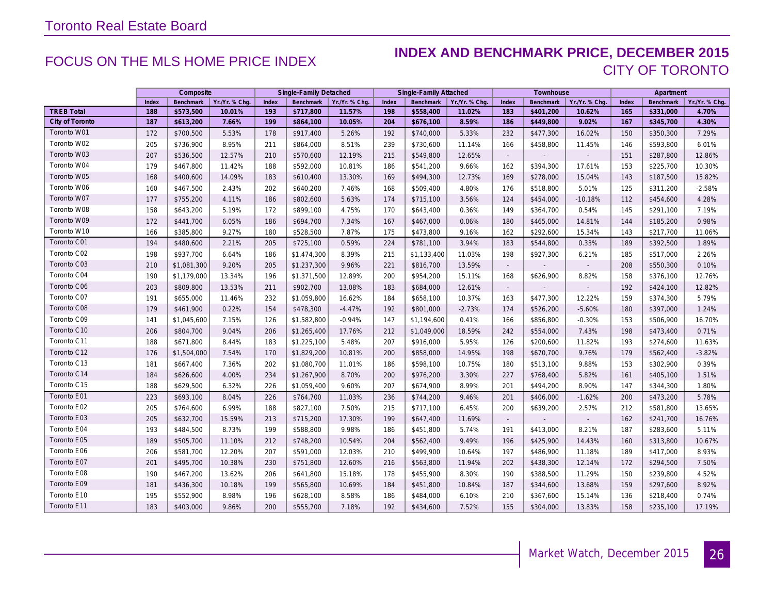### FOCUS ON THE MLS HOME PRICE INDEX **INDEX AND BENCHMARK PRICE, DECEMBER 2015** CITY OF TORONTO

|                   | Composite |                  |                | Single-Family Detached |                  |                | Single-Family Attached |                  |                | Townhouse                   |           |                | Apartment |           |                |
|-------------------|-----------|------------------|----------------|------------------------|------------------|----------------|------------------------|------------------|----------------|-----------------------------|-----------|----------------|-----------|-----------|----------------|
|                   | Index     | <b>Benchmark</b> | Yr./Yr. % Chq. | Index                  | <b>Benchmark</b> | Yr./Yr. % Chq. | Index                  | <b>Benchmark</b> | Yr./Yr. % Chq. | Index                       | Benchmark | Yr./Yr. % Chq. | Index     | Benchmark | Yr./Yr. % Chq. |
| <b>TREB Total</b> | 188       | \$573,500        | 10.01%         | 193                    | \$717,800        | 11.57%         | 198                    | \$558,400        | 11.02%         | 183                         | \$401,200 | 10.62%         | 165       | \$331,000 | 4.70%          |
| City of Toronto   | 187       | \$613,200        | 7.66%          | 199                    | \$864,100        | 10.05%         | 204                    | \$676,100        | 8.59%          | 186                         | \$449,800 | 9.02%          | 167       | \$345,700 | 4.30%          |
| Toronto W01       | 172       | \$700,500        | 5.53%          | 178                    | \$917,400        | 5.26%          | 192                    | \$740,000        | 5.33%          | 232                         | \$477,300 | 16.02%         | 150       | \$350,300 | 7.29%          |
| Toronto W02       | 205       | \$736,900        | 8.95%          | 211                    | \$864,000        | 8.51%          | 239                    | \$730,600        | 11.14%         | 166                         | \$458,800 | 11.45%         | 146       | \$593,800 | 6.01%          |
| Toronto W03       | 207       | \$536,500        | 12.57%         | 210                    | \$570,600        | 12.19%         | 215                    | \$549,800        | 12.65%         | $\mathcal{L}_{\mathcal{A}}$ |           |                | 151       | \$287,800 | 12.86%         |
| Toronto W04       | 179       | \$467,800        | 11.42%         | 188                    | \$592,000        | 10.81%         | 186                    | \$541,200        | 9.66%          | 162                         | \$394,300 | 17.61%         | 153       | \$225,700 | 10.30%         |
| Toronto W05       | 168       | \$400,600        | 14.09%         | 183                    | \$610,400        | 13.30%         | 169                    | \$494,300        | 12.73%         | 169                         | \$278,000 | 15.04%         | 143       | \$187,500 | 15.82%         |
| Toronto W06       | 160       | \$467,500        | 2.43%          | 202                    | \$640,200        | 7.46%          | 168                    | \$509,400        | 4.80%          | 176                         | \$518,800 | 5.01%          | 125       | \$311,200 | $-2.58%$       |
| Toronto W07       | 177       | \$755,200        | 4.11%          | 186                    | \$802,600        | 5.63%          | 174                    | \$715,100        | 3.56%          | 124                         | \$454,000 | $-10.18%$      | 112       | \$454,600 | 4.28%          |
| Toronto W08       | 158       | \$643,200        | 5.19%          | 172                    | \$899,100        | 4.75%          | 170                    | \$643,400        | 0.36%          | 149                         | \$364,700 | 0.54%          | 145       | \$291,100 | 7.19%          |
| Toronto W09       | 172       | \$441,700        | 6.05%          | 186                    | \$694,700        | 7.34%          | 167                    | \$467,000        | 0.06%          | 180                         | \$465,000 | 14.81%         | 144       | \$185,200 | 0.98%          |
| Toronto W10       | 166       | \$385,800        | 9.27%          | 180                    | \$528,500        | 7.87%          | 175                    | \$473,800        | 9.16%          | 162                         | \$292,600 | 15.34%         | 143       | \$217,700 | 11.06%         |
| Toronto C01       | 194       | \$480,600        | 2.21%          | 205                    | \$725,100        | 0.59%          | 224                    | \$781,100        | 3.94%          | 183                         | \$544,800 | 0.33%          | 189       | \$392,500 | 1.89%          |
| Toronto C02       | 198       | \$937,700        | 6.64%          | 186                    | \$1,474,300      | 8.39%          | 215                    | \$1,133,400      | 11.03%         | 198                         | \$927,300 | 6.21%          | 185       | \$517,000 | 2.26%          |
| Toronto C03       | 210       | \$1,081,300      | 9.20%          | 205                    | \$1,237,300      | 9.96%          | 221                    | \$816,700        | 13.59%         |                             |           |                | 208       | \$550,300 | 0.10%          |
| Toronto C04       | 190       | \$1,179,000      | 13.34%         | 196                    | \$1,371,500      | 12.89%         | 200                    | \$954,200        | 15.11%         | 168                         | \$626,900 | 8.82%          | 158       | \$376,100 | 12.76%         |
| Toronto C06       | 203       | \$809,800        | 13.53%         | 211                    | \$902,700        | 13.08%         | 183                    | \$684,000        | 12.61%         | $\sim$                      |           | $\mathbb{Z}^2$ | 192       | \$424,100 | 12.82%         |
| Toronto C07       | 191       | \$655,000        | 11.46%         | 232                    | \$1,059,800      | 16.62%         | 184                    | \$658,100        | 10.37%         | 163                         | \$477,300 | 12.22%         | 159       | \$374,300 | 5.79%          |
| Toronto C08       | 179       | \$461,900        | 0.22%          | 154                    | \$478,300        | $-4.47%$       | 192                    | \$801,000        | $-2.73%$       | 174                         | \$526,200 | $-5.60%$       | 180       | \$397,000 | 1.24%          |
| Toronto C09       | 141       | \$1,045,600      | 7.15%          | 126                    | \$1,582,800      | $-0.94%$       | 147                    | \$1,194,600      | 0.41%          | 166                         | \$856,800 | $-0.30%$       | 153       | \$506,900 | 16.70%         |
| Toronto C10       | 206       | \$804,700        | 9.04%          | 206                    | \$1,265,400      | 17.76%         | 212                    | \$1,049,000      | 18.59%         | 242                         | \$554,000 | 7.43%          | 198       | \$473,400 | 0.71%          |
| Toronto C11       | 188       | \$671,800        | 8.44%          | 183                    | \$1,225,100      | 5.48%          | 207                    | \$916,000        | 5.95%          | 126                         | \$200,600 | 11.82%         | 193       | \$274,600 | 11.63%         |
| Toronto C12       | 176       | \$1,504,000      | 7.54%          | 170                    | \$1,829,200      | 10.81%         | 200                    | \$858,000        | 14.95%         | 198                         | \$670,700 | 9.76%          | 179       | \$562,400 | $-3.82%$       |
| Toronto C13       | 181       | \$667,400        | 7.36%          | 202                    | \$1,080,700      | 11.01%         | 186                    | \$598,100        | 10.75%         | 180                         | \$513,100 | 9.88%          | 153       | \$302,900 | 0.39%          |
| Toronto C14       | 184       | \$626,600        | 4.00%          | 234                    | \$1,267,900      | 8.70%          | 200                    | \$976,200        | 3.30%          | 227                         | \$768,400 | 5.82%          | 161       | \$405,100 | 1.51%          |
| Toronto C15       | 188       | \$629,500        | 6.32%          | 226                    | \$1,059,400      | 9.60%          | 207                    | \$674,900        | 8.99%          | 201                         | \$494,200 | 8.90%          | 147       | \$344,300 | 1.80%          |
| Toronto E01       | 223       | \$693,100        | 8.04%          | 226                    | \$764,700        | 11.03%         | 236                    | \$744,200        | 9.46%          | 201                         | \$406,000 | $-1.62%$       | 200       | \$473,200 | 5.78%          |
| Toronto E02       | 205       | \$764,600        | 6.99%          | 188                    | \$827,100        | 7.50%          | 215                    | \$717,100        | 6.45%          | 200                         | \$639,200 | 2.57%          | 212       | \$581,800 | 13.65%         |
| Toronto E03       | 205       | \$632,700        | 15.59%         | 213                    | \$715,200        | 17.30%         | 199                    | \$647,400        | 11.69%         | $\sim$                      |           | $\sim$         | 162       | \$241,700 | 16.76%         |
| Toronto E04       | 193       | \$484,500        | 8.73%          | 199                    | \$588,800        | 9.98%          | 186                    | \$451,800        | 5.74%          | 191                         | \$413,000 | 8.21%          | 187       | \$283,600 | 5.11%          |
| Toronto E05       | 189       | \$505,700        | 11.10%         | 212                    | \$748,200        | 10.54%         | 204                    | \$562,400        | 9.49%          | 196                         | \$425,900 | 14.43%         | 160       | \$313,800 | 10.67%         |
| Toronto E06       | 206       | \$581,700        | 12.20%         | 207                    | \$591,000        | 12.03%         | 210                    | \$499,900        | 10.64%         | 197                         | \$486,900 | 11.18%         | 189       | \$417,000 | 8.93%          |
| Toronto E07       | 201       | \$495,700        | 10.38%         | 230                    | \$751,800        | 12.60%         | 216                    | \$563,800        | 11.94%         | 202                         | \$438,300 | 12.14%         | 172       | \$294,500 | 7.50%          |
| Toronto E08       | 190       | \$467,200        | 13.62%         | 206                    | \$641,800        | 15.18%         | 178                    | \$455,900        | 8.30%          | 190                         | \$388,500 | 11.29%         | 150       | \$239,800 | 4.52%          |
| Toronto E09       | 181       | \$436,300        | 10.18%         | 199                    | \$565,800        | 10.69%         | 184                    | \$451,800        | 10.84%         | 187                         | \$344,600 | 13.68%         | 159       | \$297,600 | 8.92%          |
| Toronto E10       | 195       | \$552,900        | 8.98%          | 196                    | \$628,100        | 8.58%          | 186                    | \$484,000        | 6.10%          | 210                         | \$367,600 | 15.14%         | 136       | \$218,400 | 0.74%          |
| Toronto E11       | 183       | \$403,000        | 9.86%          | 200                    | \$555,700        | 7.18%          | 192                    | \$434,600        | 7.52%          | 155                         | \$304,000 | 13.83%         | 158       | \$235,100 | 17.19%         |